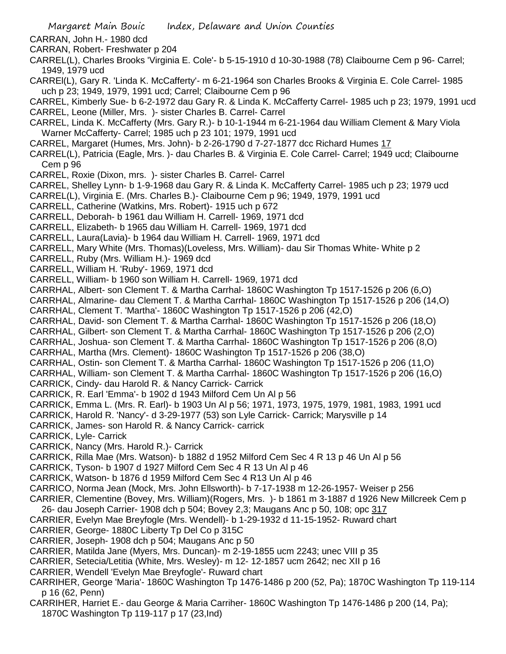CARRAN, John H.- 1980 dcd

- CARRAN, Robert- Freshwater p 204
- CARREL(L), Charles Brooks 'Virginia E. Cole'- b 5-15-1910 d 10-30-1988 (78) Claibourne Cem p 96- Carrel; 1949, 1979 ucd
- CARREl(L), Gary R. 'Linda K. McCafferty'- m 6-21-1964 son Charles Brooks & Virginia E. Cole Carrel- 1985 uch p 23; 1949, 1979, 1991 ucd; Carrel; Claibourne Cem p 96

CARREL, Kimberly Sue- b 6-2-1972 dau Gary R. & Linda K. McCafferty Carrel- 1985 uch p 23; 1979, 1991 ucd CARREL, Leone (Miller, Mrs. )- sister Charles B. Carrel- Carrel

CARREL, Linda K. McCafferty (Mrs. Gary R.)- b 10-1-1944 m 6-21-1964 dau William Clement & Mary Viola Warner McCafferty- Carrel; 1985 uch p 23 101; 1979, 1991 ucd

CARREL, Margaret (Humes, Mrs. John)- b 2-26-1790 d 7-27-1877 dcc Richard Humes 17

- CARREL(L), Patricia (Eagle, Mrs. )- dau Charles B. & Virginia E. Cole Carrel- Carrel; 1949 ucd; Claibourne Cem p 96
- CARREL, Roxie (Dixon, mrs. )- sister Charles B. Carrel- Carrel
- CARREL, Shelley Lynn- b 1-9-1968 dau Gary R. & Linda K. McCafferty Carrel- 1985 uch p 23; 1979 ucd
- CARREL(L), Virginia E. (Mrs. Charles B.)- Claibourne Cem p 96; 1949, 1979, 1991 ucd
- CARRELL, Catherine (Watkins, Mrs. Robert)- 1915 uch p 672
- CARRELL, Deborah- b 1961 dau William H. Carrell- 1969, 1971 dcd
- CARRELL, Elizabeth- b 1965 dau William H. Carrell- 1969, 1971 dcd
- CARRELL, Laura(Lavia)- b 1964 dau William H. Carrell- 1969, 1971 dcd
- CARRELL, Mary White (Mrs. Thomas)(Loveless, Mrs. William)- dau Sir Thomas White- White p 2
- CARRELL, Ruby (Mrs. William H.)- 1969 dcd
- CARRELL, William H. 'Ruby'- 1969, 1971 dcd
- CARRELL, William- b 1960 son William H. Carrell- 1969, 1971 dcd
- CARRHAL, Albert- son Clement T. & Martha Carrhal- 1860C Washington Tp 1517-1526 p 206 (6,O)
- CARRHAL, Almarine- dau Clement T. & Martha Carrhal- 1860C Washington Tp 1517-1526 p 206 (14,O)
- CARRHAL, Clement T. 'Martha'- 1860C Washington Tp 1517-1526 p 206 (42,O)
- CARRHAL, David- son Clement T. & Martha Carrhal- 1860C Washington Tp 1517-1526 p 206 (18,O)
- CARRHAL, Gilbert- son Clement T. & Martha Carrhal- 1860C Washington Tp 1517-1526 p 206 (2,O)
- CARRHAL, Joshua- son Clement T. & Martha Carrhal- 1860C Washington Tp 1517-1526 p 206 (8,O) CARRHAL, Martha (Mrs. Clement)- 1860C Washington Tp 1517-1526 p 206 (38,O)
- CARRHAL, Ostin- son Clement T. & Martha Carrhal- 1860C Washington Tp 1517-1526 p 206 (11,O)
- CARRHAL, William- son Clement T. & Martha Carrhal- 1860C Washington Tp 1517-1526 p 206 (16,O)
- CARRICK, Cindy- dau Harold R. & Nancy Carrick- Carrick
- CARRICK, R. Earl 'Emma'- b 1902 d 1943 Milford Cem Un Al p 56
- CARRICK, Emma L. (Mrs. R. Earl)- b 1903 Un Al p 56; 1971, 1973, 1975, 1979, 1981, 1983, 1991 ucd
- CARRICK, Harold R. 'Nancy'- d 3-29-1977 (53) son Lyle Carrick- Carrick; Marysville p 14
- CARRICK, James- son Harold R. & Nancy Carrick- carrick
- CARRICK, Lyle- Carrick
- CARRICK, Nancy (Mrs. Harold R.)- Carrick
- CARRICK, Rilla Mae (Mrs. Watson)- b 1882 d 1952 Milford Cem Sec 4 R 13 p 46 Un Al p 56
- CARRICK, Tyson- b 1907 d 1927 Milford Cem Sec 4 R 13 Un Al p 46
- CARRICK, Watson- b 1876 d 1959 Milford Cem Sec 4 R13 Un Al p 46
- CARRICO, Norma Jean (Mock, Mrs. John Ellsworth)- b 7-17-1938 m 12-26-1957- Weiser p 256
- CARRIER, Clementine (Bovey, Mrs. William)(Rogers, Mrs. )- b 1861 m 3-1887 d 1926 New Millcreek Cem p
- 26- dau Joseph Carrier- 1908 dch p 504; Bovey 2,3; Maugans Anc p 50, 108; opc 317
- CARRIER, Evelyn Mae Breyfogle (Mrs. Wendell)- b 1-29-1932 d 11-15-1952- Ruward chart
- CARRIER, George- 1880C Liberty Tp Del Co p 315C
- CARRIER, Joseph- 1908 dch p 504; Maugans Anc p 50
- CARRIER, Matilda Jane (Myers, Mrs. Duncan)- m 2-19-1855 ucm 2243; unec VIII p 35
- CARRIER, Setecia/Letitia (White, Mrs. Wesley)- m 12- 12-1857 ucm 2642; nec XII p 16
- CARRIER, Wendell 'Evelyn Mae Breyfogle'- Ruward chart
- CARRIHER, George 'Maria'- 1860C Washington Tp 1476-1486 p 200 (52, Pa); 1870C Washington Tp 119-114 p 16 (62, Penn)
- CARRIHER, Harriet E.- dau George & Maria Carriher- 1860C Washington Tp 1476-1486 p 200 (14, Pa); 1870C Washington Tp 119-117 p 17 (23,Ind)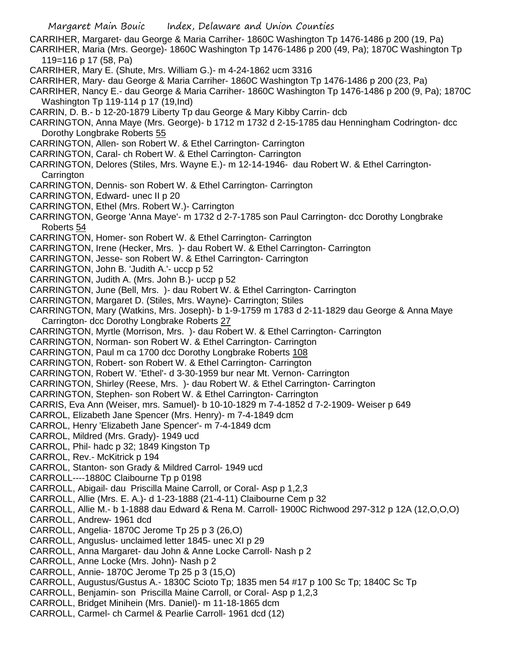CARRIHER, Margaret- dau George & Maria Carriher- 1860C Washington Tp 1476-1486 p 200 (19, Pa) CARRIHER, Maria (Mrs. George)- 1860C Washington Tp 1476-1486 p 200 (49, Pa); 1870C Washington Tp

119=116 p 17 (58, Pa)

- CARRIHER, Mary E. (Shute, Mrs. William G.)- m 4-24-1862 ucm 3316
- CARRIHER, Mary- dau George & Maria Carriher- 1860C Washington Tp 1476-1486 p 200 (23, Pa)
- CARRIHER, Nancy E.- dau George & Maria Carriher- 1860C Washington Tp 1476-1486 p 200 (9, Pa); 1870C Washington Tp 119-114 p 17 (19,Ind)
- CARRIN, D. B.- b 12-20-1879 Liberty Tp dau George & Mary Kibby Carrin- dcb
- CARRINGTON, Anna Maye (Mrs. George)- b 1712 m 1732 d 2-15-1785 dau Henningham Codrington- dcc Dorothy Longbrake Roberts 55
- CARRINGTON, Allen- son Robert W. & Ethel Carrington- Carrington
- CARRINGTON, Caral- ch Robert W. & Ethel Carrington- Carrington
- CARRINGTON, Delores (Stiles, Mrs. Wayne E.)- m 12-14-1946- dau Robert W. & Ethel Carrington-**Carrington**
- CARRINGTON, Dennis- son Robert W. & Ethel Carrington- Carrington
- CARRINGTON, Edward- unec II p 20
- CARRINGTON, Ethel (Mrs. Robert W.)- Carrington
- CARRINGTON, George 'Anna Maye'- m 1732 d 2-7-1785 son Paul Carrington- dcc Dorothy Longbrake Roberts 54
- CARRINGTON, Homer- son Robert W. & Ethel Carrington- Carrington
- CARRINGTON, Irene (Hecker, Mrs. )- dau Robert W. & Ethel Carrington- Carrington
- CARRINGTON, Jesse- son Robert W. & Ethel Carrington- Carrington
- CARRINGTON, John B. 'Judith A.'- uccp p 52
- CARRINGTON, Judith A. (Mrs. John B.)- uccp p 52
- CARRINGTON, June (Bell, Mrs. )- dau Robert W. & Ethel Carrington- Carrington
- CARRINGTON, Margaret D. (Stiles, Mrs. Wayne)- Carrington; Stiles
- CARRINGTON, Mary (Watkins, Mrs. Joseph)- b 1-9-1759 m 1783 d 2-11-1829 dau George & Anna Maye Carrington- dcc Dorothy Longbrake Roberts 27
- CARRINGTON, Myrtle (Morrison, Mrs. )- dau Robert W. & Ethel Carrington- Carrington
- CARRINGTON, Norman- son Robert W. & Ethel Carrington- Carrington
- CARRINGTON, Paul m ca 1700 dcc Dorothy Longbrake Roberts 108
- CARRINGTON, Robert- son Robert W. & Ethel Carrington- Carrington
- CARRINGTON, Robert W. 'Ethel'- d 3-30-1959 bur near Mt. Vernon- Carrington
- CARRINGTON, Shirley (Reese, Mrs. )- dau Robert W. & Ethel Carrington- Carrington
- CARRINGTON, Stephen- son Robert W. & Ethel Carrington- Carrington
- CARRIS, Eva Ann (Weiser, mrs. Samuel)- b 10-10-1829 m 7-4-1852 d 7-2-1909- Weiser p 649
- CARROL, Elizabeth Jane Spencer (Mrs. Henry)- m 7-4-1849 dcm
- CARROL, Henry 'Elizabeth Jane Spencer'- m 7-4-1849 dcm
- CARROL, Mildred (Mrs. Grady)- 1949 ucd
- CARROL, Phil- hadc p 32; 1849 Kingston Tp
- CARROL, Rev.- McKitrick p 194
- CARROL, Stanton- son Grady & Mildred Carrol- 1949 ucd
- CARROLL----1880C Claibourne Tp p 0198
- CARROLL, Abigail- dau Priscilla Maine Carroll, or Coral- Asp p 1,2,3
- CARROLL, Allie (Mrs. E. A.)- d 1-23-1888 (21-4-11) Claibourne Cem p 32
- CARROLL, Allie M.- b 1-1888 dau Edward & Rena M. Carroll- 1900C Richwood 297-312 p 12A (12,O,O,O)
- CARROLL, Andrew- 1961 dcd
- CARROLL, Angelia- 1870C Jerome Tp 25 p 3 (26,O)
- CARROLL, Anguslus- unclaimed letter 1845- unec XI p 29
- CARROLL, Anna Margaret- dau John & Anne Locke Carroll- Nash p 2
- CARROLL, Anne Locke (Mrs. John)- Nash p 2
- CARROLL, Annie- 1870C Jerome Tp 25 p 3 (15,O)
- CARROLL, Augustus/Gustus A.- 1830C Scioto Tp; 1835 men 54 #17 p 100 Sc Tp; 1840C Sc Tp
- CARROLL, Benjamin- son Priscilla Maine Carroll, or Coral- Asp p 1,2,3
- CARROLL, Bridget Minihein (Mrs. Daniel)- m 11-18-1865 dcm
- CARROLL, Carmel- ch Carmel & Pearlie Carroll- 1961 dcd (12)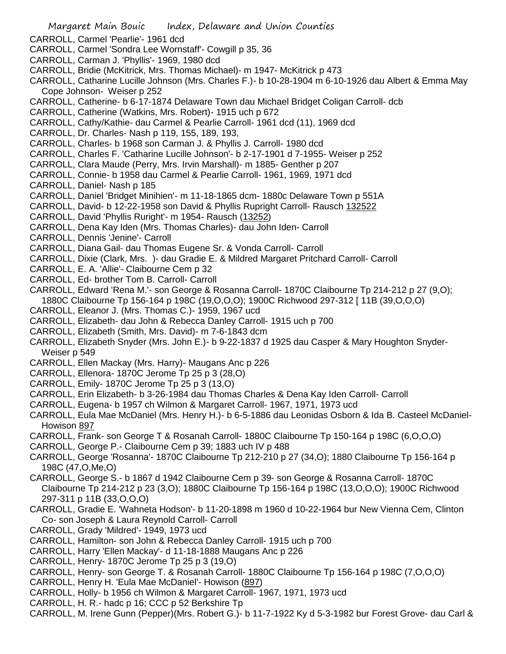- CARROLL, Carmel 'Pearlie'- 1961 dcd
- CARROLL, Carmel 'Sondra Lee Wornstaff'- Cowgill p 35, 36
- CARROLL, Carman J. 'Phyllis'- 1969, 1980 dcd
- CARROLL, Bridie (McKitrick, Mrs. Thomas Michael)- m 1947- McKitrick p 473
- CARROLL, Catharine Lucille Johnson (Mrs. Charles F.)- b 10-28-1904 m 6-10-1926 dau Albert & Emma May Cope Johnson- Weiser p 252
- CARROLL, Catherine- b 6-17-1874 Delaware Town dau Michael Bridget Coligan Carroll- dcb
- CARROLL, Catherine (Watkins, Mrs. Robert)- 1915 uch p 672
- CARROLL, Cathy/Kathie- dau Carmel & Pearlie Carroll- 1961 dcd (11), 1969 dcd
- CARROLL, Dr. Charles- Nash p 119, 155, 189, 193,
- CARROLL, Charles- b 1968 son Carman J. & Phyllis J. Carroll- 1980 dcd
- CARROLL, Charles F. 'Catharine Lucille Johnson'- b 2-17-1901 d 7-1955- Weiser p 252
- CARROLL, Clara Maude (Perry, Mrs. Irvin Marshall)- m 1885- Genther p 207
- CARROLL, Connie- b 1958 dau Carmel & Pearlie Carroll- 1961, 1969, 1971 dcd
- CARROLL, Daniel- Nash p 185
- CARROLL, Daniel 'Bridget Minihien'- m 11-18-1865 dcm- 1880c Delaware Town p 551A
- CARROLL, David- b 12-22-1958 son David & Phyllis Rupright Carroll- Rausch 132522
- CARROLL, David 'Phyllis Ruright'- m 1954- Rausch (13252)
- CARROLL, Dena Kay Iden (Mrs. Thomas Charles)- dau John Iden- Carroll
- CARROLL, Dennis 'Jenine'- Carroll
- CARROLL, Diana Gail- dau Thomas Eugene Sr. & Vonda Carroll- Carroll
- CARROLL, Dixie (Clark, Mrs. )- dau Gradie E. & Mildred Margaret Pritchard Carroll- Carroll
- CARROLL, E. A. 'Allie'- Claibourne Cem p 32
- CARROLL, Ed- brother Tom B. Carroll- Carroll
- CARROLL, Edward 'Rena M.'- son George & Rosanna Carroll- 1870C Claibourne Tp 214-212 p 27 (9,O); 1880C Claibourne Tp 156-164 p 198C (19,O,O,O); 1900C Richwood 297-312 [ 11B (39,O,O,O)
- CARROLL, Eleanor J. (Mrs. Thomas C.)- 1959, 1967 ucd
- CARROLL, Elizabeth- dau John & Rebecca Danley Carroll- 1915 uch p 700
- CARROLL, Elizabeth (Smith, Mrs. David)- m 7-6-1843 dcm
- CARROLL, Elizabeth Snyder (Mrs. John E.)- b 9-22-1837 d 1925 dau Casper & Mary Houghton Snyder-Weiser p 549
- CARROLL, Ellen Mackay (Mrs. Harry)- Maugans Anc p 226
- CARROLL, Ellenora- 1870C Jerome Tp 25 p 3 (28,O)
- CARROLL, Emily- 1870C Jerome Tp 25 p 3 (13,O)
- CARROLL, Erin Elizabeth- b 3-26-1984 dau Thomas Charles & Dena Kay Iden Carroll- Carroll
- CARROLL, Eugena- b 1957 ch Wilmon & Margaret Carroll- 1967, 1971, 1973 ucd
- CARROLL, Eula Mae McDaniel (Mrs. Henry H.)- b 6-5-1886 dau Leonidas Osborn & Ida B. Casteel McDaniel-Howison 897
- CARROLL, Frank- son George T & Rosanah Carroll- 1880C Claibourne Tp 150-164 p 198C (6,O,O,O)
- CARROLL, George P.- Claibourne Cem p 39; 1883 uch IV p 488
- CARROLL, George 'Rosanna'- 1870C Claibourne Tp 212-210 p 27 (34,O); 1880 Claibourne Tp 156-164 p 198C (47,O,Me,O)
- CARROLL, George S.- b 1867 d 1942 Claibourne Cem p 39- son George & Rosanna Carroll- 1870C Claibourne Tp 214-212 p 23 (3,O); 1880C Claibourne Tp 156-164 p 198C (13,O,O,O); 1900C Richwood 297-311 p 11B (33,O,O,O)
- CARROLL, Gradie E. 'Wahneta Hodson'- b 11-20-1898 m 1960 d 10-22-1964 bur New Vienna Cem, Clinton Co- son Joseph & Laura Reynold Carroll- Carroll
- CARROLL, Grady 'Mildred'- 1949, 1973 ucd
- CARROLL, Hamilton- son John & Rebecca Danley Carroll- 1915 uch p 700
- CARROLL, Harry 'Ellen Mackay'- d 11-18-1888 Maugans Anc p 226
- CARROLL, Henry- 1870C Jerome Tp 25 p 3 (19,O)
- CARROLL, Henry- son George T. & Rosanah Carroll- 1880C Claibourne Tp 156-164 p 198C (7,O,O,O)
- CARROLL, Henry H. 'Eula Mae McDaniel'- Howison (897)
- CARROLL, Holly- b 1956 ch Wilmon & Margaret Carroll- 1967, 1971, 1973 ucd
- CARROLL, H. R.- hadc p 16; CCC p 52 Berkshire Tp
- CARROLL, M. Irene Gunn (Pepper)(Mrs. Robert G.)- b 11-7-1922 Ky d 5-3-1982 bur Forest Grove- dau Carl &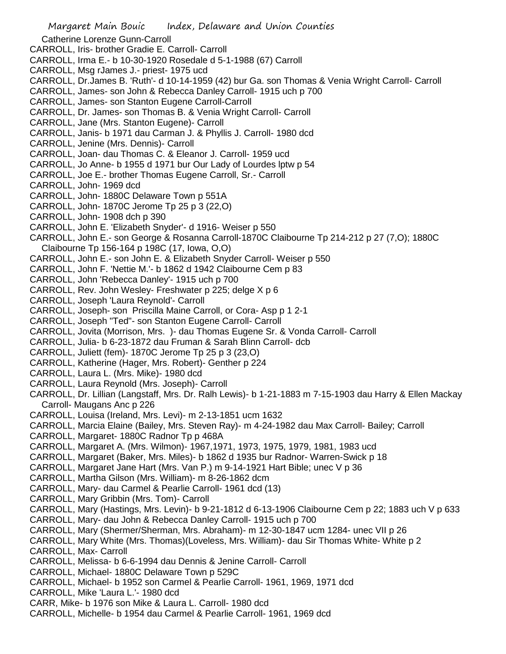Margaret Main Bouic Index, Delaware and Union Counties Catherine Lorenze Gunn-Carroll CARROLL, Iris- brother Gradie E. Carroll- Carroll CARROLL, Irma E.- b 10-30-1920 Rosedale d 5-1-1988 (67) Carroll CARROLL, Msg rJames J.- priest- 1975 ucd CARROLL, Dr.James B. 'Ruth'- d 10-14-1959 (42) bur Ga. son Thomas & Venia Wright Carroll- Carroll CARROLL, James- son John & Rebecca Danley Carroll- 1915 uch p 700 CARROLL, James- son Stanton Eugene Carroll-Carroll CARROLL, Dr. James- son Thomas B. & Venia Wright Carroll- Carroll CARROLL, Jane (Mrs. Stanton Eugene)- Carroll CARROLL, Janis- b 1971 dau Carman J. & Phyllis J. Carroll- 1980 dcd CARROLL, Jenine (Mrs. Dennis)- Carroll CARROLL, Joan- dau Thomas C. & Eleanor J. Carroll- 1959 ucd CARROLL, Jo Anne- b 1955 d 1971 bur Our Lady of Lourdes lptw p 54 CARROLL, Joe E.- brother Thomas Eugene Carroll, Sr.- Carroll CARROLL, John- 1969 dcd CARROLL, John- 1880C Delaware Town p 551A CARROLL, John- 1870C Jerome Tp 25 p 3 (22,O) CARROLL, John- 1908 dch p 390 CARROLL, John E. 'Elizabeth Snyder'- d 1916- Weiser p 550 CARROLL, John E.- son George & Rosanna Carroll-1870C Claibourne Tp 214-212 p 27 (7,O); 1880C Claibourne Tp 156-164 p 198C (17, Iowa, O,O) CARROLL, John E.- son John E. & Elizabeth Snyder Carroll- Weiser p 550 CARROLL, John F. 'Nettie M.'- b 1862 d 1942 Claibourne Cem p 83 CARROLL, John 'Rebecca Danley'- 1915 uch p 700 CARROLL, Rev. John Wesley- Freshwater p 225; delge X p 6 CARROLL, Joseph 'Laura Reynold'- Carroll CARROLL, Joseph- son Priscilla Maine Carroll, or Cora- Asp p 1 2-1 CARROLL, Joseph "Ted"- son Stanton Eugene Carroll- Carroll CARROLL, Jovita (Morrison, Mrs. )- dau Thomas Eugene Sr. & Vonda Carroll- Carroll CARROLL, Julia- b 6-23-1872 dau Fruman & Sarah Blinn Carroll- dcb CARROLL, Juliett (fem)- 1870C Jerome Tp 25 p 3 (23,O) CARROLL, Katherine (Hager, Mrs. Robert)- Genther p 224 CARROLL, Laura L. (Mrs. Mike)- 1980 dcd CARROLL, Laura Reynold (Mrs. Joseph)- Carroll CARROLL, Dr. Lillian (Langstaff, Mrs. Dr. Ralh Lewis)- b 1-21-1883 m 7-15-1903 dau Harry & Ellen Mackay Carroll- Maugans Anc p 226 CARROLL, Louisa (Ireland, Mrs. Levi)- m 2-13-1851 ucm 1632 CARROLL, Marcia Elaine (Bailey, Mrs. Steven Ray)- m 4-24-1982 dau Max Carroll- Bailey; Carroll CARROLL, Margaret- 1880C Radnor Tp p 468A CARROLL, Margaret A. (Mrs. Wilmon)- 1967,1971, 1973, 1975, 1979, 1981, 1983 ucd CARROLL, Margaret (Baker, Mrs. Miles)- b 1862 d 1935 bur Radnor- Warren-Swick p 18 CARROLL, Margaret Jane Hart (Mrs. Van P.) m 9-14-1921 Hart Bible; unec V p 36 CARROLL, Martha Gilson (Mrs. William)- m 8-26-1862 dcm CARROLL, Mary- dau Carmel & Pearlie Carroll- 1961 dcd (13) CARROLL, Mary Gribbin (Mrs. Tom)- Carroll CARROLL, Mary (Hastings, Mrs. Levin)- b 9-21-1812 d 6-13-1906 Claibourne Cem p 22; 1883 uch V p 633 CARROLL, Mary- dau John & Rebecca Danley Carroll- 1915 uch p 700 CARROLL, Mary (Shermer/Sherman, Mrs. Abraham)- m 12-30-1847 ucm 1284- unec VII p 26 CARROLL, Mary White (Mrs. Thomas)(Loveless, Mrs. William)- dau Sir Thomas White- White p 2 CARROLL, Max- Carroll CARROLL, Melissa- b 6-6-1994 dau Dennis & Jenine Carroll- Carroll CARROLL, Michael- 1880C Delaware Town p 529C CARROLL, Michael- b 1952 son Carmel & Pearlie Carroll- 1961, 1969, 1971 dcd CARROLL, Mike 'Laura L.'- 1980 dcd CARR, Mike- b 1976 son Mike & Laura L. Carroll- 1980 dcd CARROLL, Michelle- b 1954 dau Carmel & Pearlie Carroll- 1961, 1969 dcd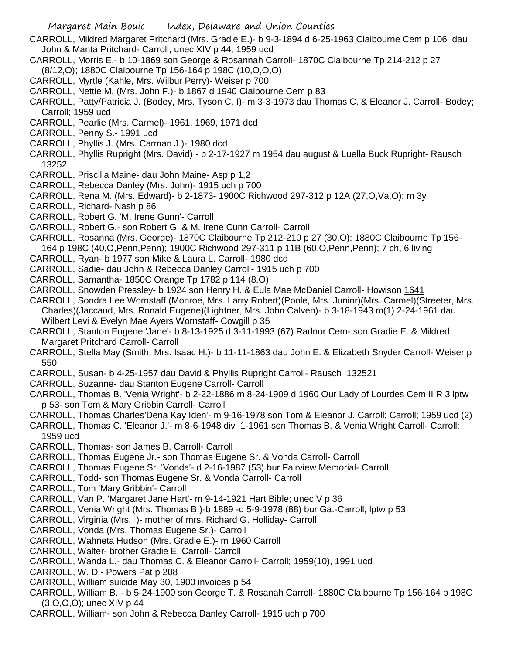- CARROLL, Mildred Margaret Pritchard (Mrs. Gradie E.)- b 9-3-1894 d 6-25-1963 Claibourne Cem p 106 dau John & Manta Pritchard- Carroll; unec XIV p 44; 1959 ucd
- CARROLL, Morris E.- b 10-1869 son George & Rosannah Carroll- 1870C Claibourne Tp 214-212 p 27 (8/12,O); 1880C Claibourne Tp 156-164 p 198C (10,O,O,O)
- CARROLL, Myrtle (Kahle, Mrs. Wilbur Perry)- Weiser p 700
- CARROLL, Nettie M. (Mrs. John F.)- b 1867 d 1940 Claibourne Cem p 83
- CARROLL, Patty/Patricia J. (Bodey, Mrs. Tyson C. I)- m 3-3-1973 dau Thomas C. & Eleanor J. Carroll- Bodey; Carroll; 1959 ucd
- CARROLL, Pearlie (Mrs. Carmel)- 1961, 1969, 1971 dcd
- CARROLL, Penny S.- 1991 ucd
- CARROLL, Phyllis J. (Mrs. Carman J.)- 1980 dcd
- CARROLL, Phyllis Rupright (Mrs. David) b 2-17-1927 m 1954 dau august & Luella Buck Rupright- Rausch 13252
- CARROLL, Priscilla Maine- dau John Maine- Asp p 1,2
- CARROLL, Rebecca Danley (Mrs. John)- 1915 uch p 700
- CARROLL, Rena M. (Mrs. Edward)- b 2-1873- 1900C Richwood 297-312 p 12A (27,O,Va,O); m 3y
- CARROLL, Richard- Nash p 86
- CARROLL, Robert G. 'M. Irene Gunn'- Carroll
- CARROLL, Robert G.- son Robert G. & M. Irene Cunn Carroll- Carroll

CARROLL, Rosanna (Mrs. George)- 1870C Claibourne Tp 212-210 p 27 (30,O); 1880C Claibourne Tp 156- 164 p 198C (40,O,Penn,Penn); 1900C Richwood 297-311 p 11B (60,O,Penn,Penn); 7 ch, 6 living

- CARROLL, Ryan- b 1977 son Mike & Laura L. Carroll- 1980 dcd
- CARROLL, Sadie- dau John & Rebecca Danley Carroll- 1915 uch p 700
- CARROLL, Samantha- 1850C Orange Tp 1782 p 114 (8,O)
- CARROLL, Snowden Pressley- b 1924 son Henry H. & Eula Mae McDaniel Carroll- Howison 1641
- CARROLL, Sondra Lee Wornstaff (Monroe, Mrs. Larry Robert)(Poole, Mrs. Junior)(Mrs. Carmel)(Streeter, Mrs. Charles)(Jaccaud, Mrs. Ronald Eugene)(Lightner, Mrs. John Calven)- b 3-18-1943 m(1) 2-24-1961 dau Wilbert Levi & Evelyn Mae Ayers Wornstaff- Cowgill p 35
- CARROLL, Stanton Eugene 'Jane'- b 8-13-1925 d 3-11-1993 (67) Radnor Cem- son Gradie E. & Mildred Margaret Pritchard Carroll- Carroll
- CARROLL, Stella May (Smith, Mrs. Isaac H.)- b 11-11-1863 dau John E. & Elizabeth Snyder Carroll- Weiser p 550
- CARROLL, Susan- b 4-25-1957 dau David & Phyllis Rupright Carroll- Rausch 132521
- CARROLL, Suzanne- dau Stanton Eugene Carroll- Carroll
- CARROLL, Thomas B. 'Venia Wright'- b 2-22-1886 m 8-24-1909 d 1960 Our Lady of Lourdes Cem II R 3 lptw p 53- son Tom & Mary Gribbin Carroll- Carroll
- CARROLL, Thomas Charles'Dena Kay Iden'- m 9-16-1978 son Tom & Eleanor J. Carroll; Carroll; 1959 ucd (2)
- CARROLL, Thomas C. 'Eleanor J.'- m 8-6-1948 div 1-1961 son Thomas B. & Venia Wright Carroll- Carroll;
- 1959 ucd
- CARROLL, Thomas- son James B. Carroll- Carroll
- CARROLL, Thomas Eugene Jr.- son Thomas Eugene Sr. & Vonda Carroll- Carroll
- CARROLL, Thomas Eugene Sr. 'Vonda'- d 2-16-1987 (53) bur Fairview Memorial- Carroll
- CARROLL, Todd- son Thomas Eugene Sr. & Vonda Carroll- Carroll
- CARROLL, Tom 'Mary Gribbin'- Carroll
- CARROLL, Van P. 'Margaret Jane Hart'- m 9-14-1921 Hart Bible; unec V p 36
- CARROLL, Venia Wright (Mrs. Thomas B.)-b 1889 -d 5-9-1978 (88) bur Ga.-Carroll; lptw p 53
- CARROLL, Virginia (Mrs. )- mother of mrs. Richard G. Holliday- Carroll
- CARROLL, Vonda (Mrs. Thomas Eugene Sr.)- Carroll
- CARROLL, Wahneta Hudson (Mrs. Gradie E.)- m 1960 Carroll
- CARROLL, Walter- brother Gradie E. Carroll- Carroll
- CARROLL, Wanda L.- dau Thomas C. & Eleanor Carroll- Carroll; 1959(10), 1991 ucd
- CARROLL, W. D.- Powers Pat p 208
- CARROLL, William suicide May 30, 1900 invoices p 54
- CARROLL, William B. b 5-24-1900 son George T. & Rosanah Carroll- 1880C Claibourne Tp 156-164 p 198C (3,O,O,O); unec XIV p 44
- CARROLL, William- son John & Rebecca Danley Carroll- 1915 uch p 700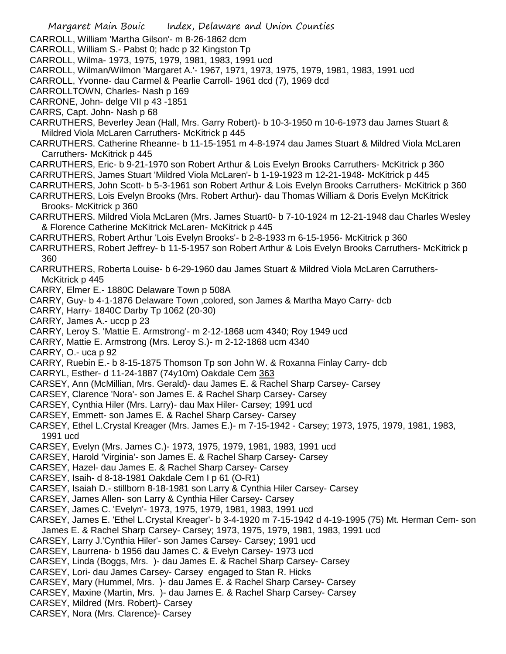Margaret Main Bouic Index, Delaware and Union Counties CARROLL, William 'Martha Gilson'- m 8-26-1862 dcm CARROLL, William S.- Pabst 0; hadc p 32 Kingston Tp CARROLL, Wilma- 1973, 1975, 1979, 1981, 1983, 1991 ucd CARROLL, Wilman/Wilmon 'Margaret A.'- 1967, 1971, 1973, 1975, 1979, 1981, 1983, 1991 ucd CARROLL, Yvonne- dau Carmel & Pearlie Carroll- 1961 dcd (7), 1969 dcd CARROLLTOWN, Charles- Nash p 169 CARRONE, John- delge VII p 43 -1851 CARRS, Capt. John- Nash p 68 CARRUTHERS, Beverley Jean (Hall, Mrs. Garry Robert)- b 10-3-1950 m 10-6-1973 dau James Stuart & Mildred Viola McLaren Carruthers- McKitrick p 445 CARRUTHERS. Catherine Rheanne- b 11-15-1951 m 4-8-1974 dau James Stuart & Mildred Viola McLaren Carruthers- McKitrick p 445 CARRUTHERS, Eric- b 9-21-1970 son Robert Arthur & Lois Evelyn Brooks Carruthers- McKitrick p 360 CARRUTHERS, James Stuart 'Mildred Viola McLaren'- b 1-19-1923 m 12-21-1948- McKitrick p 445 CARRUTHERS, John Scott- b 5-3-1961 son Robert Arthur & Lois Evelyn Brooks Carruthers- McKitrick p 360 CARRUTHERS, Lois Evelyn Brooks (Mrs. Robert Arthur)- dau Thomas William & Doris Evelyn McKitrick Brooks- McKitrick p 360 CARRUTHERS. Mildred Viola McLaren (Mrs. James Stuart0- b 7-10-1924 m 12-21-1948 dau Charles Wesley & Florence Catherine McKitrick McLaren- McKitrick p 445 CARRUTHERS, Robert Arthur 'Lois Evelyn Brooks'- b 2-8-1933 m 6-15-1956- McKitrick p 360 CARRUTHERS, Robert Jeffrey- b 11-5-1957 son Robert Arthur & Lois Evelyn Brooks Carruthers- McKitrick p 360 CARRUTHERS, Roberta Louise- b 6-29-1960 dau James Stuart & Mildred Viola McLaren Carruthers-McKitrick p 445 CARRY, Elmer E.- 1880C Delaware Town p 508A CARRY, Guy- b 4-1-1876 Delaware Town ,colored, son James & Martha Mayo Carry- dcb CARRY, Harry- 1840C Darby Tp 1062 (20-30) CARRY, James A.- uccp p 23 CARRY, Leroy S. 'Mattie E. Armstrong'- m 2-12-1868 ucm 4340; Roy 1949 ucd CARRY, Mattie E. Armstrong (Mrs. Leroy S.)- m 2-12-1868 ucm 4340 CARRY, O.- uca p 92 CARRY, Ruebin E.- b 8-15-1875 Thomson Tp son John W. & Roxanna Finlay Carry- dcb CARRYL, Esther- d 11-24-1887 (74y10m) Oakdale Cem 363 CARSEY, Ann (McMillian, Mrs. Gerald)- dau James E. & Rachel Sharp Carsey- Carsey CARSEY, Clarence 'Nora'- son James E. & Rachel Sharp Carsey- Carsey CARSEY, Cynthia Hiler (Mrs. Larry)- dau Max Hiler- Carsey; 1991 ucd CARSEY, Emmett- son James E. & Rachel Sharp Carsey- Carsey CARSEY, Ethel L.Crystal Kreager (Mrs. James E.)- m 7-15-1942 - Carsey; 1973, 1975, 1979, 1981, 1983, 1991 ucd CARSEY, Evelyn (Mrs. James C.)- 1973, 1975, 1979, 1981, 1983, 1991 ucd CARSEY, Harold 'Virginia'- son James E. & Rachel Sharp Carsey- Carsey CARSEY, Hazel- dau James E. & Rachel Sharp Carsey- Carsey CARSEY, Isaih- d 8-18-1981 Oakdale Cem I p 61 (O-R1) CARSEY, Isaiah D.- stillborn 8-18-1981 son Larry & Cynthia Hiler Carsey- Carsey CARSEY, James Allen- son Larry & Cynthia Hiler Carsey- Carsey CARSEY, James C. 'Evelyn'- 1973, 1975, 1979, 1981, 1983, 1991 ucd CARSEY, James E. 'Ethel L.Crystal Kreager'- b 3-4-1920 m 7-15-1942 d 4-19-1995 (75) Mt. Herman Cem- son James E. & Rachel Sharp Carsey- Carsey; 1973, 1975, 1979, 1981, 1983, 1991 ucd CARSEY, Larry J.'Cynthia Hiler'- son James Carsey- Carsey; 1991 ucd CARSEY, Laurrena- b 1956 dau James C. & Evelyn Carsey- 1973 ucd CARSEY, Linda (Boggs, Mrs. )- dau James E. & Rachel Sharp Carsey- Carsey CARSEY, Lori- dau James Carsey- Carsey engaged to Stan R. Hicks CARSEY, Mary (Hummel, Mrs. )- dau James E. & Rachel Sharp Carsey- Carsey CARSEY, Maxine (Martin, Mrs. )- dau James E. & Rachel Sharp Carsey- Carsey CARSEY, Mildred (Mrs. Robert)- Carsey CARSEY, Nora (Mrs. Clarence)- Carsey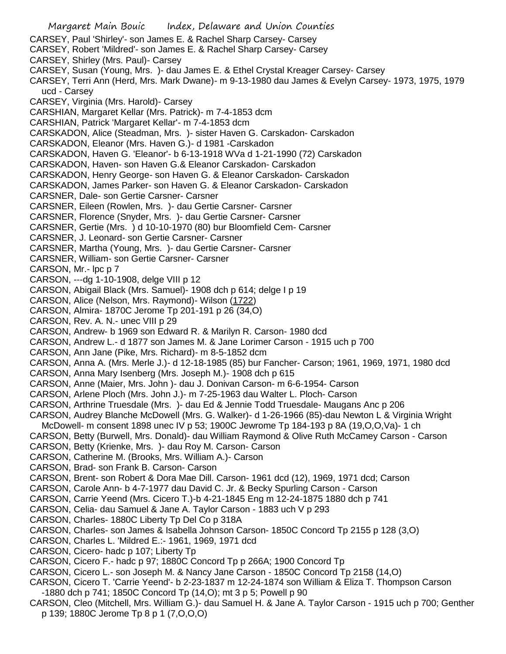Margaret Main Bouic Index, Delaware and Union Counties CARSEY, Paul 'Shirley'- son James E. & Rachel Sharp Carsey- Carsey CARSEY, Robert 'Mildred'- son James E. & Rachel Sharp Carsey- Carsey CARSEY, Shirley (Mrs. Paul)- Carsey CARSEY, Susan (Young, Mrs. )- dau James E. & Ethel Crystal Kreager Carsey- Carsey CARSEY, Terri Ann (Herd, Mrs. Mark Dwane)- m 9-13-1980 dau James & Evelyn Carsey- 1973, 1975, 1979 ucd - Carsey CARSEY, Virginia (Mrs. Harold)- Carsey CARSHIAN, Margaret Kellar (Mrs. Patrick)- m 7-4-1853 dcm CARSHIAN, Patrick 'Margaret Kellar'- m 7-4-1853 dcm CARSKADON, Alice (Steadman, Mrs. )- sister Haven G. Carskadon- Carskadon CARSKADON, Eleanor (Mrs. Haven G.)- d 1981 -Carskadon CARSKADON, Haven G. 'Eleanor'- b 6-13-1918 WVa d 1-21-1990 (72) Carskadon CARSKADON, Haven- son Haven G.& Eleanor Carskadon- Carskadon CARSKADON, Henry George- son Haven G. & Eleanor Carskadon- Carskadon CARSKADON, James Parker- son Haven G. & Eleanor Carskadon- Carskadon CARSNER, Dale- son Gertie Carsner- Carsner CARSNER, Eileen (Rowlen, Mrs. )- dau Gertie Carsner- Carsner CARSNER, Florence (Snyder, Mrs. )- dau Gertie Carsner- Carsner CARSNER, Gertie (Mrs. ) d 10-10-1970 (80) bur Bloomfield Cem- Carsner CARSNER, J. Leonard- son Gertie Carsner- Carsner CARSNER, Martha (Young, Mrs. )- dau Gertie Carsner- Carsner CARSNER, William- son Gertie Carsner- Carsner CARSON, Mr.- lpc p 7 CARSON, ---dg 1-10-1908, delge VIII p 12 CARSON, Abigail Black (Mrs. Samuel)- 1908 dch p 614; delge I p 19 CARSON, Alice (Nelson, Mrs. Raymond)- Wilson (1722) CARSON, Almira- 1870C Jerome Tp 201-191 p 26 (34,O) CARSON, Rev. A. N.- unec VIII p 29 CARSON, Andrew- b 1969 son Edward R. & Marilyn R. Carson- 1980 dcd CARSON, Andrew L.- d 1877 son James M. & Jane Lorimer Carson - 1915 uch p 700 CARSON, Ann Jane (Pike, Mrs. Richard)- m 8-5-1852 dcm CARSON, Anna A. (Mrs. Merle J.)- d 12-18-1985 (85) bur Fancher- Carson; 1961, 1969, 1971, 1980 dcd CARSON, Anna Mary Isenberg (Mrs. Joseph M.)- 1908 dch p 615 CARSON, Anne (Maier, Mrs. John )- dau J. Donivan Carson- m 6-6-1954- Carson CARSON, Arlene Ploch (Mrs. John J.)- m 7-25-1963 dau Walter L. Ploch- Carson CARSON, Arthrine Truesdale (Mrs. )- dau Ed & Jennie Todd Truesdale- Maugans Anc p 206 CARSON, Audrey Blanche McDowell (Mrs. G. Walker)- d 1-26-1966 (85)-dau Newton L & Virginia Wright McDowell- m consent 1898 unec IV p 53; 1900C Jewrome Tp 184-193 p 8A (19,O,O,Va)- 1 ch CARSON, Betty (Burwell, Mrs. Donald)- dau William Raymond & Olive Ruth McCamey Carson - Carson CARSON, Betty (Krienke, Mrs. )- dau Roy M. Carson- Carson CARSON, Catherine M. (Brooks, Mrs. William A.)- Carson CARSON, Brad- son Frank B. Carson- Carson CARSON, Brent- son Robert & Dora Mae Dill. Carson- 1961 dcd (12), 1969, 1971 dcd; Carson CARSON, Carole Ann- b 4-7-1977 dau David C. Jr. & Becky Spurling Carson - Carson CARSON, Carrie Yeend (Mrs. Cicero T.)-b 4-21-1845 Eng m 12-24-1875 1880 dch p 741 CARSON, Celia- dau Samuel & Jane A. Taylor Carson - 1883 uch V p 293 CARSON, Charles- 1880C Liberty Tp Del Co p 318A CARSON, Charles- son James & Isabella Johnson Carson- 1850C Concord Tp 2155 p 128 (3,O) CARSON, Charles L. 'Mildred E.:- 1961, 1969, 1971 dcd CARSON, Cicero- hadc p 107; Liberty Tp CARSON, Cicero F.- hadc p 97; 1880C Concord Tp p 266A; 1900 Concord Tp CARSON, Cicero L.- son Joseph M. & Nancy Jane Carson - 1850C Concord Tp 2158 (14,O) CARSON, Cicero T. 'Carrie Yeend'- b 2-23-1837 m 12-24-1874 son William & Eliza T. Thompson Carson -1880 dch p 741; 1850C Concord Tp (14,O); mt 3 p 5; Powell p 90 CARSON, Cleo (Mitchell, Mrs. William G.)- dau Samuel H. & Jane A. Taylor Carson - 1915 uch p 700; Genther p 139; 1880C Jerome Tp 8 p 1 (7,O,O,O)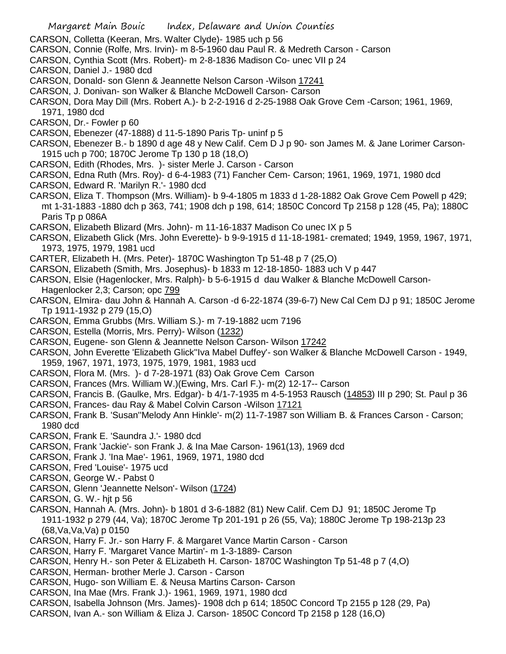- CARSON, Colletta (Keeran, Mrs. Walter Clyde)- 1985 uch p 56
- CARSON, Connie (Rolfe, Mrs. Irvin)- m 8-5-1960 dau Paul R. & Medreth Carson Carson
- CARSON, Cynthia Scott (Mrs. Robert)- m 2-8-1836 Madison Co- unec VII p 24
- CARSON, Daniel J.- 1980 dcd
- CARSON, Donald- son Glenn & Jeannette Nelson Carson -Wilson 17241
- CARSON, J. Donivan- son Walker & Blanche McDowell Carson- Carson
- CARSON, Dora May Dill (Mrs. Robert A.)- b 2-2-1916 d 2-25-1988 Oak Grove Cem -Carson; 1961, 1969, 1971, 1980 dcd
- CARSON, Dr.- Fowler p 60
- CARSON, Ebenezer (47-1888) d 11-5-1890 Paris Tp- uninf p 5
- CARSON, Ebenezer B.- b 1890 d age 48 y New Calif. Cem D J p 90- son James M. & Jane Lorimer Carson-1915 uch p 700; 1870C Jerome Tp 130 p 18 (18,O)
- CARSON, Edith (Rhodes, Mrs. )- sister Merle J. Carson Carson
- CARSON, Edna Ruth (Mrs. Roy)- d 6-4-1983 (71) Fancher Cem- Carson; 1961, 1969, 1971, 1980 dcd
- CARSON, Edward R. 'Marilyn R.'- 1980 dcd
- CARSON, Eliza T. Thompson (Mrs. William)- b 9-4-1805 m 1833 d 1-28-1882 Oak Grove Cem Powell p 429; mt 1-31-1883 -1880 dch p 363, 741; 1908 dch p 198, 614; 1850C Concord Tp 2158 p 128 (45, Pa); 1880C Paris Tp p 086A
- CARSON, Elizabeth Blizard (Mrs. John)- m 11-16-1837 Madison Co unec IX p 5
- CARSON, Elizabeth Glick (Mrs. John Everette)- b 9-9-1915 d 11-18-1981- cremated; 1949, 1959, 1967, 1971, 1973, 1975, 1979, 1981 ucd
- CARTER, Elizabeth H. (Mrs. Peter)- 1870C Washington Tp 51-48 p 7 (25,O)
- CARSON, Elizabeth (Smith, Mrs. Josephus)- b 1833 m 12-18-1850- 1883 uch V p 447
- CARSON, Elsie (Hagenlocker, Mrs. Ralph)- b 5-6-1915 d dau Walker & Blanche McDowell Carson-Hagenlocker 2,3; Carson; opc 799
- CARSON, Elmira- dau John & Hannah A. Carson -d 6-22-1874 (39-6-7) New Cal Cem DJ p 91; 1850C Jerome Tp 1911-1932 p 279 (15,O)
- CARSON, Emma Grubbs (Mrs. William S.)- m 7-19-1882 ucm 7196
- CARSON, Estella (Morris, Mrs. Perry)- Wilson (1232)
- CARSON, Eugene- son Glenn & Jeannette Nelson Carson- Wilson 17242
- CARSON, John Everette 'Elizabeth Glick''Iva Mabel Duffey'- son Walker & Blanche McDowell Carson 1949,
- 1959, 1967, 1971, 1973, 1975, 1979, 1981, 1983 ucd
- CARSON, Flora M. (Mrs. )- d 7-28-1971 (83) Oak Grove Cem Carson
- CARSON, Frances (Mrs. William W.)(Ewing, Mrs. Carl F.)- m(2) 12-17-- Carson
- CARSON, Francis B. (Gaulke, Mrs. Edgar)- b 4/1-7-1935 m 4-5-1953 Rausch (14853) III p 290; St. Paul p 36
- CARSON, Frances- dau Ray & Mabel Colvin Carson -Wilson 17121
- CARSON, Frank B. 'Susan''Melody Ann Hinkle'- m(2) 11-7-1987 son William B. & Frances Carson Carson; 1980 dcd
- CARSON, Frank E. 'Saundra J.'- 1980 dcd
- CARSON, Frank 'Jackie'- son Frank J. & Ina Mae Carson- 1961(13), 1969 dcd
- CARSON, Frank J. 'Ina Mae'- 1961, 1969, 1971, 1980 dcd
- CARSON, Fred 'Louise'- 1975 ucd
- CARSON, George W.- Pabst 0
- CARSON, Glenn 'Jeannette Nelson'- Wilson (1724)
- CARSON, G. W.- hjt p 56
- CARSON, Hannah A. (Mrs. John)- b 1801 d 3-6-1882 (81) New Calif. Cem DJ 91; 1850C Jerome Tp 1911-1932 p 279 (44, Va); 1870C Jerome Tp 201-191 p 26 (55, Va); 1880C Jerome Tp 198-213p 23 (68,Va,Va,Va) p 0150
- CARSON, Harry F. Jr.- son Harry F. & Margaret Vance Martin Carson Carson
- CARSON, Harry F. 'Margaret Vance Martin'- m 1-3-1889- Carson
- CARSON, Henry H.- son Peter & ELizabeth H. Carson- 1870C Washington Tp 51-48 p 7 (4,O)
- CARSON, Herman- brother Merle J. Carson Carson
- CARSON, Hugo- son William E. & Neusa Martins Carson- Carson
- CARSON, Ina Mae (Mrs. Frank J.)- 1961, 1969, 1971, 1980 dcd
- CARSON, Isabella Johnson (Mrs. James)- 1908 dch p 614; 1850C Concord Tp 2155 p 128 (29, Pa)
- CARSON, Ivan A.- son William & Eliza J. Carson- 1850C Concord Tp 2158 p 128 (16,O)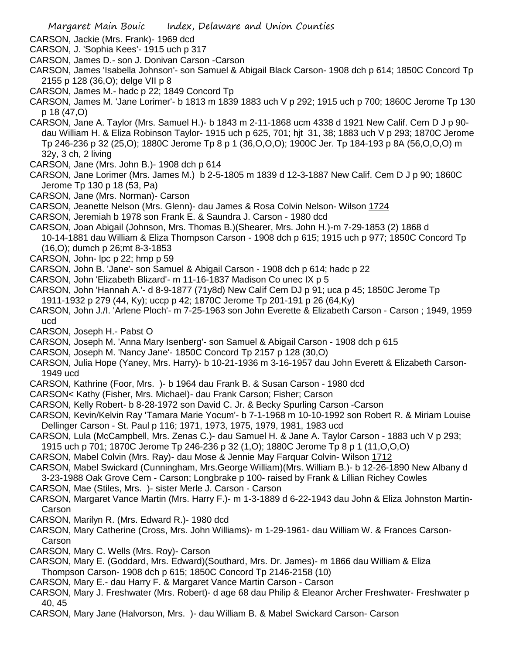- CARSON, Jackie (Mrs. Frank)- 1969 dcd
- CARSON, J. 'Sophia Kees'- 1915 uch p 317
- CARSON, James D.- son J. Donivan Carson -Carson
- CARSON, James 'Isabella Johnson'- son Samuel & Abigail Black Carson- 1908 dch p 614; 1850C Concord Tp 2155 p 128 (36,O); delge VII p 8
- CARSON, James M.- hadc p 22; 1849 Concord Tp
- CARSON, James M. 'Jane Lorimer'- b 1813 m 1839 1883 uch V p 292; 1915 uch p 700; 1860C Jerome Tp 130 p 18 (47,O)
- CARSON, Jane A. Taylor (Mrs. Samuel H.)- b 1843 m 2-11-1868 ucm 4338 d 1921 New Calif. Cem D J p 90 dau William H. & Eliza Robinson Taylor- 1915 uch p 625, 701; hjt 31, 38; 1883 uch V p 293; 1870C Jerome Tp 246-236 p 32 (25,O); 1880C Jerome Tp 8 p 1 (36,O,O,O); 1900C Jer. Tp 184-193 p 8A (56,O,O,O) m 32y, 3 ch, 2 living
- CARSON, Jane (Mrs. John B.)- 1908 dch p 614
- CARSON, Jane Lorimer (Mrs. James M.) b 2-5-1805 m 1839 d 12-3-1887 New Calif. Cem D J p 90; 1860C Jerome Tp 130 p 18 (53, Pa)
- CARSON, Jane (Mrs. Norman)- Carson
- CARSON, Jeanette Nelson (Mrs. Glenn)- dau James & Rosa Colvin Nelson- Wilson 1724
- CARSON, Jeremiah b 1978 son Frank E. & Saundra J. Carson 1980 dcd
- CARSON, Joan Abigail (Johnson, Mrs. Thomas B.)(Shearer, Mrs. John H.)-m 7-29-1853 (2) 1868 d
- 10-14-1881 dau William & Eliza Thompson Carson 1908 dch p 615; 1915 uch p 977; 1850C Concord Tp (16,O); dumch p 26;mt 8-3-1853
- CARSON, John- lpc p 22; hmp p 59
- CARSON, John B. 'Jane'- son Samuel & Abigail Carson 1908 dch p 614; hadc p 22
- CARSON, John 'Elizabeth Blizard'- m 11-16-1837 Madison Co unec IX p 5
- CARSON, John 'Hannah A.'- d 8-9-1877 (71y8d) New Calif Cem DJ p 91; uca p 45; 1850C Jerome Tp 1911-1932 p 279 (44, Ky); uccp p 42; 1870C Jerome Tp 201-191 p 26 (64,Ky)
- CARSON, John J./I. 'Arlene Ploch'- m 7-25-1963 son John Everette & Elizabeth Carson Carson ; 1949, 1959 ucd
- CARSON, Joseph H.- Pabst O
- CARSON, Joseph M. 'Anna Mary Isenberg'- son Samuel & Abigail Carson 1908 dch p 615
- CARSON, Joseph M. 'Nancy Jane'- 1850C Concord Tp 2157 p 128 (30,O)
- CARSON, Julia Hope (Yaney, Mrs. Harry)- b 10-21-1936 m 3-16-1957 dau John Everett & Elizabeth Carson-1949 ucd
- CARSON, Kathrine (Foor, Mrs. )- b 1964 dau Frank B. & Susan Carson 1980 dcd
- CARSON< Kathy (Fisher, Mrs. Michael)- dau Frank Carson; Fisher; Carson
- CARSON, Kelly Robert- b 8-28-1972 son David C. Jr. & Becky Spurling Carson -Carson
- CARSON, Kevin/Kelvin Ray 'Tamara Marie Yocum'- b 7-1-1968 m 10-10-1992 son Robert R. & Miriam Louise Dellinger Carson - St. Paul p 116; 1971, 1973, 1975, 1979, 1981, 1983 ucd
- CARSON, Lula (McCampbell, Mrs. Zenas C.)- dau Samuel H. & Jane A. Taylor Carson 1883 uch V p 293;
- 1915 uch p 701; 1870C Jerome Tp 246-236 p 32 (1,O); 1880C Jerome Tp 8 p 1 (11,O,O,O)
- CARSON, Mabel Colvin (Mrs. Ray)- dau Mose & Jennie May Farquar Colvin- Wilson 1712
- CARSON, Mabel Swickard (Cunningham, Mrs.George William)(Mrs. William B.)- b 12-26-1890 New Albany d 3-23-1988 Oak Grove Cem - Carson; Longbrake p 100- raised by Frank & Lillian Richey Cowles
- CARSON, Mae (Stiles, Mrs. )- sister Merle J. Carson Carson
- CARSON, Margaret Vance Martin (Mrs. Harry F.)- m 1-3-1889 d 6-22-1943 dau John & Eliza Johnston Martin-Carson
- CARSON, Marilyn R. (Mrs. Edward R.)- 1980 dcd
- CARSON, Mary Catherine (Cross, Mrs. John Williams)- m 1-29-1961- dau William W. & Frances Carson-Carson
- CARSON, Mary C. Wells (Mrs. Roy)- Carson
- CARSON, Mary E. (Goddard, Mrs. Edward)(Southard, Mrs. Dr. James)- m 1866 dau William & Eliza Thompson Carson- 1908 dch p 615; 1850C Concord Tp 2146-2158 (10)
- CARSON, Mary E.- dau Harry F. & Margaret Vance Martin Carson Carson
- CARSON, Mary J. Freshwater (Mrs. Robert)- d age 68 dau Philip & Eleanor Archer Freshwater- Freshwater p 40, 45
- CARSON, Mary Jane (Halvorson, Mrs. )- dau William B. & Mabel Swickard Carson- Carson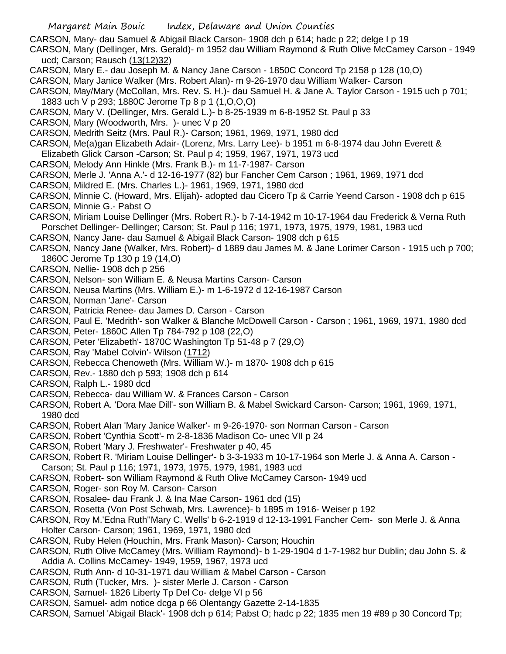CARSON, Mary- dau Samuel & Abigail Black Carson- 1908 dch p 614; hadc p 22; delge I p 19

CARSON, Mary (Dellinger, Mrs. Gerald)- m 1952 dau William Raymond & Ruth Olive McCamey Carson - 1949 ucd; Carson; Rausch (13(12)32)

- CARSON, Mary E.- dau Joseph M. & Nancy Jane Carson 1850C Concord Tp 2158 p 128 (10,O)
- CARSON, Mary Janice Walker (Mrs. Robert Alan)- m 9-26-1970 dau William Walker- Carson
- CARSON, May/Mary (McCollan, Mrs. Rev. S. H.)- dau Samuel H. & Jane A. Taylor Carson 1915 uch p 701; 1883 uch V p 293; 1880C Jerome Tp 8 p 1 (1,O,O,O)
- CARSON, Mary V. (Dellinger, Mrs. Gerald L.)- b 8-25-1939 m 6-8-1952 St. Paul p 33
- CARSON, Mary (Woodworth, Mrs. )- unec V p 20
- CARSON, Medrith Seitz (Mrs. Paul R.)- Carson; 1961, 1969, 1971, 1980 dcd
- CARSON, Me(a)gan Elizabeth Adair- (Lorenz, Mrs. Larry Lee)- b 1951 m 6-8-1974 dau John Everett & Elizabeth Glick Carson -Carson; St. Paul p 4; 1959, 1967, 1971, 1973 ucd
- CARSON, Melody Ann Hinkle (Mrs. Frank B.)- m 11-7-1987- Carson
- CARSON, Merle J. 'Anna A.'- d 12-16-1977 (82) bur Fancher Cem Carson ; 1961, 1969, 1971 dcd
- CARSON, Mildred E. (Mrs. Charles L.)- 1961, 1969, 1971, 1980 dcd
- CARSON, Minnie C. (Howard, Mrs. Elijah)- adopted dau Cicero Tp & Carrie Yeend Carson 1908 dch p 615
- CARSON, Minnie G.- Pabst O
- CARSON, Miriam Louise Dellinger (Mrs. Robert R.)- b 7-14-1942 m 10-17-1964 dau Frederick & Verna Ruth Porschet Dellinger- Dellinger; Carson; St. Paul p 116; 1971, 1973, 1975, 1979, 1981, 1983 ucd
- CARSON, Nancy Jane- dau Samuel & Abigail Black Carson- 1908 dch p 615
- CARSON, Nancy Jane (Walker, Mrs. Robert)- d 1889 dau James M. & Jane Lorimer Carson 1915 uch p 700; 1860C Jerome Tp 130 p 19 (14,O)
- CARSON, Nellie- 1908 dch p 256
- CARSON, Nelson- son William E. & Neusa Martins Carson- Carson
- CARSON, Neusa Martins (Mrs. William E.)- m 1-6-1972 d 12-16-1987 Carson
- CARSON, Norman 'Jane'- Carson
- CARSON, Patricia Renee- dau James D. Carson Carson
- CARSON, Paul E. 'Medrith'- son Walker & Blanche McDowell Carson Carson ; 1961, 1969, 1971, 1980 dcd
- CARSON, Peter- 1860C Allen Tp 784-792 p 108 (22,O)
- CARSON, Peter 'Elizabeth'- 1870C Washington Tp 51-48 p 7 (29,O)
- CARSON, Ray 'Mabel Colvin'- Wilson (1712)
- CARSON, Rebecca Chenoweth (Mrs. William W.)- m 1870- 1908 dch p 615
- CARSON, Rev.- 1880 dch p 593; 1908 dch p 614
- CARSON, Ralph L.- 1980 dcd
- CARSON, Rebecca- dau William W. & Frances Carson Carson
- CARSON, Robert A. 'Dora Mae Dill'- son William B. & Mabel Swickard Carson- Carson; 1961, 1969, 1971, 1980 dcd
- CARSON, Robert Alan 'Mary Janice Walker'- m 9-26-1970- son Norman Carson Carson
- CARSON, Robert 'Cynthia Scott'- m 2-8-1836 Madison Co- unec VII p 24
- CARSON, Robert 'Mary J. Freshwater'- Freshwater p 40, 45
- CARSON, Robert R. 'Miriam Louise Dellinger'- b 3-3-1933 m 10-17-1964 son Merle J. & Anna A. Carson Carson; St. Paul p 116; 1971, 1973, 1975, 1979, 1981, 1983 ucd
- CARSON, Robert- son William Raymond & Ruth Olive McCamey Carson- 1949 ucd
- CARSON, Roger- son Roy M. Carson- Carson
- CARSON, Rosalee- dau Frank J. & Ina Mae Carson- 1961 dcd (15)
- CARSON, Rosetta (Von Post Schwab, Mrs. Lawrence)- b 1895 m 1916- Weiser p 192
- CARSON, Roy M.'Edna Ruth''Mary C. Wells' b 6-2-1919 d 12-13-1991 Fancher Cem- son Merle J. & Anna Holter Carson- Carson; 1961, 1969, 1971, 1980 dcd
- CARSON, Ruby Helen (Houchin, Mrs. Frank Mason)- Carson; Houchin
- CARSON, Ruth Olive McCamey (Mrs. William Raymond)- b 1-29-1904 d 1-7-1982 bur Dublin; dau John S. & Addia A. Collins McCamey- 1949, 1959, 1967, 1973 ucd
- CARSON, Ruth Ann- d 10-31-1971 dau William & Mabel Carson Carson
- CARSON, Ruth (Tucker, Mrs. )- sister Merle J. Carson Carson
- CARSON, Samuel- 1826 Liberty Tp Del Co- delge VI p 56
- CARSON, Samuel- adm notice dcga p 66 Olentangy Gazette 2-14-1835
- CARSON, Samuel 'Abigail Black'- 1908 dch p 614; Pabst O; hadc p 22; 1835 men 19 #89 p 30 Concord Tp;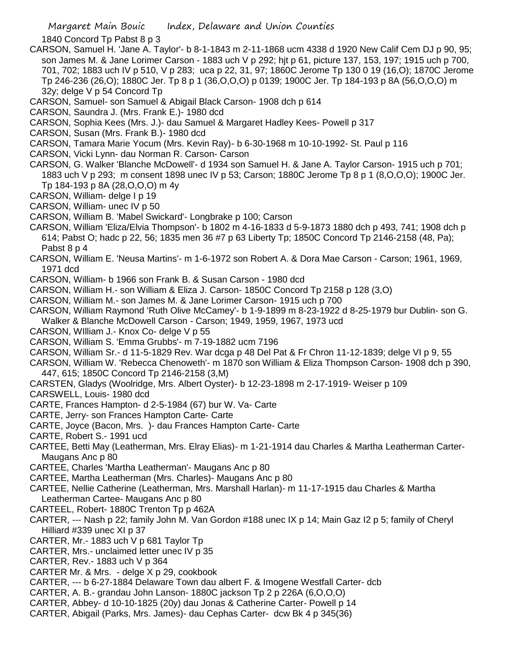1840 Concord Tp Pabst 8 p 3

- CARSON, Samuel H. 'Jane A. Taylor'- b 8-1-1843 m 2-11-1868 ucm 4338 d 1920 New Calif Cem DJ p 90, 95; son James M. & Jane Lorimer Carson - 1883 uch V p 292; hjt p 61, picture 137, 153, 197; 1915 uch p 700, 701, 702; 1883 uch IV p 510, V p 283; uca p 22, 31, 97; 1860C Jerome Tp 130 0 19 (16,O); 1870C Jerome Tp 246-236 (26,O); 1880C Jer. Tp 8 p 1 (36,O,O,O) p 0139; 1900C Jer. Tp 184-193 p 8A (56,O,O,O) m 32y; delge V p 54 Concord Tp
- CARSON, Samuel- son Samuel & Abigail Black Carson- 1908 dch p 614
- CARSON, Saundra J. (Mrs. Frank E.)- 1980 dcd
- CARSON, Sophia Kees (Mrs. J.)- dau Samuel & Margaret Hadley Kees- Powell p 317
- CARSON, Susan (Mrs. Frank B.)- 1980 dcd
- CARSON, Tamara Marie Yocum (Mrs. Kevin Ray)- b 6-30-1968 m 10-10-1992- St. Paul p 116
- CARSON, Vicki Lynn- dau Norman R. Carson- Carson
- CARSON, G. Walker 'Blanche McDowell'- d 1934 son Samuel H. & Jane A. Taylor Carson- 1915 uch p 701; 1883 uch V p 293; m consent 1898 unec IV p 53; Carson; 1880C Jerome Tp 8 p 1 (8,O,O,O); 1900C Jer. Tp 184-193 p 8A (28,O,O,O) m 4y
- CARSON, William- delge I p 19
- CARSON, William- unec IV p 50
- CARSON, William B. 'Mabel Swickard'- Longbrake p 100; Carson
- CARSON, William 'Eliza/Elvia Thompson'- b 1802 m 4-16-1833 d 5-9-1873 1880 dch p 493, 741; 1908 dch p 614; Pabst O; hadc p 22, 56; 1835 men 36 #7 p 63 Liberty Tp; 1850C Concord Tp 2146-2158 (48, Pa); Pabst 8 p 4
- CARSON, William E. 'Neusa Martins'- m 1-6-1972 son Robert A. & Dora Mae Carson Carson; 1961, 1969, 1971 dcd
- CARSON, William- b 1966 son Frank B. & Susan Carson 1980 dcd
- CARSON, William H.- son William & Eliza J. Carson- 1850C Concord Tp 2158 p 128 (3,O)
- CARSON, William M.- son James M. & Jane Lorimer Carson- 1915 uch p 700
- CARSON, William Raymond 'Ruth Olive McCamey'- b 1-9-1899 m 8-23-1922 d 8-25-1979 bur Dublin- son G. Walker & Blanche McDowell Carson - Carson; 1949, 1959, 1967, 1973 ucd
- CARSON, WIlliam J.- Knox Co- delge V p 55
- CARSON, William S. 'Emma Grubbs'- m 7-19-1882 ucm 7196
- CARSON, William Sr.- d 11-5-1829 Rev. War dcga p 48 Del Pat & Fr Chron 11-12-1839; delge VI p 9, 55
- CARSON, William W. 'Rebecca Chenoweth'- m 1870 son William & Eliza Thompson Carson- 1908 dch p 390, 447, 615; 1850C Concord Tp 2146-2158 (3,M)
- CARSTEN, Gladys (Woolridge, Mrs. Albert Oyster)- b 12-23-1898 m 2-17-1919- Weiser p 109
- CARSWELL, Louis- 1980 dcd
- CARTE, Frances Hampton- d 2-5-1984 (67) bur W. Va- Carte
- CARTE, Jerry- son Frances Hampton Carte- Carte
- CARTE, Joyce (Bacon, Mrs. )- dau Frances Hampton Carte- Carte
- CARTE, Robert S.- 1991 ucd
- CARTEE, Betti May (Leatherman, Mrs. Elray Elias)- m 1-21-1914 dau Charles & Martha Leatherman Carter-Maugans Anc p 80
- CARTEE, Charles 'Martha Leatherman'- Maugans Anc p 80
- CARTEE, Martha Leatherman (Mrs. Charles)- Maugans Anc p 80
- CARTEE, Nellie Catherine (Leatherman, Mrs. Marshall Harlan)- m 11-17-1915 dau Charles & Martha Leatherman Cartee- Maugans Anc p 80
- CARTEEL, Robert- 1880C Trenton Tp p 462A
- CARTER, --- Nash p 22; family John M. Van Gordon #188 unec IX p 14; Main Gaz I2 p 5; family of Cheryl Hilliard #339 unec XI p 37
- CARTER, Mr.- 1883 uch V p 681 Taylor Tp
- CARTER, Mrs.- unclaimed letter unec IV p 35
- CARTER, Rev.- 1883 uch V p 364
- CARTER Mr. & Mrs. delge X p 29, cookbook
- CARTER, --- b 6-27-1884 Delaware Town dau albert F. & Imogene Westfall Carter- dcb
- CARTER, A. B.- grandau John Lanson- 1880C jackson Tp 2 p 226A (6,O,O,O)
- CARTER, Abbey- d 10-10-1825 (20y) dau Jonas & Catherine Carter- Powell p 14
- CARTER, Abigail (Parks, Mrs. James)- dau Cephas Carter- dcw Bk 4 p 345(36)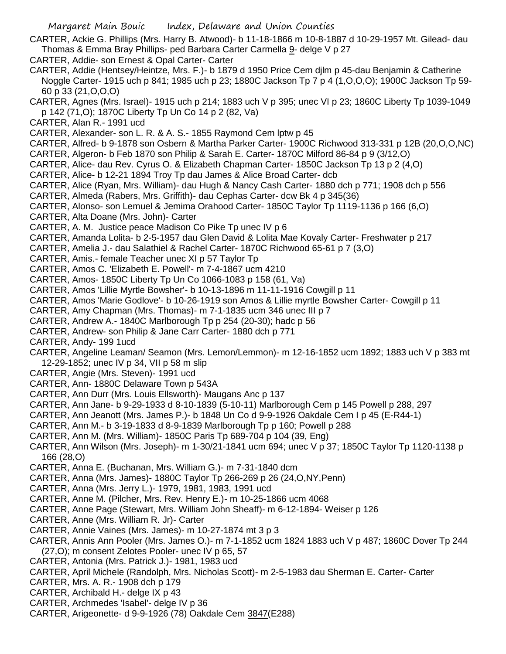- CARTER, Ackie G. Phillips (Mrs. Harry B. Atwood)- b 11-18-1866 m 10-8-1887 d 10-29-1957 Mt. Gilead- dau Thomas & Emma Bray Phillips- ped Barbara Carter Carmella 9- delge V p 27
- CARTER, Addie- son Ernest & Opal Carter- Carter
- CARTER, Addie (Hentsey/Heintze, Mrs. F.)- b 1879 d 1950 Price Cem djlm p 45-dau Benjamin & Catherine Noggle Carter- 1915 uch p 841; 1985 uch p 23; 1880C Jackson Tp 7 p 4 (1,O,O,O); 1900C Jackson Tp 59- 60 p 33 (21,O,O,O)
- CARTER, Agnes (Mrs. Israel)- 1915 uch p 214; 1883 uch V p 395; unec VI p 23; 1860C Liberty Tp 1039-1049 p 142 (71,O); 1870C Liberty Tp Un Co 14 p 2 (82, Va)
- CARTER, Alan R.- 1991 ucd
- CARTER, Alexander- son L. R. & A. S.- 1855 Raymond Cem lptw p 45
- CARTER, Alfred- b 9-1878 son Osbern & Martha Parker Carter- 1900C Richwood 313-331 p 12B (20,O,O,NC)
- CARTER, Algeron- b Feb 1870 son Philip & Sarah E. Carter- 1870C Milford 86-84 p 9 (3/12,O)
- CARTER, Alice- dau Rev. Cyrus O. & Elizabeth Chapman Carter- 1850C Jackson Tp 13 p 2 (4,O)
- CARTER, Alice- b 12-21 1894 Troy Tp dau James & Alice Broad Carter- dcb
- CARTER, Alice (Ryan, Mrs. William)- dau Hugh & Nancy Cash Carter- 1880 dch p 771; 1908 dch p 556
- CARTER, Almeda (Rabers, Mrs. Griffith)- dau Cephas Carter- dcw Bk 4 p 345(36)
- CARTER, Alonso- son Lemuel & Jemima Orahood Carter- 1850C Taylor Tp 1119-1136 p 166 (6,O)
- CARTER, Alta Doane (Mrs. John)- Carter
- CARTER, A. M. Justice peace Madison Co Pike Tp unec IV p 6
- CARTER, Amanda Lolita- b 2-5-1957 dau Glen David & Lolita Mae Kovaly Carter- Freshwater p 217
- CARTER, Amelia J.- dau Salathiel & Rachel Carter- 1870C Richwood 65-61 p 7 (3,O)
- CARTER, Amis.- female Teacher unec XI p 57 Taylor Tp
- CARTER, Amos C. 'Elizabeth E. Powell'- m 7-4-1867 ucm 4210
- CARTER, Amos- 1850C Liberty Tp Un Co 1066-1083 p 158 (61, Va)
- CARTER, Amos 'Lillie Myrtle Bowsher'- b 10-13-1896 m 11-11-1916 Cowgill p 11
- CARTER, Amos 'Marie Godlove'- b 10-26-1919 son Amos & Lillie myrtle Bowsher Carter- Cowgill p 11
- CARTER, Amy Chapman (Mrs. Thomas)- m 7-1-1835 ucm 346 unec III p 7
- CARTER, Andrew A.- 1840C Marlborough Tp p 254 (20-30); hadc p 56
- CARTER, Andrew- son Philip & Jane Carr Carter- 1880 dch p 771
- CARTER, Andy- 199 1ucd
- CARTER, Angeline Leaman/ Seamon (Mrs. Lemon/Lemmon)- m 12-16-1852 ucm 1892; 1883 uch V p 383 mt 12-29-1852; unec IV p 34, VII p 58 m slip
- CARTER, Angie (Mrs. Steven)- 1991 ucd
- CARTER, Ann- 1880C Delaware Town p 543A
- CARTER, Ann Durr (Mrs. Louis Ellsworth)- Maugans Anc p 137
- CARTER, Ann Jane- b 9-29-1933 d 8-10-1839 (5-10-11) Marlborough Cem p 145 Powell p 288, 297
- CARTER, Ann Jeanott (Mrs. James P.)- b 1848 Un Co d 9-9-1926 Oakdale Cem I p 45 (E-R44-1)
- CARTER, Ann M.- b 3-19-1833 d 8-9-1839 Marlborough Tp p 160; Powell p 288
- CARTER, Ann M. (Mrs. William)- 1850C Paris Tp 689-704 p 104 (39, Eng)
- CARTER, Ann Wilson (Mrs. Joseph)- m 1-30/21-1841 ucm 694; unec V p 37; 1850C Taylor Tp 1120-1138 p 166 (28,O)
- CARTER, Anna E. (Buchanan, Mrs. William G.)- m 7-31-1840 dcm
- CARTER, Anna (Mrs. James)- 1880C Taylor Tp 266-269 p 26 (24,O,NY,Penn)
- CARTER, Anna (Mrs. Jerry L.)- 1979, 1981, 1983, 1991 ucd
- CARTER, Anne M. (Pilcher, Mrs. Rev. Henry E.)- m 10-25-1866 ucm 4068
- CARTER, Anne Page (Stewart, Mrs. William John Sheaff)- m 6-12-1894- Weiser p 126
- CARTER, Anne (Mrs. William R. Jr)- Carter
- CARTER, Annie Vaines (Mrs. James)- m 10-27-1874 mt 3 p 3
- CARTER, Annis Ann Pooler (Mrs. James O.)- m 7-1-1852 ucm 1824 1883 uch V p 487; 1860C Dover Tp 244
- (27,O); m consent Zelotes Pooler- unec IV p 65, 57
- CARTER, Antonia (Mrs. Patrick J.)- 1981, 1983 ucd
- CARTER, April Michele (Randolph, Mrs. Nicholas Scott)- m 2-5-1983 dau Sherman E. Carter- Carter
- CARTER, Mrs. A. R.- 1908 dch p 179
- CARTER, Archibald H.- delge IX p 43
- CARTER, Archmedes 'Isabel'- delge IV p 36
- CARTER, Arigeonette- d 9-9-1926 (78) Oakdale Cem 3847(E288)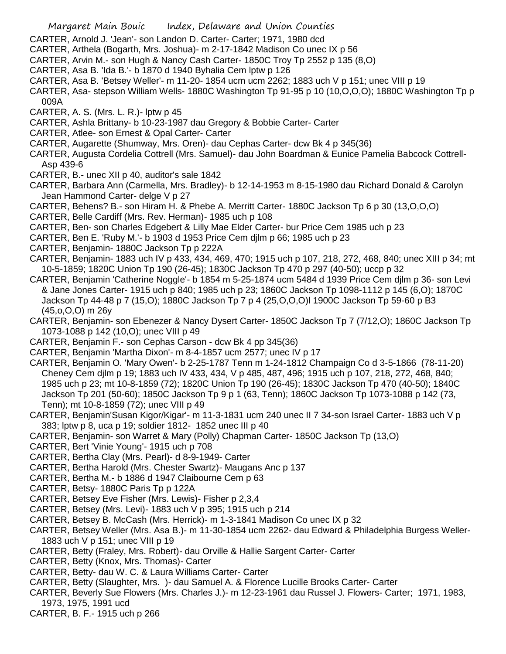- CARTER, Arnold J. 'Jean'- son Landon D. Carter- Carter; 1971, 1980 dcd
- CARTER, Arthela (Bogarth, Mrs. Joshua)- m 2-17-1842 Madison Co unec IX p 56
- CARTER, Arvin M.- son Hugh & Nancy Cash Carter- 1850C Troy Tp 2552 p 135 (8,O)
- CARTER, Asa B. 'Ida B.'- b 1870 d 1940 Byhalia Cem lptw p 126
- CARTER, Asa B. 'Betsey Weller'- m 11-20- 1854 ucm ucm 2262; 1883 uch V p 151; unec VIII p 19
- CARTER, Asa- stepson William Wells- 1880C Washington Tp 91-95 p 10 (10,O,O,O); 1880C Washington Tp p 009A
- CARTER, A. S. (Mrs. L. R.)- lptw p 45
- CARTER, Ashla Brittany- b 10-23-1987 dau Gregory & Bobbie Carter- Carter
- CARTER, Atlee- son Ernest & Opal Carter- Carter
- CARTER, Augarette (Shumway, Mrs. Oren)- dau Cephas Carter- dcw Bk 4 p 345(36)
- CARTER, Augusta Cordelia Cottrell (Mrs. Samuel)- dau John Boardman & Eunice Pamelia Babcock Cottrell-Asp 439-6
- CARTER, B.- unec XII p 40, auditor's sale 1842
- CARTER, Barbara Ann (Carmella, Mrs. Bradley)- b 12-14-1953 m 8-15-1980 dau Richard Donald & Carolyn Jean Hammond Carter- delge V p 27
- CARTER, Behens? B.- son Hiram H. & Phebe A. Merritt Carter- 1880C Jackson Tp 6 p 30 (13,O,O,O)
- CARTER, Belle Cardiff (Mrs. Rev. Herman)- 1985 uch p 108
- CARTER, Ben- son Charles Edgebert & Lilly Mae Elder Carter- bur Price Cem 1985 uch p 23
- CARTER, Ben E. 'Ruby M.'- b 1903 d 1953 Price Cem djlm p 66; 1985 uch p 23
- CARTER, Benjamin- 1880C Jackson Tp p 222A
- CARTER, Benjamin- 1883 uch IV p 433, 434, 469, 470; 1915 uch p 107, 218, 272, 468, 840; unec XIII p 34; mt 10-5-1859; 1820C Union Tp 190 (26-45); 1830C Jackson Tp 470 p 297 (40-50); uccp p 32
- CARTER, Benjamin 'Catherine Noggle'- b 1854 m 5-25-1874 ucm 5484 d 1939 Price Cem djlm p 36- son Levi & Jane Jones Carter- 1915 uch p 840; 1985 uch p 23; 1860C Jackson Tp 1098-1112 p 145 (6,O); 1870C Jackson Tp 44-48 p 7 (15,O); 1880C Jackson Tp 7 p 4 (25,O,O,O)l 1900C Jackson Tp 59-60 p B3 (45,o,O,O) m 26y
- CARTER, Benjamin- son Ebenezer & Nancy Dysert Carter- 1850C Jackson Tp 7 (7/12,O); 1860C Jackson Tp 1073-1088 p 142 (10,O); unec VIII p 49
- CARTER, Benjamin F.- son Cephas Carson dcw Bk 4 pp 345(36)
- CARTER, Benjamin 'Martha Dixon'- m 8-4-1857 ucm 2577; unec IV p 17
- CARTER, Benjamin O. 'Mary Owen'- b 2-25-1787 Tenn m 1-24-1812 Champaign Co d 3-5-1866 (78-11-20) Cheney Cem djlm p 19; 1883 uch IV 433, 434, V p 485, 487, 496; 1915 uch p 107, 218, 272, 468, 840; 1985 uch p 23; mt 10-8-1859 (72); 1820C Union Tp 190 (26-45); 1830C Jackson Tp 470 (40-50); 1840C Jackson Tp 201 (50-60); 1850C Jackson Tp 9 p 1 (63, Tenn); 1860C Jackson Tp 1073-1088 p 142 (73, Tenn); mt 10-8-1859 (72); unec VIII p 49
- CARTER, Benjamin'Susan Kigor/Kigar'- m 11-3-1831 ucm 240 unec II 7 34-son Israel Carter- 1883 uch V p 383; lptw p 8, uca p 19; soldier 1812- 1852 unec III p 40
- CARTER, Benjamin- son Warret & Mary (Polly) Chapman Carter- 1850C Jackson Tp (13,O)
- CARTER, Bert 'Vinie Young'- 1915 uch p 708
- CARTER, Bertha Clay (Mrs. Pearl)- d 8-9-1949- Carter
- CARTER, Bertha Harold (Mrs. Chester Swartz)- Maugans Anc p 137
- CARTER, Bertha M.- b 1886 d 1947 Claibourne Cem p 63
- CARTER, Betsy- 1880C Paris Tp p 122A
- CARTER, Betsey Eve Fisher (Mrs. Lewis)- Fisher p 2,3,4
- CARTER, Betsey (Mrs. Levi)- 1883 uch V p 395; 1915 uch p 214
- CARTER, Betsey B. McCash (Mrs. Herrick)- m 1-3-1841 Madison Co unec IX p 32
- CARTER, Betsey Weller (Mrs. Asa B.)- m 11-30-1854 ucm 2262- dau Edward & Philadelphia Burgess Weller-1883 uch V p 151; unec VIII p 19
- CARTER, Betty (Fraley, Mrs. Robert)- dau Orville & Hallie Sargent Carter- Carter
- CARTER, Betty (Knox, Mrs. Thomas)- Carter
- CARTER, Betty- dau W. C. & Laura Williams Carter- Carter
- CARTER, Betty (Slaughter, Mrs. )- dau Samuel A. & Florence Lucille Brooks Carter- Carter
- CARTER, Beverly Sue Flowers (Mrs. Charles J.)- m 12-23-1961 dau Russel J. Flowers- Carter; 1971, 1983, 1973, 1975, 1991 ucd
- CARTER, B. F.- 1915 uch p 266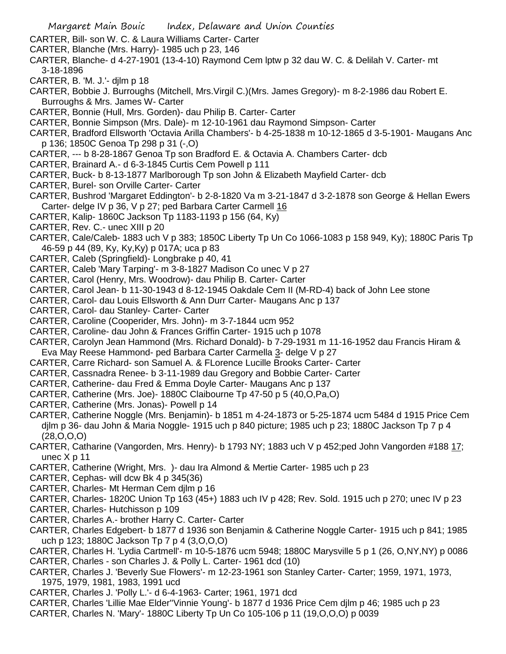- Margaret Main Bouic Index, Delaware and Union Counties
- CARTER, Bill- son W. C. & Laura Williams Carter- Carter
- CARTER, Blanche (Mrs. Harry)- 1985 uch p 23, 146
- CARTER, Blanche- d 4-27-1901 (13-4-10) Raymond Cem lptw p 32 dau W. C. & Delilah V. Carter- mt 3-18-1896
- CARTER, B. 'M. J.'- djlm p 18
- CARTER, Bobbie J. Burroughs (Mitchell, Mrs.Virgil C.)(Mrs. James Gregory)- m 8-2-1986 dau Robert E. Burroughs & Mrs. James W- Carter
- CARTER, Bonnie (Hull, Mrs. Gorden)- dau Philip B. Carter- Carter
- CARTER, Bonnie Simpson (Mrs. Dale)- m 12-10-1961 dau Raymond Simpson- Carter
- CARTER, Bradford Ellsworth 'Octavia Arilla Chambers'- b 4-25-1838 m 10-12-1865 d 3-5-1901- Maugans Anc p 136; 1850C Genoa Tp 298 p 31 (-,O)
- CARTER, --- b 8-28-1867 Genoa Tp son Bradford E. & Octavia A. Chambers Carter- dcb
- CARTER, Brainard A.- d 6-3-1845 Curtis Cem Powell p 111
- CARTER, Buck- b 8-13-1877 Marlborough Tp son John & Elizabeth Mayfield Carter- dcb
- CARTER, Burel- son Orville Carter- Carter
- CARTER, Bushrod 'Margaret Eddington'- b 2-8-1820 Va m 3-21-1847 d 3-2-1878 son George & Hellan Ewers Carter- delge IV p 36, V p 27; ped Barbara Carter Carmell 16
- CARTER, Kalip- 1860C Jackson Tp 1183-1193 p 156 (64, Ky)
- CARTER, Rev. C.- unec XIII p 20
- CARTER, Cale/Caleb- 1883 uch V p 383; 1850C Liberty Tp Un Co 1066-1083 p 158 949, Ky); 1880C Paris Tp 46-59 p 44 (89, Ky, Ky,Ky) p 017A; uca p 83
- CARTER, Caleb (Springfield)- Longbrake p 40, 41
- CARTER, Caleb 'Mary Tarping'- m 3-8-1827 Madison Co unec V p 27
- CARTER, Carol (Henry, Mrs. Woodrow)- dau Philip B. Carter- Carter
- CARTER, Carol Jean- b 11-30-1943 d 8-12-1945 Oakdale Cem II (M-RD-4) back of John Lee stone
- CARTER, Carol- dau Louis Ellsworth & Ann Durr Carter- Maugans Anc p 137
- CARTER, Carol- dau Stanley- Carter- Carter
- CARTER, Caroline (Cooperider, Mrs. John)- m 3-7-1844 ucm 952
- CARTER, Caroline- dau John & Frances Griffin Carter- 1915 uch p 1078
- CARTER, Carolyn Jean Hammond (Mrs. Richard Donald)- b 7-29-1931 m 11-16-1952 dau Francis Hiram & Eva May Reese Hammond- ped Barbara Carter Carmella 3- delge V p 27
- CARTER, Carre Richard- son Samuel A. & FLorence Lucille Brooks Carter- Carter
- CARTER, Cassnadra Renee- b 3-11-1989 dau Gregory and Bobbie Carter- Carter
- CARTER, Catherine- dau Fred & Emma Doyle Carter- Maugans Anc p 137
- CARTER, Catherine (Mrs. Joe)- 1880C Claibourne Tp 47-50 p 5 (40,O,Pa,O)
- CARTER, Catherine (Mrs. Jonas)- Powell p 14
- CARTER, Catherine Noggle (Mrs. Benjamin)- b 1851 m 4-24-1873 or 5-25-1874 ucm 5484 d 1915 Price Cem djlm p 36- dau John & Maria Noggle- 1915 uch p 840 picture; 1985 uch p 23; 1880C Jackson Tp 7 p 4 (28,O,O,O)
- CARTER, Catharine (Vangorden, Mrs. Henry)- b 1793 NY; 1883 uch V p 452;ped John Vangorden #188 17; unec X p 11
- CARTER, Catherine (Wright, Mrs. )- dau Ira Almond & Mertie Carter- 1985 uch p 23
- CARTER, Cephas- will dcw Bk 4 p 345(36)
- CARTER, Charles- Mt Herman Cem djlm p 16
- CARTER, Charles- 1820C Union Tp 163 (45+) 1883 uch IV p 428; Rev. Sold. 1915 uch p 270; unec IV p 23
- CARTER, Charles- Hutchisson p 109
- CARTER, Charles A.- brother Harry C. Carter- Carter
- CARTER, Charles Edgebert- b 1877 d 1936 son Benjamin & Catherine Noggle Carter- 1915 uch p 841; 1985 uch p 123; 1880C Jackson Tp 7 p 4 (3,O,O,O)
- CARTER, Charles H. 'Lydia Cartmell'- m 10-5-1876 ucm 5948; 1880C Marysville 5 p 1 (26, O,NY,NY) p 0086
- CARTER, Charles son Charles J. & Polly L. Carter- 1961 dcd (10)
- CARTER, Charles J. 'Beverly Sue Flowers'- m 12-23-1961 son Stanley Carter- Carter; 1959, 1971, 1973, 1975, 1979, 1981, 1983, 1991 ucd
- CARTER, Charles J. 'Polly L.'- d 6-4-1963- Carter; 1961, 1971 dcd
- CARTER, Charles 'Lillie Mae Elder''Vinnie Young'- b 1877 d 1936 Price Cem djlm p 46; 1985 uch p 23
- CARTER, Charles N. 'Mary'- 1880C Liberty Tp Un Co 105-106 p 11 (19,O,O,O) p 0039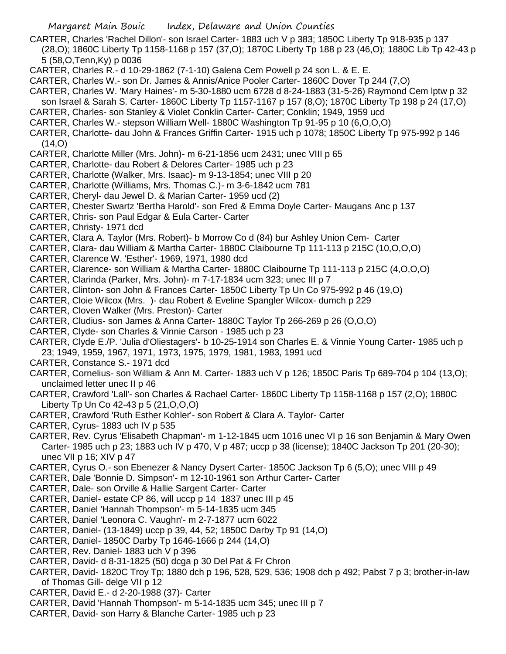- CARTER, Charles 'Rachel Dillon'- son Israel Carter- 1883 uch V p 383; 1850C Liberty Tp 918-935 p 137 (28,O); 1860C Liberty Tp 1158-1168 p 157 (37,O); 1870C Liberty Tp 188 p 23 (46,O); 1880C Lib Tp 42-43 p 5 (58,O,Tenn,Ky) p 0036
- CARTER, Charles R.- d 10-29-1862 (7-1-10) Galena Cem Powell p 24 son L. & E. E.
- CARTER, Charles W.- son Dr. James & Annis/Anice Pooler Carter- 1860C Dover Tp 244 (7,O)
- CARTER, Charles W. 'Mary Haines'- m 5-30-1880 ucm 6728 d 8-24-1883 (31-5-26) Raymond Cem lptw p 32
- son Israel & Sarah S. Carter- 1860C Liberty Tp 1157-1167 p 157 (8,O); 1870C Liberty Tp 198 p 24 (17,O)
- CARTER, Charles- son Stanley & Violet Conklin Carter- Carter; Conklin; 1949, 1959 ucd
- CARTER, Charles W.- stepson William Well- 1880C Washington Tp 91-95 p 10 (6,O,O,O)
- CARTER, Charlotte- dau John & Frances Griffin Carter- 1915 uch p 1078; 1850C Liberty Tp 975-992 p 146  $(14, 0)$
- CARTER, Charlotte Miller (Mrs. John)- m 6-21-1856 ucm 2431; unec VIII p 65
- CARTER, Charlotte- dau Robert & Delores Carter- 1985 uch p 23
- CARTER, Charlotte (Walker, Mrs. Isaac)- m 9-13-1854; unec VIII p 20
- CARTER, Charlotte (Williams, Mrs. Thomas C.)- m 3-6-1842 ucm 781
- CARTER, Cheryl- dau Jewel D. & Marian Carter- 1959 ucd (2)
- CARTER, Chester Swartz 'Bertha Harold'- son Fred & Emma Doyle Carter- Maugans Anc p 137
- CARTER, Chris- son Paul Edgar & Eula Carter- Carter
- CARTER, Christy- 1971 dcd
- CARTER, Clara A. Taylor (Mrs. Robert)- b Morrow Co d (84) bur Ashley Union Cem- Carter
- CARTER, Clara- dau William & Martha Carter- 1880C Claibourne Tp 111-113 p 215C (10,O,O,O)
- CARTER, Clarence W. 'Esther'- 1969, 1971, 1980 dcd
- CARTER, Clarence- son William & Martha Carter- 1880C Claibourne Tp 111-113 p 215C (4,O,O,O)
- CARTER, Clarinda (Parker, Mrs. John)- m 7-17-1834 ucm 323; unec III p 7
- CARTER, Clinton- son John & Frances Carter- 1850C Liberty Tp Un Co 975-992 p 46 (19,O)
- CARTER, Cloie Wilcox (Mrs. )- dau Robert & Eveline Spangler Wilcox- dumch p 229
- CARTER, Cloven Walker (Mrs. Preston)- Carter
- CARTER, Cludius- son James & Anna Carter- 1880C Taylor Tp 266-269 p 26 (O,O,O)
- CARTER, Clyde- son Charles & Vinnie Carson 1985 uch p 23
- CARTER, Clyde E./P. 'Julia d'Oliestagers'- b 10-25-1914 son Charles E. & Vinnie Young Carter- 1985 uch p 23; 1949, 1959, 1967, 1971, 1973, 1975, 1979, 1981, 1983, 1991 ucd
- CARTER, Constance S.- 1971 dcd
- CARTER, Cornelius- son William & Ann M. Carter- 1883 uch V p 126; 1850C Paris Tp 689-704 p 104 (13,O); unclaimed letter unec II p 46
- CARTER, Crawford 'Lall'- son Charles & Rachael Carter- 1860C Liberty Tp 1158-1168 p 157 (2,O); 1880C Liberty Tp Un Co 42-43 p 5 (21,O,O,O)
- CARTER, Crawford 'Ruth Esther Kohler'- son Robert & Clara A. Taylor- Carter
- CARTER, Cyrus- 1883 uch IV p 535
- CARTER, Rev. Cyrus 'Elisabeth Chapman'- m 1-12-1845 ucm 1016 unec VI p 16 son Benjamin & Mary Owen Carter- 1985 uch p 23; 1883 uch IV p 470, V p 487; uccp p 38 (license); 1840C Jackson Tp 201 (20-30); unec VII p 16; XIV p 47
- CARTER, Cyrus O.- son Ebenezer & Nancy Dysert Carter- 1850C Jackson Tp 6 (5,O); unec VIII p 49
- CARTER, Dale 'Bonnie D. Simpson'- m 12-10-1961 son Arthur Carter- Carter
- CARTER, Dale- son Orville & Hallie Sargent Carter- Carter
- CARTER, Daniel- estate CP 86, will uccp p 14 1837 unec III p 45
- CARTER, Daniel 'Hannah Thompson'- m 5-14-1835 ucm 345
- CARTER, Daniel 'Leonora C. Vaughn'- m 2-7-1877 ucm 6022
- CARTER, Daniel- (13-1849) uccp p 39, 44, 52; 1850C Darby Tp 91 (14,O)
- CARTER, Daniel- 1850C Darby Tp 1646-1666 p 244 (14,O)
- CARTER, Rev. Daniel- 1883 uch V p 396
- CARTER, David- d 8-31-1825 (50) dcga p 30 Del Pat & Fr Chron
- CARTER, David- 1820C Troy Tp; 1880 dch p 196, 528, 529, 536; 1908 dch p 492; Pabst 7 p 3; brother-in-law of Thomas Gill- delge VII p 12
- CARTER, David E.- d 2-20-1988 (37)- Carter
- CARTER, David 'Hannah Thompson'- m 5-14-1835 ucm 345; unec III p 7
- CARTER, David- son Harry & Blanche Carter- 1985 uch p 23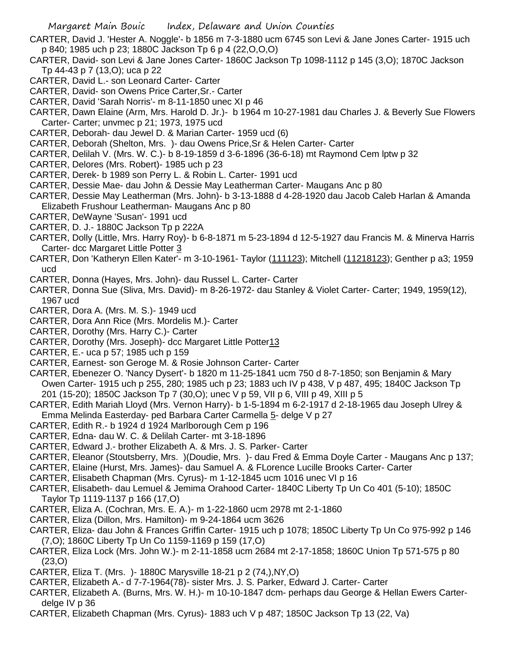- CARTER, David J. 'Hester A. Noggle'- b 1856 m 7-3-1880 ucm 6745 son Levi & Jane Jones Carter- 1915 uch p 840; 1985 uch p 23; 1880C Jackson Tp 6 p 4 (22,O,O,O)
- CARTER, David- son Levi & Jane Jones Carter- 1860C Jackson Tp 1098-1112 p 145 (3,O); 1870C Jackson Tp 44-43 p 7 (13,O); uca p 22
- CARTER, David L.- son Leonard Carter- Carter
- CARTER, David- son Owens Price Carter,Sr.- Carter
- CARTER, David 'Sarah Norris'- m 8-11-1850 unec XI p 46
- CARTER, Dawn Elaine (Arm, Mrs. Harold D. Jr.)- b 1964 m 10-27-1981 dau Charles J. & Beverly Sue Flowers Carter- Carter; unvmec p 21; 1973, 1975 ucd
- CARTER, Deborah- dau Jewel D. & Marian Carter- 1959 ucd (6)
- CARTER, Deborah (Shelton, Mrs. )- dau Owens Price,Sr & Helen Carter- Carter
- CARTER, Delilah V. (Mrs. W. C.)- b 8-19-1859 d 3-6-1896 (36-6-18) mt Raymond Cem lptw p 32
- CARTER, Delores (Mrs. Robert)- 1985 uch p 23
- CARTER, Derek- b 1989 son Perry L. & Robin L. Carter- 1991 ucd
- CARTER, Dessie Mae- dau John & Dessie May Leatherman Carter- Maugans Anc p 80
- CARTER, Dessie May Leatherman (Mrs. John)- b 3-13-1888 d 4-28-1920 dau Jacob Caleb Harlan & Amanda Elizabeth Frushour Leatherman- Maugans Anc p 80
- CARTER, DeWayne 'Susan'- 1991 ucd
- CARTER, D. J.- 1880C Jackson Tp p 222A
- CARTER, Dolly (Little, Mrs. Harry Roy)- b 6-8-1871 m 5-23-1894 d 12-5-1927 dau Francis M. & Minerva Harris Carter- dcc Margaret Little Potter 3
- CARTER, Don 'Katheryn Ellen Kater'- m 3-10-1961- Taylor (111123); Mitchell (11218123); Genther p a3; 1959 ucd
- CARTER, Donna (Hayes, Mrs. John)- dau Russel L. Carter- Carter
- CARTER, Donna Sue (Sliva, Mrs. David)- m 8-26-1972- dau Stanley & Violet Carter- Carter; 1949, 1959(12), 1967 ucd
- CARTER, Dora A. (Mrs. M. S.)- 1949 ucd
- CARTER, Dora Ann Rice (Mrs. Mordelis M.)- Carter
- CARTER, Dorothy (Mrs. Harry C.)- Carter
- CARTER, Dorothy (Mrs. Joseph)- dcc Margaret Little Potter13
- CARTER, E.- uca p 57; 1985 uch p 159
- CARTER, Earnest- son Geroge M. & Rosie Johnson Carter- Carter
- CARTER, Ebenezer O. 'Nancy Dysert'- b 1820 m 11-25-1841 ucm 750 d 8-7-1850; son Benjamin & Mary Owen Carter- 1915 uch p 255, 280; 1985 uch p 23; 1883 uch IV p 438, V p 487, 495; 1840C Jackson Tp 201 (15-20); 1850C Jackson Tp 7 (30,O); unec V p 59, VII p 6, VIII p 49, XIII p 5
- CARTER, Edith Mariah Lloyd (Mrs. Vernon Harry)- b 1-5-1894 m 6-2-1917 d 2-18-1965 dau Joseph Ulrey & Emma Melinda Easterday- ped Barbara Carter Carmella 5- delge V p 27
- CARTER, Edith R.- b 1924 d 1924 Marlborough Cem p 196
- CARTER, Edna- dau W. C. & Delilah Carter- mt 3-18-1896
- CARTER, Edward J.- brother Elizabeth A. & Mrs. J. S. Parker- Carter
- CARTER, Eleanor (Stoutsberry, Mrs. )(Doudie, Mrs. )- dau Fred & Emma Doyle Carter Maugans Anc p 137;
- CARTER, Elaine (Hurst, Mrs. James)- dau Samuel A. & FLorence Lucille Brooks Carter- Carter
- CARTER, Elisabeth Chapman (Mrs. Cyrus)- m 1-12-1845 ucm 1016 unec VI p 16
- CARTER, Elisabeth- dau Lemuel & Jemima Orahood Carter- 1840C Liberty Tp Un Co 401 (5-10); 1850C Taylor Tp 1119-1137 p 166 (17,O)
- CARTER, Eliza A. (Cochran, Mrs. E. A.)- m 1-22-1860 ucm 2978 mt 2-1-1860
- CARTER, Eliza (Dillon, Mrs. Hamilton)- m 9-24-1864 ucm 3626
- CARTER, Eliza- dau John & Frances Griffin Carter- 1915 uch p 1078; 1850C Liberty Tp Un Co 975-992 p 146 (7,O); 1860C Liberty Tp Un Co 1159-1169 p 159 (17,O)
- CARTER, Eliza Lock (Mrs. John W.)- m 2-11-1858 ucm 2684 mt 2-17-1858; 1860C Union Tp 571-575 p 80 (23,O)
- CARTER, Eliza T. (Mrs. )- 1880C Marysville 18-21 p 2 (74,),NY,O)
- CARTER, Elizabeth A.- d 7-7-1964(78)- sister Mrs. J. S. Parker, Edward J. Carter- Carter
- CARTER, Elizabeth A. (Burns, Mrs. W. H.)- m 10-10-1847 dcm- perhaps dau George & Hellan Ewers Carterdelge IV p 36
- CARTER, Elizabeth Chapman (Mrs. Cyrus)- 1883 uch V p 487; 1850C Jackson Tp 13 (22, Va)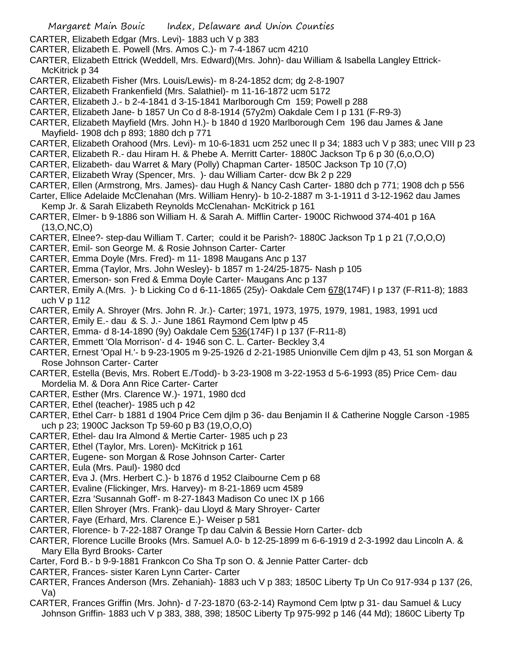- CARTER, Elizabeth Edgar (Mrs. Levi)- 1883 uch V p 383
- CARTER, Elizabeth E. Powell (Mrs. Amos C.)- m 7-4-1867 ucm 4210
- CARTER, Elizabeth Ettrick (Weddell, Mrs. Edward)(Mrs. John)- dau William & Isabella Langley Ettrick-McKitrick p 34
- CARTER, Elizabeth Fisher (Mrs. Louis/Lewis)- m 8-24-1852 dcm; dg 2-8-1907
- CARTER, Elizabeth Frankenfield (Mrs. Salathiel)- m 11-16-1872 ucm 5172
- CARTER, Elizabeth J.- b 2-4-1841 d 3-15-1841 Marlborough Cm 159; Powell p 288
- CARTER, Elizabeth Jane- b 1857 Un Co d 8-8-1914 (57y2m) Oakdale Cem I p 131 (F-R9-3)
- CARTER, Elizabeth Mayfield (Mrs. John H.)- b 1840 d 1920 Marlborough Cem 196 dau James & Jane Mayfield- 1908 dch p 893; 1880 dch p 771
- CARTER, Elizabeth Orahood (Mrs. Levi)- m 10-6-1831 ucm 252 unec II p 34; 1883 uch V p 383; unec VIII p 23
- CARTER, Elizabeth R.- dau Hiram H. & Phebe A. Merritt Carter- 1880C Jackson Tp 6 p 30 (6,o,O,O)
- CARTER, Elizabeth- dau Warret & Mary (Polly) Chapman Carter- 1850C Jackson Tp 10 (7,O)
- CARTER, Elizabeth Wray (Spencer, Mrs. )- dau William Carter- dcw Bk 2 p 229
- CARTER, Ellen (Armstrong, Mrs. James)- dau Hugh & Nancy Cash Carter- 1880 dch p 771; 1908 dch p 556 Carter, Ellice Adelaide McClenahan (Mrs. William Henry)- b 10-2-1887 m 3-1-1911 d 3-12-1962 dau James
- Kemp Jr. & Sarah Elizabeth Reynolds McClenahan- McKitrick p 161
- CARTER, Elmer- b 9-1886 son William H. & Sarah A. Mifflin Carter- 1900C Richwood 374-401 p 16A (13,O,NC,O)
- CARTER, Elnee?- step-dau William T. Carter; could it be Parish?- 1880C Jackson Tp 1 p 21 (7,O,O,O)
- CARTER, Emil- son George M. & Rosie Johnson Carter- Carter
- CARTER, Emma Doyle (Mrs. Fred)- m 11- 1898 Maugans Anc p 137
- CARTER, Emma (Taylor, Mrs. John Wesley)- b 1857 m 1-24/25-1875- Nash p 105
- CARTER, Emerson- son Fred & Emma Doyle Carter- Maugans Anc p 137
- CARTER, Emily A.(Mrs.)- b Licking Co d 6-11-1865 (25y)- Oakdale Cem 678(174F) I p 137 (F-R11-8); 1883 uch V p 112
- CARTER, Emily A. Shroyer (Mrs. John R. Jr.)- Carter; 1971, 1973, 1975, 1979, 1981, 1983, 1991 ucd
- CARTER, Emily E.- dau & S. J.- June 1861 Raymond Cem lptw p 45
- CARTER, Emma- d 8-14-1890 (9y) Oakdale Cem 536(174F) I p 137 (F-R11-8)
- CARTER, Emmett 'Ola Morrison'- d 4- 1946 son C. L. Carter- Beckley 3,4
- CARTER, Ernest 'Opal H.'- b 9-23-1905 m 9-25-1926 d 2-21-1985 Unionville Cem djlm p 43, 51 son Morgan & Rose Johnson Carter- Carter
- CARTER, Estella (Bevis, Mrs. Robert E./Todd)- b 3-23-1908 m 3-22-1953 d 5-6-1993 (85) Price Cem- dau Mordelia M. & Dora Ann Rice Carter- Carter
- CARTER, Esther (Mrs. Clarence W.)- 1971, 1980 dcd
- CARTER, Ethel (teacher)- 1985 uch p 42
- CARTER, Ethel Carr- b 1881 d 1904 Price Cem djlm p 36- dau Benjamin II & Catherine Noggle Carson -1985 uch p 23; 1900C Jackson Tp 59-60 p B3 (19,O,O,O)
- CARTER, Ethel- dau Ira Almond & Mertie Carter- 1985 uch p 23
- CARTER, Ethel (Taylor, Mrs. Loren)- McKitrick p 161
- CARTER, Eugene- son Morgan & Rose Johnson Carter- Carter
- CARTER, Eula (Mrs. Paul)- 1980 dcd
- CARTER, Eva J. (Mrs. Herbert C.)- b 1876 d 1952 Claibourne Cem p 68
- CARTER, Evaline (Flickinger, Mrs. Harvey)- m 8-21-1869 ucm 4589
- CARTER, Ezra 'Susannah Goff'- m 8-27-1843 Madison Co unec IX p 166
- CARTER, Ellen Shroyer (Mrs. Frank)- dau Lloyd & Mary Shroyer- Carter
- CARTER, Faye (Erhard, Mrs. Clarence E.)- Weiser p 581
- CARTER, Florence- b 7-22-1887 Orange Tp dau Calvin & Bessie Horn Carter- dcb
- CARTER, Florence Lucille Brooks (Mrs. Samuel A.0- b 12-25-1899 m 6-6-1919 d 2-3-1992 dau Lincoln A. & Mary Ella Byrd Brooks- Carter
- Carter, Ford B.- b 9-9-1881 Frankcon Co Sha Tp son O. & Jennie Patter Carter- dcb
- CARTER, Frances- sister Karen Lynn Carter- Carter
- CARTER, Frances Anderson (Mrs. Zehaniah)- 1883 uch V p 383; 1850C Liberty Tp Un Co 917-934 p 137 (26, Va)
- CARTER, Frances Griffin (Mrs. John)- d 7-23-1870 (63-2-14) Raymond Cem lptw p 31- dau Samuel & Lucy Johnson Griffin- 1883 uch V p 383, 388, 398; 1850C Liberty Tp 975-992 p 146 (44 Md); 1860C Liberty Tp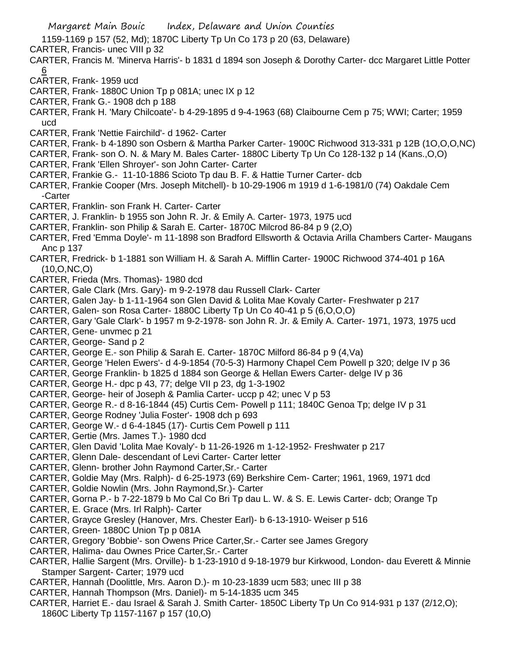1159-1169 p 157 (52, Md); 1870C Liberty Tp Un Co 173 p 20 (63, Delaware)

CARTER, Francis- unec VIII p 32

- CARTER, Francis M. 'Minerva Harris'- b 1831 d 1894 son Joseph & Dorothy Carter- dcc Margaret Little Potter 6
- CARTER, Frank- 1959 ucd
- CARTER, Frank- 1880C Union Tp p 081A; unec IX p 12
- CARTER, Frank G.- 1908 dch p 188
- CARTER, Frank H. 'Mary Chilcoate'- b 4-29-1895 d 9-4-1963 (68) Claibourne Cem p 75; WWI; Carter; 1959 ucd
- CARTER, Frank 'Nettie Fairchild'- d 1962- Carter
- CARTER, Frank- b 4-1890 son Osbern & Martha Parker Carter- 1900C Richwood 313-331 p 12B (1O,O,O,NC)
- CARTER, Frank- son O. N. & Mary M. Bales Carter- 1880C Liberty Tp Un Co 128-132 p 14 (Kans.,O,O)
- CARTER, Frank 'Ellen Shroyer'- son John Carter- Carter
- CARTER, Frankie G.- 11-10-1886 Scioto Tp dau B. F. & Hattie Turner Carter- dcb
- CARTER, Frankie Cooper (Mrs. Joseph Mitchell)- b 10-29-1906 m 1919 d 1-6-1981/0 (74) Oakdale Cem -Carter
- CARTER, Franklin- son Frank H. Carter- Carter
- CARTER, J. Franklin- b 1955 son John R. Jr. & Emily A. Carter- 1973, 1975 ucd
- CARTER, Franklin- son Philip & Sarah E. Carter- 1870C Milcrod 86-84 p 9 (2,O)
- CARTER, Fred 'Emma Doyle'- m 11-1898 son Bradford Ellsworth & Octavia Arilla Chambers Carter- Maugans Anc p 137
- CARTER, Fredrick- b 1-1881 son William H. & Sarah A. Mifflin Carter- 1900C Richwood 374-401 p 16A (10,O,NC,O)
- CARTER, Frieda (Mrs. Thomas)- 1980 dcd
- CARTER, Gale Clark (Mrs. Gary)- m 9-2-1978 dau Russell Clark- Carter
- CARTER, Galen Jay- b 1-11-1964 son Glen David & Lolita Mae Kovaly Carter- Freshwater p 217
- CARTER, Galen- son Rosa Carter- 1880C Liberty Tp Un Co 40-41 p 5 (6,O,O,O)
- CARTER, Gary 'Gale Clark'- b 1957 m 9-2-1978- son John R. Jr. & Emily A. Carter- 1971, 1973, 1975 ucd
- CARTER, Gene- unvmec p 21
- CARTER, George- Sand p 2
- CARTER, George E.- son Philip & Sarah E. Carter- 1870C Milford 86-84 p 9 (4,Va)
- CARTER, George 'Helen Ewers'- d 4-9-1854 (70-5-3) Harmony Chapel Cem Powell p 320; delge IV p 36
- CARTER, George Franklin- b 1825 d 1884 son George & Hellan Ewers Carter- delge IV p 36
- CARTER, George H.- dpc p 43, 77; delge VII p 23, dg 1-3-1902
- CARTER, George- heir of Joseph & Pamlia Carter- uccp p 42; unec V p 53
- CARTER, George R.- d 8-16-1844 (45) Curtis Cem- Powell p 111; 1840C Genoa Tp; delge IV p 31
- CARTER, George Rodney 'Julia Foster'- 1908 dch p 693
- CARTER, George W.- d 6-4-1845 (17)- Curtis Cem Powell p 111
- CARTER, Gertie (Mrs. James T.)- 1980 dcd
- CARTER, Glen David 'Lolita Mae Kovaly'- b 11-26-1926 m 1-12-1952- Freshwater p 217
- CARTER, Glenn Dale- descendant of Levi Carter- Carter letter
- CARTER, Glenn- brother John Raymond Carter,Sr.- Carter
- CARTER, Goldie May (Mrs. Ralph)- d 6-25-1973 (69) Berkshire Cem- Carter; 1961, 1969, 1971 dcd
- CARTER, Goldie Nowlin (Mrs. John Raymond,Sr.)- Carter
- CARTER, Gorna P.- b 7-22-1879 b Mo Cal Co Bri Tp dau L. W. & S. E. Lewis Carter- dcb; Orange Tp
- CARTER, E. Grace (Mrs. Irl Ralph)- Carter
- CARTER, Grayce Gresley (Hanover, Mrs. Chester Earl)- b 6-13-1910- Weiser p 516
- CARTER, Green- 1880C Union Tp p 081A
- CARTER, Gregory 'Bobbie'- son Owens Price Carter,Sr.- Carter see James Gregory
- CARTER, Halima- dau Ownes Price Carter,Sr.- Carter
- CARTER, Hallie Sargent (Mrs. Orville)- b 1-23-1910 d 9-18-1979 bur Kirkwood, London- dau Everett & Minnie Stamper Sargent- Carter; 1979 ucd
- CARTER, Hannah (Doolittle, Mrs. Aaron D.)- m 10-23-1839 ucm 583; unec III p 38
- CARTER, Hannah Thompson (Mrs. Daniel)- m 5-14-1835 ucm 345
- CARTER, Harriet E.- dau Israel & Sarah J. Smith Carter- 1850C Liberty Tp Un Co 914-931 p 137 (2/12,O); 1860C Liberty Tp 1157-1167 p 157 (10,O)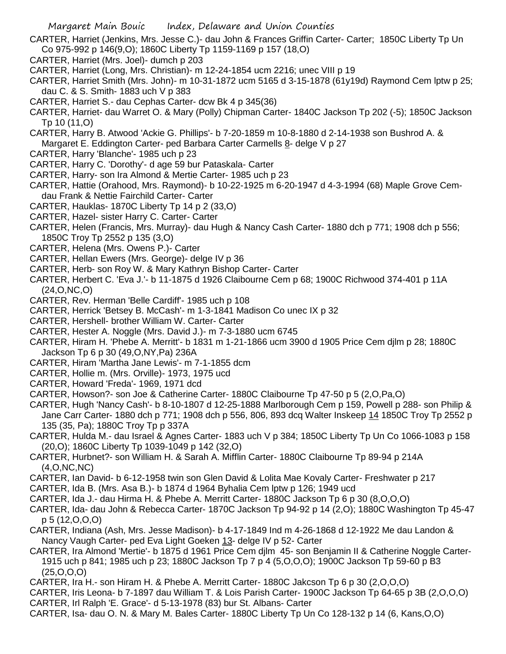- CARTER, Harriet (Jenkins, Mrs. Jesse C.)- dau John & Frances Griffin Carter- Carter; 1850C Liberty Tp Un Co 975-992 p 146(9,O); 1860C Liberty Tp 1159-1169 p 157 (18,O)
- CARTER, Harriet (Mrs. Joel)- dumch p 203
- CARTER, Harriet (Long, Mrs. Christian)- m 12-24-1854 ucm 2216; unec VIII p 19
- CARTER, Harriet Smith (Mrs. John)- m 10-31-1872 ucm 5165 d 3-15-1878 (61y19d) Raymond Cem lptw p 25; dau C. & S. Smith- 1883 uch V p 383
- CARTER, Harriet S.- dau Cephas Carter- dcw Bk 4 p 345(36)
- CARTER, Harriet- dau Warret O. & Mary (Polly) Chipman Carter- 1840C Jackson Tp 202 (-5); 1850C Jackson Tp 10 (11,O)
- CARTER, Harry B. Atwood 'Ackie G. Phillips'- b 7-20-1859 m 10-8-1880 d 2-14-1938 son Bushrod A. & Margaret E. Eddington Carter- ped Barbara Carter Carmells 8- delge V p 27
- CARTER, Harry 'Blanche'- 1985 uch p 23
- CARTER, Harry C. 'Dorothy'- d age 59 bur Pataskala- Carter
- CARTER, Harry- son Ira Almond & Mertie Carter- 1985 uch p 23
- CARTER, Hattie (Orahood, Mrs. Raymond)- b 10-22-1925 m 6-20-1947 d 4-3-1994 (68) Maple Grove Cemdau Frank & Nettie Fairchild Carter- Carter
- CARTER, Hauklas- 1870C Liberty Tp 14 p 2 (33,O)
- CARTER, Hazel- sister Harry C. Carter- Carter
- CARTER, Helen (Francis, Mrs. Murray)- dau Hugh & Nancy Cash Carter- 1880 dch p 771; 1908 dch p 556; 1850C Troy Tp 2552 p 135 (3,O)
- CARTER, Helena (Mrs. Owens P.)- Carter
- CARTER, Hellan Ewers (Mrs. George)- delge IV p 36
- CARTER, Herb- son Roy W. & Mary Kathryn Bishop Carter- Carter
- CARTER, Herbert C. 'Eva J.'- b 11-1875 d 1926 Claibourne Cem p 68; 1900C Richwood 374-401 p 11A (24,O,NC,O)
- CARTER, Rev. Herman 'Belle Cardiff'- 1985 uch p 108
- CARTER, Herrick 'Betsey B. McCash'- m 1-3-1841 Madison Co unec IX p 32
- CARTER, Hershell- brother William W. Carter- Carter
- CARTER, Hester A. Noggle (Mrs. David J.)- m 7-3-1880 ucm 6745
- CARTER, Hiram H. 'Phebe A. Merritt'- b 1831 m 1-21-1866 ucm 3900 d 1905 Price Cem djlm p 28; 1880C Jackson Tp 6 p 30 (49,O,NY,Pa) 236A
- CARTER, Hiram 'Martha Jane Lewis'- m 7-1-1855 dcm
- CARTER, Hollie m. (Mrs. Orville)- 1973, 1975 ucd
- CARTER, Howard 'Freda'- 1969, 1971 dcd
- CARTER, Howson?- son Joe & Catherine Carter- 1880C Claibourne Tp 47-50 p 5 (2,O,Pa,O)
- CARTER, Hugh 'Nancy Cash'- b 8-10-1807 d 12-25-1888 Marlborough Cem p 159, Powell p 288- son Philip & Jane Carr Carter- 1880 dch p 771; 1908 dch p 556, 806, 893 dcq Walter Inskeep 14 1850C Troy Tp 2552 p 135 (35, Pa); 1880C Troy Tp p 337A
- CARTER, Hulda M.- dau Israel & Agnes Carter- 1883 uch V p 384; 1850C Liberty Tp Un Co 1066-1083 p 158 (20,O); 1860C Liberty Tp 1039-1049 p 142 (32,O)
- CARTER, Hurbnet?- son William H. & Sarah A. Mifflin Carter- 1880C Claibourne Tp 89-94 p 214A (4,O,NC,NC)
- CARTER, Ian David- b 6-12-1958 twin son Glen David & Lolita Mae Kovaly Carter- Freshwater p 217
- CARTER, Ida B. (Mrs. Asa B.)- b 1874 d 1964 Byhalia Cem lptw p 126; 1949 ucd
- CARTER, Ida J.- dau Hirma H. & Phebe A. Merritt Carter- 1880C Jackson Tp 6 p 30 (8,O,O,O)
- CARTER, Ida- dau John & Rebecca Carter- 1870C Jackson Tp 94-92 p 14 (2,O); 1880C Washington Tp 45-47 p 5 (12,O,O,O)
- CARTER, Indiana (Ash, Mrs. Jesse Madison)- b 4-17-1849 Ind m 4-26-1868 d 12-1922 Me dau Landon & Nancy Vaugh Carter- ped Eva Light Goeken 13- delge IV p 52- Carter
- CARTER, Ira Almond 'Mertie'- b 1875 d 1961 Price Cem djlm 45- son Benjamin II & Catherine Noggle Carter-1915 uch p 841; 1985 uch p 23; 1880C Jackson Tp 7 p 4 (5,O,O,O); 1900C Jackson Tp 59-60 p B3 (25,O,O,O)
- CARTER, Ira H.- son Hiram H. & Phebe A. Merritt Carter- 1880C Jakcson Tp 6 p 30 (2,O,O,O)
- CARTER, Iris Leona- b 7-1897 dau William T. & Lois Parish Carter- 1900C Jackson Tp 64-65 p 3B (2,O,O,O) CARTER, Irl Ralph 'E. Grace'- d 5-13-1978 (83) bur St. Albans- Carter
- CARTER, Isa- dau O. N. & Mary M. Bales Carter- 1880C Liberty Tp Un Co 128-132 p 14 (6, Kans,O,O)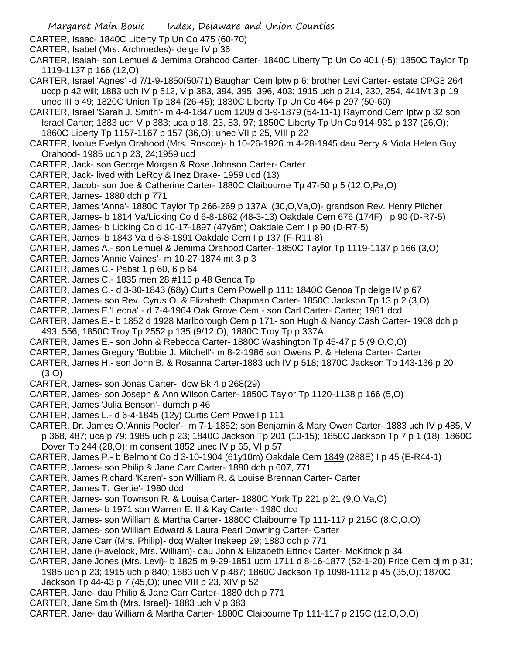- CARTER, Isaac- 1840C Liberty Tp Un Co 475 (60-70)
- CARTER, Isabel (Mrs. Archmedes)- delge IV p 36
- CARTER, Isaiah- son Lemuel & Jemima Orahood Carter- 1840C Liberty Tp Un Co 401 (-5); 1850C Taylor Tp 1119-1137 p 166 (12,O)
- CARTER, Israel 'Agnes' -d 7/1-9-1850(50/71) Baughan Cem lptw p 6; brother Levi Carter- estate CPG8 264 uccp p 42 will; 1883 uch IV p 512, V p 383, 394, 395, 396, 403; 1915 uch p 214, 230, 254, 441Mt 3 p 19 unec III p 49; 1820C Union Tp 184 (26-45); 1830C Liberty Tp Un Co 464 p 297 (50-60)
- CARTER, Israel 'Sarah J. Smith'- m 4-4-1847 ucm 1209 d 3-9-1879 (54-11-1) Raymond Cem lptw p 32 son Israel Carter; 1883 uch V p 383; uca p 18, 23, 83, 97; 1850C Liberty Tp Un Co 914-931 p 137 (26,O); 1860C Liberty Tp 1157-1167 p 157 (36,O); unec VII p 25, VIII p 22
- CARTER, Ivolue Evelyn Orahood (Mrs. Roscoe)- b 10-26-1926 m 4-28-1945 dau Perry & Viola Helen Guy Orahood- 1985 uch p 23, 24;1959 ucd
- CARTER, Jack- son George Morgan & Rose Johnson Carter- Carter
- CARTER, Jack- lived with LeRoy & Inez Drake- 1959 ucd (13)
- CARTER, Jacob- son Joe & Catherine Carter- 1880C Claibourne Tp 47-50 p 5 (12,O,Pa,O)
- CARTER, James- 1880 dch p 771
- CARTER, James 'Anna'- 1880C Taylor Tp 266-269 p 137A (30,O,Va,O)- grandson Rev. Henry Pilcher
- CARTER, James- b 1814 Va/Licking Co d 6-8-1862 (48-3-13) Oakdale Cem 676 (174F) I p 90 (D-R7-5)
- CARTER, James- b Licking Co d 10-17-1897 (47y6m) Oakdale Cem I p 90 (D-R7-5)
- CARTER, James- b 1843 Va d 6-8-1891 Oakdale Cem I p 137 (F-R11-8)
- CARTER, James A.- son Lemuel & Jemima Orahood Carter- 1850C Taylor Tp 1119-1137 p 166 (3,O)
- CARTER, James 'Annie Vaines'- m 10-27-1874 mt 3 p 3
- CARTER, James C.- Pabst 1 p 60, 6 p 64
- CARTER, James C.- 1835 men 28 #115 p 48 Genoa Tp
- CARTER, James C.- d 3-30-1843 (68y) Curtis Cem Powell p 111; 1840C Genoa Tp delge IV p 67
- CARTER, James- son Rev. Cyrus O. & Elizabeth Chapman Carter- 1850C Jackson Tp 13 p 2 (3,O)
- CARTER, James E.'Leona' d 7-4-1964 Oak Grove Cem son Carl Carter- Carter; 1961 dcd
- CARTER, James E.- b 1852 d 1928 Marlborough Cem p 171- son Hugh & Nancy Cash Carter- 1908 dch p 493, 556; 1850C Troy Tp 2552 p 135 (9/12,O); 1880C Troy Tp p 337A
- CARTER, James E.- son John & Rebecca Carter- 1880C Washington Tp 45-47 p 5 (9,O,O,O)
- CARTER, James Gregory 'Bobbie J. Mitchell'- m 8-2-1986 son Owens P. & Helena Carter- Carter
- CARTER, James H.- son John B. & Rosanna Carter-1883 uch IV p 518; 1870C Jackson Tp 143-136 p 20 (3,O)
- CARTER, James- son Jonas Carter- dcw Bk 4 p 268(29)
- CARTER, James- son Joseph & Ann Wilson Carter- 1850C Taylor Tp 1120-1138 p 166 (5,O)
- CARTER, James 'Julia Benson'- dumch p 46
- CARTER, James L.- d 6-4-1845 (12y) Curtis Cem Powell p 111
- CARTER, Dr. James O.'Annis Pooler'- m 7-1-1852; son Benjamin & Mary Owen Carter- 1883 uch IV p 485, V p 368, 487; uca p 79; 1985 uch p 23; 1840C Jackson Tp 201 (10-15); 1850C Jackson Tp 7 p 1 (18); 1860C Dover Tp 244 (28,O); m consent 1852 unec IV p 65, VI p 57
- CARTER, James P.- b Belmont Co d 3-10-1904 (61y10m) Oakdale Cem 1849 (288E) I p 45 (E-R44-1)
- CARTER, James- son Philip & Jane Carr Carter- 1880 dch p 607, 771
- CARTER, James Richard 'Karen'- son William R. & Louise Brennan Carter- Carter
- CARTER, James T. 'Gertie'- 1980 dcd
- CARTER, James- son Townson R. & Louisa Carter- 1880C York Tp 221 p 21 (9,O,Va,O)
- CARTER, James- b 1971 son Warren E. II & Kay Carter- 1980 dcd
- CARTER, James- son William & Martha Carter- 1880C Claibourne Tp 111-117 p 215C (8,O,O,O)
- CARTER, James- son William Edward & Laura Pearl Downing Carter- Carter
- CARTER, Jane Carr (Mrs. Philip)- dcq Walter Inskeep 29; 1880 dch p 771
- CARTER, Jane (Havelock, Mrs. William)- dau John & Elizabeth Ettrick Carter- McKitrick p 34
- CARTER, Jane Jones (Mrs. Levi)- b 1825 m 9-29-1851 ucm 1711 d 8-16-1877 (52-1-20) Price Cem djlm p 31;
- 1985 uch p 23; 1915 uch p 840; 1883 uch V p 487; 1860C Jackson Tp 1098-1112 p 45 (35,O); 1870C
- Jackson Tp 44-43 p 7 (45,O); unec VIII p 23, XIV p 52
- CARTER, Jane- dau Philip & Jane Carr Carter- 1880 dch p 771
- CARTER, Jane Smith (Mrs. Israel)- 1883 uch V p 383
- CARTER, Jane- dau William & Martha Carter- 1880C Claibourne Tp 111-117 p 215C (12,O,O,O)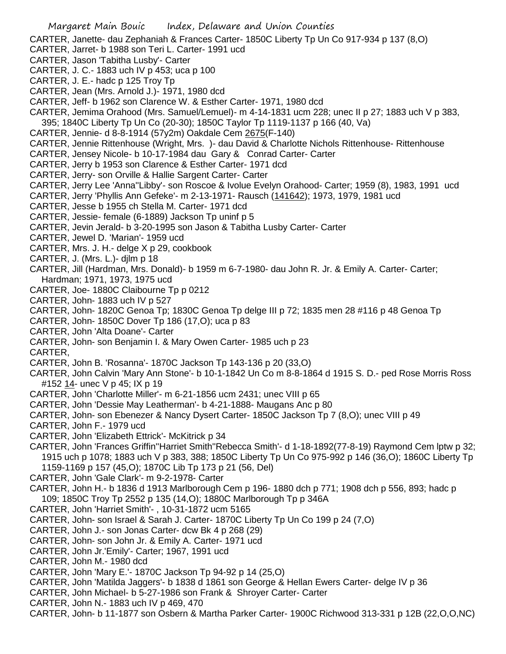CARTER, Janette- dau Zephaniah & Frances Carter- 1850C Liberty Tp Un Co 917-934 p 137 (8,O)

- CARTER, Jarret- b 1988 son Teri L. Carter- 1991 ucd
- CARTER, Jason 'Tabitha Lusby'- Carter
- CARTER, J. C.- 1883 uch IV p 453; uca p 100
- CARTER, J. E.- hadc p 125 Troy Tp
- CARTER, Jean (Mrs. Arnold J.)- 1971, 1980 dcd
- CARTER, Jeff- b 1962 son Clarence W. & Esther Carter- 1971, 1980 dcd
- CARTER, Jemima Orahood (Mrs. Samuel/Lemuel)- m 4-14-1831 ucm 228; unec II p 27; 1883 uch V p 383, 395; 1840C Liberty Tp Un Co (20-30); 1850C Taylor Tp 1119-1137 p 166 (40, Va)
- CARTER, Jennie- d 8-8-1914 (57y2m) Oakdale Cem 2675(F-140)
- CARTER, Jennie Rittenhouse (Wright, Mrs. )- dau David & Charlotte Nichols Rittenhouse- Rittenhouse
- CARTER, Jensey Nicole- b 10-17-1984 dau Gary & Conrad Carter- Carter
- CARTER, Jerry b 1953 son Clarence & Esther Carter- 1971 dcd
- CARTER, Jerry- son Orville & Hallie Sargent Carter- Carter
- CARTER, Jerry Lee 'Anna''Libby'- son Roscoe & Ivolue Evelyn Orahood- Carter; 1959 (8), 1983, 1991 ucd
- CARTER, Jerry 'Phyllis Ann Gefeke'- m 2-13-1971- Rausch (141642); 1973, 1979, 1981 ucd
- CARTER, Jesse b 1955 ch Stella M. Carter- 1971 dcd
- CARTER, Jessie- female (6-1889) Jackson Tp uninf p 5
- CARTER, Jevin Jerald- b 3-20-1995 son Jason & Tabitha Lusby Carter- Carter
- CARTER, Jewel D. 'Marian'- 1959 ucd
- CARTER, Mrs. J. H.- delge X p 29, cookbook
- CARTER, J. (Mrs. L.)- djlm p 18
- CARTER, Jill (Hardman, Mrs. Donald)- b 1959 m 6-7-1980- dau John R. Jr. & Emily A. Carter- Carter; Hardman; 1971, 1973, 1975 ucd
- CARTER, Joe- 1880C Claibourne Tp p 0212
- CARTER, John- 1883 uch IV p 527
- CARTER, John- 1820C Genoa Tp; 1830C Genoa Tp delge III p 72; 1835 men 28 #116 p 48 Genoa Tp
- CARTER, John- 1850C Dover Tp 186 (17,O); uca p 83
- CARTER, John 'Alta Doane'- Carter
- CARTER, John- son Benjamin I. & Mary Owen Carter- 1985 uch p 23
- CARTER,
- CARTER, John B. 'Rosanna'- 1870C Jackson Tp 143-136 p 20 (33,O)
- CARTER, John Calvin 'Mary Ann Stone'- b 10-1-1842 Un Co m 8-8-1864 d 1915 S. D.- ped Rose Morris Ross #152 14 - unec V p 45; IX p 19
- CARTER, John 'Charlotte Miller'- m 6-21-1856 ucm 2431; unec VIII p 65
- CARTER, John 'Dessie May Leatherman'- b 4-21-1888- Maugans Anc p 80
- CARTER, John- son Ebenezer & Nancy Dysert Carter- 1850C Jackson Tp 7 (8,O); unec VIII p 49
- CARTER, John F.- 1979 ucd
- CARTER, John 'Elizabeth Ettrick'- McKitrick p 34
- CARTER, John 'Frances Griffin''Harriet Smith''Rebecca Smith'- d 1-18-1892(77-8-19) Raymond Cem lptw p 32; 1915 uch p 1078; 1883 uch V p 383, 388; 1850C Liberty Tp Un Co 975-992 p 146 (36,O); 1860C Liberty Tp 1159-1169 p 157 (45,O); 1870C Lib Tp 173 p 21 (56, Del)
- CARTER, John 'Gale Clark'- m 9-2-1978- Carter
- CARTER, John H.- b 1836 d 1913 Marlborough Cem p 196- 1880 dch p 771; 1908 dch p 556, 893; hadc p 109; 1850C Troy Tp 2552 p 135 (14,O); 1880C Marlborough Tp p 346A
- CARTER, John 'Harriet Smith'- , 10-31-1872 ucm 5165
- CARTER, John- son Israel & Sarah J. Carter- 1870C Liberty Tp Un Co 199 p 24 (7,O)
- CARTER, John J.- son Jonas Carter- dcw Bk 4 p 268 (29)
- CARTER, John- son John Jr. & Emily A. Carter- 1971 ucd
- CARTER, John Jr.'Emily'- Carter; 1967, 1991 ucd
- CARTER, John M.- 1980 dcd
- CARTER, John 'Mary E.'- 1870C Jackson Tp 94-92 p 14 (25,O)
- CARTER, John 'Matilda Jaggers'- b 1838 d 1861 son George & Hellan Ewers Carter- delge IV p 36
- CARTER, John Michael- b 5-27-1986 son Frank & Shroyer Carter- Carter
- CARTER, John N.- 1883 uch IV p 469, 470
- CARTER, John- b 11-1877 son Osbern & Martha Parker Carter- 1900C Richwood 313-331 p 12B (22,O,O,NC)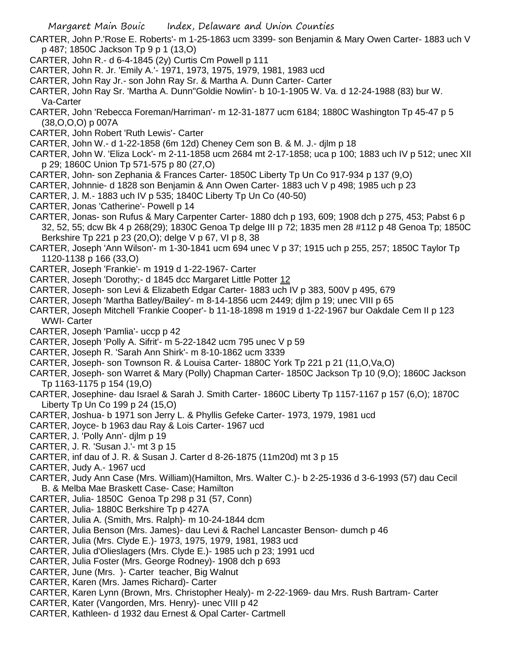CARTER, John P.'Rose E. Roberts'- m 1-25-1863 ucm 3399- son Benjamin & Mary Owen Carter- 1883 uch V p 487; 1850C Jackson Tp 9 p 1 (13,O)

- CARTER, John R.- d 6-4-1845 (2y) Curtis Cm Powell p 111
- CARTER, John R. Jr. 'Emily A.'- 1971, 1973, 1975, 1979, 1981, 1983 ucd
- CARTER, John Ray Jr.- son John Ray Sr. & Martha A. Dunn Carter- Carter
- CARTER, John Ray Sr. 'Martha A. Dunn''Goldie Nowlin'- b 10-1-1905 W. Va. d 12-24-1988 (83) bur W. Va-Carter
- CARTER, John 'Rebecca Foreman/Harriman'- m 12-31-1877 ucm 6184; 1880C Washington Tp 45-47 p 5 (38,O,O,O) p 007A
- CARTER, John Robert 'Ruth Lewis'- Carter
- CARTER, John W.- d 1-22-1858 (6m 12d) Cheney Cem son B. & M. J.- djlm p 18
- CARTER, John W. 'Eliza Lock'- m 2-11-1858 ucm 2684 mt 2-17-1858; uca p 100; 1883 uch IV p 512; unec XII p 29; 1860C Union Tp 571-575 p 80 (27,O)
- CARTER, John- son Zephania & Frances Carter- 1850C Liberty Tp Un Co 917-934 p 137 (9,O)
- CARTER, Johnnie- d 1828 son Benjamin & Ann Owen Carter- 1883 uch V p 498; 1985 uch p 23
- CARTER, J. M.- 1883 uch IV p 535; 1840C Liberty Tp Un Co (40-50)
- CARTER, Jonas 'Catherine'- Powell p 14
- CARTER, Jonas- son Rufus & Mary Carpenter Carter- 1880 dch p 193, 609; 1908 dch p 275, 453; Pabst 6 p 32, 52, 55; dcw Bk 4 p 268(29); 1830C Genoa Tp delge III p 72; 1835 men 28 #112 p 48 Genoa Tp; 1850C Berkshire Tp 221 p 23 (20,O); delge V p 67, VI p 8, 38
- CARTER, Joseph 'Ann Wilson'- m 1-30-1841 ucm 694 unec V p 37; 1915 uch p 255, 257; 1850C Taylor Tp 1120-1138 p 166 (33,O)
- CARTER, Joseph 'Frankie'- m 1919 d 1-22-1967- Carter
- CARTER, Joseph 'Dorothy;- d 1845 dcc Margaret Little Potter 12
- CARTER, Joseph- son Levi & Elizabeth Edgar Carter- 1883 uch IV p 383, 500V p 495, 679
- CARTER, Joseph 'Martha Batley/Bailey'- m 8-14-1856 ucm 2449; djlm p 19; unec VIII p 65
- CARTER, Joseph Mitchell 'Frankie Cooper'- b 11-18-1898 m 1919 d 1-22-1967 bur Oakdale Cem II p 123 WWI- Carter
- CARTER, Joseph 'Pamlia'- uccp p 42
- CARTER, Joseph 'Polly A. Sifrit'- m 5-22-1842 ucm 795 unec V p 59
- CARTER, Joseph R. 'Sarah Ann Shirk'- m 8-10-1862 ucm 3339
- CARTER, Joseph- son Townson R. & Louisa Carter- 1880C York Tp 221 p 21 (11,O,Va,O)
- CARTER, Joseph- son Warret & Mary (Polly) Chapman Carter- 1850C Jackson Tp 10 (9,O); 1860C Jackson Tp 1163-1175 p 154 (19,O)
- CARTER, Josephine- dau Israel & Sarah J. Smith Carter- 1860C Liberty Tp 1157-1167 p 157 (6,O); 1870C Liberty Tp Un Co 199 p 24 (15,O)
- CARTER, Joshua- b 1971 son Jerry L. & Phyllis Gefeke Carter- 1973, 1979, 1981 ucd
- CARTER, Joyce- b 1963 dau Ray & Lois Carter- 1967 ucd
- CARTER, J. 'Polly Ann'- djlm p 19
- CARTER, J. R. 'Susan J.'- mt 3 p 15
- CARTER, inf dau of J. R. & Susan J. Carter d 8-26-1875 (11m20d) mt 3 p 15
- CARTER, Judy A.- 1967 ucd
- CARTER, Judy Ann Case (Mrs. William)(Hamilton, Mrs. Walter C.)- b 2-25-1936 d 3-6-1993 (57) dau Cecil B. & Melba Mae Braskett Case- Case; Hamilton
- CARTER, Julia- 1850C Genoa Tp 298 p 31 (57, Conn)
- CARTER, Julia- 1880C Berkshire Tp p 427A
- CARTER, Julia A. (Smith, Mrs. Ralph)- m 10-24-1844 dcm
- CARTER, Julia Benson (Mrs. James)- dau Levi & Rachel Lancaster Benson- dumch p 46
- CARTER, Julia (Mrs. Clyde E.)- 1973, 1975, 1979, 1981, 1983 ucd
- CARTER, Julia d'Olieslagers (Mrs. Clyde E.)- 1985 uch p 23; 1991 ucd
- CARTER, Julia Foster (Mrs. George Rodney)- 1908 dch p 693
- CARTER, June (Mrs. )- Carter teacher, Big Walnut
- CARTER, Karen (Mrs. James Richard)- Carter
- CARTER, Karen Lynn (Brown, Mrs. Christopher Healy)- m 2-22-1969- dau Mrs. Rush Bartram- Carter
- CARTER, Kater (Vangorden, Mrs. Henry)- unec VIII p 42
- CARTER, Kathleen- d 1932 dau Ernest & Opal Carter- Cartmell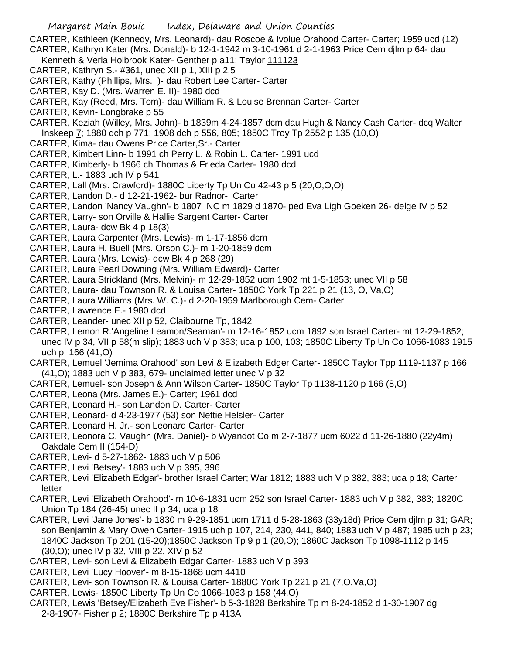CARTER, Kathleen (Kennedy, Mrs. Leonard)- dau Roscoe & Ivolue Orahood Carter- Carter; 1959 ucd (12) CARTER, Kathryn Kater (Mrs. Donald)- b 12-1-1942 m 3-10-1961 d 2-1-1963 Price Cem djlm p 64- dau

Kenneth & Verla Holbrook Kater- Genther p a11; Taylor 111123

- CARTER, Kathryn S.- #361, unec XII p 1, XIII p 2,5
- CARTER, Kathy (Phillips, Mrs. )- dau Robert Lee Carter- Carter
- CARTER, Kay D. (Mrs. Warren E. II)- 1980 dcd
- CARTER, Kay (Reed, Mrs. Tom)- dau William R. & Louise Brennan Carter- Carter
- CARTER, Kevin- Longbrake p 55
- CARTER, Keziah (Willey, Mrs. John)- b 1839m 4-24-1857 dcm dau Hugh & Nancy Cash Carter- dcq Walter Inskeep 7; 1880 dch p 771; 1908 dch p 556, 805; 1850C Troy Tp 2552 p 135 (10,O)
- CARTER, Kima- dau Owens Price Carter,Sr.- Carter
- CARTER, Kimbert Linn- b 1991 ch Perry L. & Robin L. Carter- 1991 ucd
- CARTER, Kimberly- b 1966 ch Thomas & Frieda Carter- 1980 dcd
- CARTER, L.- 1883 uch IV p 541
- CARTER, Lall (Mrs. Crawford)- 1880C Liberty Tp Un Co 42-43 p 5 (20,O,O,O)
- CARTER, Landon D.- d 12-21-1962- bur Radnor- Carter
- CARTER, Landon 'Nancy Vaughn'- b 1807 NC m 1829 d 1870- ped Eva Ligh Goeken 26- delge IV p 52
- CARTER, Larry- son Orville & Hallie Sargent Carter- Carter
- CARTER, Laura- dcw Bk 4 p 18(3)
- CARTER, Laura Carpenter (Mrs. Lewis)- m 1-17-1856 dcm
- CARTER, Laura H. Buell (Mrs. Orson C.)- m 1-20-1859 dcm
- CARTER, Laura (Mrs. Lewis)- dcw Bk 4 p 268 (29)
- CARTER, Laura Pearl Downing (Mrs. William Edward)- Carter
- CARTER, Laura Strickland (Mrs. Melvin)- m 12-29-1852 ucm 1902 mt 1-5-1853; unec VII p 58
- CARTER, Laura- dau Townson R. & Louisa Carter- 1850C York Tp 221 p 21 (13, O, Va,O)
- CARTER, Laura Williams (Mrs. W. C.)- d 2-20-1959 Marlborough Cem- Carter
- CARTER, Lawrence E.- 1980 dcd
- CARTER, Leander- unec XII p 52, Claibourne Tp, 1842
- CARTER, Lemon R.'Angeline Leamon/Seaman'- m 12-16-1852 ucm 1892 son Israel Carter- mt 12-29-1852; unec IV p 34, VII p 58(m slip); 1883 uch V p 383; uca p 100, 103; 1850C Liberty Tp Un Co 1066-1083 1915 uch p 166 (41,O)
- CARTER, Lemuel 'Jemima Orahood' son Levi & Elizabeth Edger Carter- 1850C Taylor Tpp 1119-1137 p 166 (41,O); 1883 uch V p 383, 679- unclaimed letter unec V p 32
- CARTER, Lemuel- son Joseph & Ann Wilson Carter- 1850C Taylor Tp 1138-1120 p 166 (8,O)
- CARTER, Leona (Mrs. James E.)- Carter; 1961 dcd
- CARTER, Leonard H.- son Landon D. Carter- Carter
- CARTER, Leonard- d 4-23-1977 (53) son Nettie Helsler- Carter
- CARTER, Leonard H. Jr.- son Leonard Carter- Carter
- CARTER, Leonora C. Vaughn (Mrs. Daniel)- b Wyandot Co m 2-7-1877 ucm 6022 d 11-26-1880 (22y4m) Oakdale Cem II (154-D)
- CARTER, Levi- d 5-27-1862- 1883 uch V p 506
- CARTER, Levi 'Betsey'- 1883 uch V p 395, 396
- CARTER, Levi 'Elizabeth Edgar'- brother Israel Carter; War 1812; 1883 uch V p 382, 383; uca p 18; Carter letter
- CARTER, Levi 'Elizabeth Orahood'- m 10-6-1831 ucm 252 son Israel Carter- 1883 uch V p 382, 383; 1820C Union Tp 184 (26-45) unec II p 34; uca p 18
- CARTER, Levi 'Jane Jones'- b 1830 m 9-29-1851 ucm 1711 d 5-28-1863 (33y18d) Price Cem djlm p 31; GAR; son Benjamin & Mary Owen Carter- 1915 uch p 107, 214, 230, 441, 840; 1883 uch V p 487; 1985 uch p 23; 1840C Jackson Tp 201 (15-20);1850C Jackson Tp 9 p 1 (20,O); 1860C Jackson Tp 1098-1112 p 145 (30,O); unec IV p 32, VIII p 22, XIV p 52
- CARTER, Levi- son Levi & Elizabeth Edgar Carter- 1883 uch V p 393
- CARTER, Levi 'Lucy Hoover'- m 8-15-1868 ucm 4410
- CARTER, Levi- son Townson R. & Louisa Carter- 1880C York Tp 221 p 21 (7,O,Va,O)
- CARTER, Lewis- 1850C Liberty Tp Un Co 1066-1083 p 158 (44,O)
- CARTER, Lewis 'Betsey/Elizabeth Eve Fisher'- b 5-3-1828 Berkshire Tp m 8-24-1852 d 1-30-1907 dg 2-8-1907- Fisher p 2; 1880C Berkshire Tp p 413A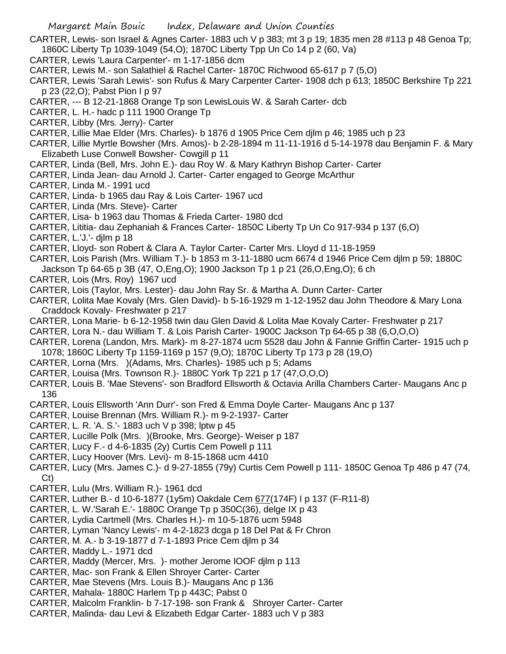- CARTER, Lewis- son Israel & Agnes Carter- 1883 uch V p 383; mt 3 p 19; 1835 men 28 #113 p 48 Genoa Tp; 1860C Liberty Tp 1039-1049 (54,O); 1870C Liberty Tpp Un Co 14 p 2 (60, Va)
- CARTER, Lewis 'Laura Carpenter'- m 1-17-1856 dcm
- CARTER, Lewis M.- son Salathiel & Rachel Carter- 1870C Richwood 65-617 p 7 (5,O)
- CARTER, Lewis 'Sarah Lewis'- son Rufus & Mary Carpenter Carter- 1908 dch p 613; 1850C Berkshire Tp 221 p 23 (22,O); Pabst Pion I p 97
- CARTER, --- B 12-21-1868 Orange Tp son LewisLouis W. & Sarah Carter- dcb
- CARTER, L. H.- hadc p 111 1900 Orange Tp
- CARTER, Libby (Mrs. Jerry)- Carter
- CARTER, Lillie Mae Elder (Mrs. Charles)- b 1876 d 1905 Price Cem djlm p 46; 1985 uch p 23
- CARTER, Lillie Myrtle Bowsher (Mrs. Amos)- b 2-28-1894 m 11-11-1916 d 5-14-1978 dau Benjamin F. & Mary Elizabeth Luse Conwell Bowsher- Cowgill p 11
- CARTER, Linda (Bell, Mrs. John E.)- dau Roy W. & Mary Kathryn Bishop Carter- Carter
- CARTER, Linda Jean- dau Arnold J. Carter- Carter engaged to George McArthur
- CARTER, Linda M.- 1991 ucd
- CARTER, Linda- b 1965 dau Ray & Lois Carter- 1967 ucd
- CARTER, Linda (Mrs. Steve)- Carter
- CARTER, Lisa- b 1963 dau Thomas & Frieda Carter- 1980 dcd
- CARTER, Lititia- dau Zephaniah & Frances Carter- 1850C Liberty Tp Un Co 917-934 p 137 (6,O)
- CARTER, L.'J.'- djlm p 18
- CARTER, Lloyd- son Robert & Clara A. Taylor Carter- Carter Mrs. Lloyd d 11-18-1959
- CARTER, Lois Parish (Mrs. William T.)- b 1853 m 3-11-1880 ucm 6674 d 1946 Price Cem djlm p 59; 1880C
- Jackson Tp 64-65 p 3B (47, O,Eng,O); 1900 Jackson Tp 1 p 21 (26,O,Eng,O); 6 ch
- CARTER, Lois (Mrs. Roy) 1967 ucd
- CARTER, Lois (Taylor, Mrs. Lester)- dau John Ray Sr. & Martha A. Dunn Carter- Carter
- CARTER, Lolita Mae Kovaly (Mrs. Glen David)- b 5-16-1929 m 1-12-1952 dau John Theodore & Mary Lona Craddock Kovaly- Freshwater p 217
- CARTER, Lona Marie- b 6-12-1958 twin dau Glen David & Lolita Mae Kovaly Carter- Freshwater p 217
- CARTER, Lora N.- dau William T. & Lois Parish Carter- 1900C Jackson Tp 64-65 p 38 (6,O,O,O)
- CARTER, Lorena (Landon, Mrs. Mark)- m 8-27-1874 ucm 5528 dau John & Fannie Griffin Carter- 1915 uch p 1078; 1860C Liberty Tp 1159-1169 p 157 (9,O); 1870C Liberty Tp 173 p 28 (19,O)
- CARTER, Lorna (Mrs. )(Adams, Mrs. Charles)- 1985 uch p 5; Adams
- CARTER, Louisa (Mrs. Townson R.)- 1880C York Tp 221 p 17 (47,O,O,O)
- CARTER, Louis B. 'Mae Stevens'- son Bradford Ellsworth & Octavia Arilla Chambers Carter- Maugans Anc p 136
- CARTER, Louis Ellsworth 'Ann Durr'- son Fred & Emma Doyle Carter- Maugans Anc p 137
- CARTER, Louise Brennan (Mrs. William R.)- m 9-2-1937- Carter
- CARTER, L. R. 'A. S.'- 1883 uch V p 398; lptw p 45
- CARTER, Lucille Polk (Mrs. )(Brooke, Mrs. George)- Weiser p 187
- CARTER, Lucy F.- d 4-6-1835 (2y) Curtis Cem Powell p 111
- CARTER, Lucy Hoover (Mrs. Levi)- m 8-15-1868 ucm 4410
- CARTER, Lucy (Mrs. James C.)- d 9-27-1855 (79y) Curtis Cem Powell p 111- 1850C Genoa Tp 486 p 47 (74, Ct)
- CARTER, Lulu (Mrs. William R.)- 1961 dcd
- CARTER, Luther B.- d 10-6-1877 (1y5m) Oakdale Cem 677(174F) I p 137 (F-R11-8)
- CARTER, L. W.'Sarah E.'- 1880C Orange Tp p 350C(36), delge IX p 43
- CARTER, Lydia Cartmell (Mrs. Charles H.)- m 10-5-1876 ucm 5948
- CARTER, Lyman 'Nancy Lewis'- m 4-2-1823 dcga p 18 Del Pat & Fr Chron
- CARTER, M. A.- b 3-19-1877 d 7-1-1893 Price Cem djlm p 34
- CARTER, Maddy L.- 1971 dcd
- CARTER, Maddy (Mercer, Mrs. )- mother Jerome IOOF djlm p 113
- CARTER, Mac- son Frank & Ellen Shroyer Carter- Carter
- CARTER, Mae Stevens (Mrs. Louis B.)- Maugans Anc p 136
- CARTER, Mahala- 1880C Harlem Tp p 443C; Pabst 0
- CARTER, Malcolm Franklin- b 7-17-198- son Frank & Shroyer Carter- Carter
- CARTER, Malinda- dau Levi & Elizabeth Edgar Carter- 1883 uch V p 383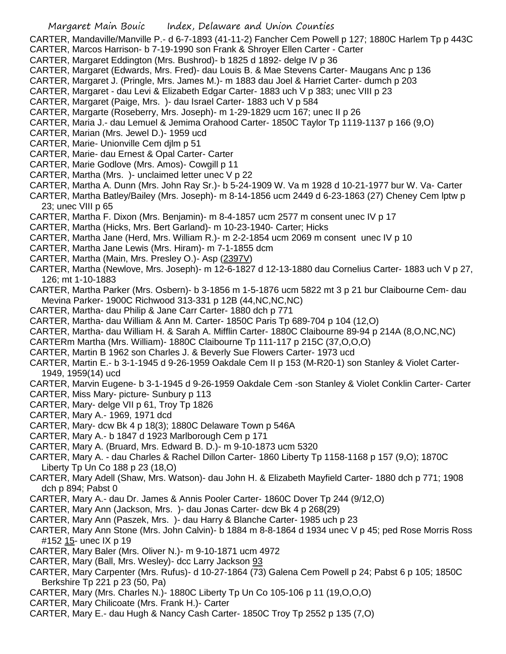CARTER, Mandaville/Manville P.- d 6-7-1893 (41-11-2) Fancher Cem Powell p 127; 1880C Harlem Tp p 443C CARTER, Marcos Harrison- b 7-19-1990 son Frank & Shroyer Ellen Carter - Carter

- CARTER, Margaret Eddington (Mrs. Bushrod)- b 1825 d 1892- delge IV p 36
- 
- CARTER, Margaret (Edwards, Mrs. Fred)- dau Louis B. & Mae Stevens Carter- Maugans Anc p 136
- CARTER, Margaret J. (Pringle, Mrs. James M.)- m 1883 dau Joel & Harriet Carter- dumch p 203
- CARTER, Margaret dau Levi & Elizabeth Edgar Carter- 1883 uch V p 383; unec VIII p 23
- CARTER, Margaret (Paige, Mrs. )- dau Israel Carter- 1883 uch V p 584
- CARTER, Margarte (Roseberry, Mrs. Joseph)- m 1-29-1829 ucm 167; unec II p 26
- CARTER, Maria J.- dau Lemuel & Jemima Orahood Carter- 1850C Taylor Tp 1119-1137 p 166 (9,O)
- CARTER, Marian (Mrs. Jewel D.)- 1959 ucd
- CARTER, Marie- Unionville Cem djlm p 51
- CARTER, Marie- dau Ernest & Opal Carter- Carter
- CARTER, Marie Godlove (Mrs. Amos)- Cowgill p 11
- CARTER, Martha (Mrs. )- unclaimed letter unec V p 22
- CARTER, Martha A. Dunn (Mrs. John Ray Sr.)- b 5-24-1909 W. Va m 1928 d 10-21-1977 bur W. Va- Carter
- CARTER, Martha Batley/Bailey (Mrs. Joseph)- m 8-14-1856 ucm 2449 d 6-23-1863 (27) Cheney Cem lptw p 23; unec VIII p 65
- CARTER, Martha F. Dixon (Mrs. Benjamin)- m 8-4-1857 ucm 2577 m consent unec IV p 17
- CARTER, Martha (Hicks, Mrs. Bert Garland)- m 10-23-1940- Carter; Hicks
- CARTER, Martha Jane (Herd, Mrs. William R.)- m 2-2-1854 ucm 2069 m consent unec IV p 10
- CARTER, Martha Jane Lewis (Mrs. Hiram)- m 7-1-1855 dcm
- CARTER, Martha (Main, Mrs. Presley O.)- Asp (2397V)
- CARTER, Martha (Newlove, Mrs. Joseph)- m 12-6-1827 d 12-13-1880 dau Cornelius Carter- 1883 uch V p 27, 126; mt 1-10-1883
- CARTER, Martha Parker (Mrs. Osbern)- b 3-1856 m 1-5-1876 ucm 5822 mt 3 p 21 bur Claibourne Cem- dau Mevina Parker- 1900C Richwood 313-331 p 12B (44,NC,NC,NC)
- CARTER, Martha- dau Philip & Jane Carr Carter- 1880 dch p 771
- CARTER, Martha- dau William & Ann M. Carter- 1850C Paris Tp 689-704 p 104 (12,O)
- CARTER, Martha- dau William H. & Sarah A. Mifflin Carter- 1880C Claibourne 89-94 p 214A (8,O,NC,NC)
- CARTERm Martha (Mrs. William)- 1880C Claibourne Tp 111-117 p 215C (37,O,O,O)
- CARTER, Martin B 1962 son Charles J. & Beverly Sue Flowers Carter- 1973 ucd
- CARTER, Martin E.- b 3-1-1945 d 9-26-1959 Oakdale Cem II p 153 (M-R20-1) son Stanley & Violet Carter-1949, 1959(14) ucd
- CARTER, Marvin Eugene- b 3-1-1945 d 9-26-1959 Oakdale Cem -son Stanley & Violet Conklin Carter- Carter
- CARTER, Miss Mary- picture- Sunbury p 113
- CARTER, Mary- delge VII p 61, Troy Tp 1826
- CARTER, Mary A.- 1969, 1971 dcd
- CARTER, Mary- dcw Bk 4 p 18(3); 1880C Delaware Town p 546A
- CARTER, Mary A.- b 1847 d 1923 Marlborough Cem p 171
- CARTER, Mary A. (Bruard, Mrs. Edward B. D.)- m 9-10-1873 ucm 5320
- CARTER, Mary A. dau Charles & Rachel Dillon Carter- 1860 Liberty Tp 1158-1168 p 157 (9,O); 1870C Liberty Tp Un Co 188 p 23 (18,O)
- CARTER, Mary Adell (Shaw, Mrs. Watson)- dau John H. & Elizabeth Mayfield Carter- 1880 dch p 771; 1908 dch p 894; Pabst 0
- CARTER, Mary A.- dau Dr. James & Annis Pooler Carter- 1860C Dover Tp 244 (9/12,O)
- CARTER, Mary Ann (Jackson, Mrs. )- dau Jonas Carter- dcw Bk 4 p 268(29)
- CARTER, Mary Ann (Paszek, Mrs. )- dau Harry & Blanche Carter- 1985 uch p 23
- CARTER, Mary Ann Stone (Mrs. John Calvin)- b 1884 m 8-8-1864 d 1934 unec V p 45; ped Rose Morris Ross #152 15- unec IX p 19
- CARTER, Mary Baler (Mrs. Oliver N.)- m 9-10-1871 ucm 4972
- CARTER, Mary (Ball, Mrs. Wesley)- dcc Larry Jackson 93
- CARTER, Mary Carpenter (Mrs. Rufus)- d 10-27-1864 (73) Galena Cem Powell p 24; Pabst 6 p 105; 1850C Berkshire Tp 221 p 23 (50, Pa)
- CARTER, Mary (Mrs. Charles N.)- 1880C Liberty Tp Un Co 105-106 p 11 (19,O,O,O)
- CARTER, Mary Chilicoate (Mrs. Frank H.)- Carter
- CARTER, Mary E.- dau Hugh & Nancy Cash Carter- 1850C Troy Tp 2552 p 135 (7,O)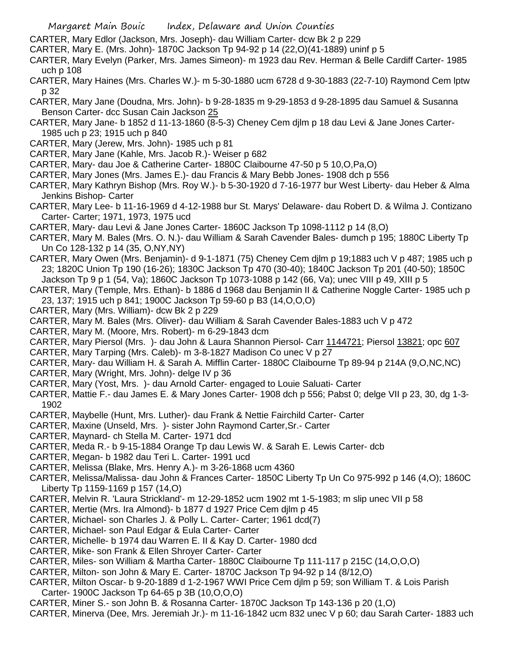- CARTER, Mary Edlor (Jackson, Mrs. Joseph)- dau William Carter- dcw Bk 2 p 229
- CARTER, Mary E. (Mrs. John)- 1870C Jackson Tp 94-92 p 14 (22,O)(41-1889) uninf p 5
- CARTER, Mary Evelyn (Parker, Mrs. James Simeon)- m 1923 dau Rev. Herman & Belle Cardiff Carter- 1985 uch p 108
- CARTER, Mary Haines (Mrs. Charles W.)- m 5-30-1880 ucm 6728 d 9-30-1883 (22-7-10) Raymond Cem lptw p 32
- CARTER, Mary Jane (Doudna, Mrs. John)- b 9-28-1835 m 9-29-1853 d 9-28-1895 dau Samuel & Susanna Benson Carter- dcc Susan Cain Jackson 25
- CARTER, Mary Jane- b 1852 d 11-13-1860 (8-5-3) Cheney Cem djlm p 18 dau Levi & Jane Jones Carter-1985 uch p 23; 1915 uch p 840
- CARTER, Mary (Jerew, Mrs. John)- 1985 uch p 81
- CARTER, Mary Jane (Kahle, Mrs. Jacob R.)- Weiser p 682
- CARTER, Mary- dau Joe & Catherine Carter- 1880C Claibourne 47-50 p 5 10,O,Pa,O)
- CARTER, Mary Jones (Mrs. James E.)- dau Francis & Mary Bebb Jones- 1908 dch p 556
- CARTER, Mary Kathryn Bishop (Mrs. Roy W.)- b 5-30-1920 d 7-16-1977 bur West Liberty- dau Heber & Alma Jenkins Bishop- Carter
- CARTER, Mary Lee- b 11-16-1969 d 4-12-1988 bur St. Marys' Delaware- dau Robert D. & Wilma J. Contizano Carter- Carter; 1971, 1973, 1975 ucd
- CARTER, Mary- dau Levi & Jane Jones Carter- 1860C Jackson Tp 1098-1112 p 14 (8,O)
- CARTER, Mary M. Bales (Mrs. O. N.)- dau William & Sarah Cavender Bales- dumch p 195; 1880C Liberty Tp Un Co 128-132 p 14 (35, O,NY,NY)
- CARTER, Mary Owen (Mrs. Benjamin)- d 9-1-1871 (75) Cheney Cem djlm p 19;1883 uch V p 487; 1985 uch p 23; 1820C Union Tp 190 (16-26); 1830C Jackson Tp 470 (30-40); 1840C Jackson Tp 201 (40-50); 1850C Jackson Tp 9 p 1 (54, Va); 1860C Jackson Tp 1073-1088 p 142 (66, Va); unec VIII p 49, XIII p 5
- CARTER, Mary (Temple, Mrs. Ethan)- b 1886 d 1968 dau Benjamin II & Catherine Noggle Carter- 1985 uch p 23, 137; 1915 uch p 841; 1900C Jackson Tp 59-60 p B3 (14,O,O,O)
- CARTER, Mary (Mrs. William)- dcw Bk 2 p 229
- CARTER, Mary M. Bales (Mrs. Oliver)- dau William & Sarah Cavender Bales-1883 uch V p 472
- CARTER, Mary M. (Moore, Mrs. Robert)- m 6-29-1843 dcm
- CARTER, Mary Piersol (Mrs. )- dau John & Laura Shannon Piersol- Carr 1144721; Piersol 13821; opc 607
- CARTER, Mary Tarping (Mrs. Caleb)- m 3-8-1827 Madison Co unec V p 27
- CARTER, Mary- dau William H. & Sarah A. Mifflin Carter- 1880C Claibourne Tp 89-94 p 214A (9,O,NC,NC)
- CARTER, Mary (Wright, Mrs. John)- delge IV p 36
- CARTER, Mary (Yost, Mrs. )- dau Arnold Carter- engaged to Louie Saluati- Carter
- CARTER, Mattie F.- dau James E. & Mary Jones Carter- 1908 dch p 556; Pabst 0; delge VII p 23, 30, dg 1-3- 1902
- CARTER, Maybelle (Hunt, Mrs. Luther)- dau Frank & Nettie Fairchild Carter- Carter
- CARTER, Maxine (Unseld, Mrs. )- sister John Raymond Carter,Sr.- Carter
- CARTER, Maynard- ch Stella M. Carter- 1971 dcd
- CARTER, Meda R.- b 9-15-1884 Orange Tp dau Lewis W. & Sarah E. Lewis Carter- dcb
- CARTER, Megan- b 1982 dau Teri L. Carter- 1991 ucd
- CARTER, Melissa (Blake, Mrs. Henry A.)- m 3-26-1868 ucm 4360
- CARTER, Melissa/Malissa- dau John & Frances Carter- 1850C Liberty Tp Un Co 975-992 p 146 (4,O); 1860C Liberty Tp 1159-1169 p 157 (14,O)
- CARTER, Melvin R. 'Laura Strickland'- m 12-29-1852 ucm 1902 mt 1-5-1983; m slip unec VII p 58
- CARTER, Mertie (Mrs. Ira Almond)- b 1877 d 1927 Price Cem djlm p 45
- CARTER, Michael- son Charles J. & Polly L. Carter- Carter; 1961 dcd(7)
- CARTER, Michael- son Paul Edgar & Eula Carter- Carter
- CARTER, Michelle- b 1974 dau Warren E. II & Kay D. Carter- 1980 dcd
- CARTER, Mike- son Frank & Ellen Shroyer Carter- Carter
- CARTER, Miles- son William & Martha Carter- 1880C Claibourne Tp 111-117 p 215C (14,O,O,O)
- CARTER, Milton- son John & Mary E. Carter- 1870C Jackson Tp 94-92 p 14 (8/12,O)
- CARTER, Milton Oscar- b 9-20-1889 d 1-2-1967 WWI Price Cem djlm p 59; son William T. & Lois Parish Carter- 1900C Jackson Tp 64-65 p 3B (10,O,O,O)
- CARTER, Miner S.- son John B. & Rosanna Carter- 1870C Jackson Tp 143-136 p 20 (1,O)
- CARTER, Minerva (Dee, Mrs. Jeremiah Jr.)- m 11-16-1842 ucm 832 unec V p 60; dau Sarah Carter- 1883 uch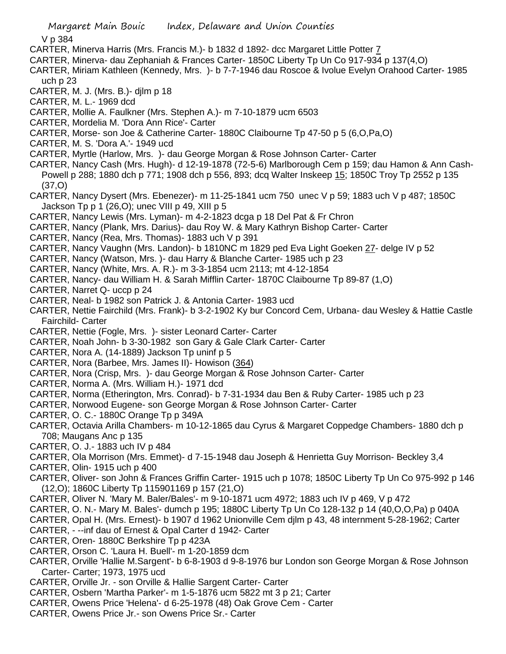V p 384

- CARTER, Minerva Harris (Mrs. Francis M.)- b 1832 d 1892- dcc Margaret Little Potter 7
- CARTER, Minerva- dau Zephaniah & Frances Carter- 1850C Liberty Tp Un Co 917-934 p 137(4,O)
- CARTER, Miriam Kathleen (Kennedy, Mrs. )- b 7-7-1946 dau Roscoe & Ivolue Evelyn Orahood Carter- 1985 uch p 23
- CARTER, M. J. (Mrs. B.)- djlm p 18
- CARTER, M. L.- 1969 dcd
- CARTER, Mollie A. Faulkner (Mrs. Stephen A.)- m 7-10-1879 ucm 6503
- CARTER, Mordelia M. 'Dora Ann Rice'- Carter
- CARTER, Morse- son Joe & Catherine Carter- 1880C Claibourne Tp 47-50 p 5 (6,O,Pa,O)
- CARTER, M. S. 'Dora A.'- 1949 ucd
- CARTER, Myrtle (Harlow, Mrs. )- dau George Morgan & Rose Johnson Carter- Carter
- CARTER, Nancy Cash (Mrs. Hugh)- d 12-19-1878 (72-5-6) Marlborough Cem p 159; dau Hamon & Ann Cash-Powell p 288; 1880 dch p 771; 1908 dch p 556, 893; dcq Walter Inskeep 15; 1850C Troy Tp 2552 p 135 (37,O)
- CARTER, Nancy Dysert (Mrs. Ebenezer)- m 11-25-1841 ucm 750 unec V p 59; 1883 uch V p 487; 1850C Jackson Tp p 1 (26,O); unec VIII p 49, XIII p 5
- CARTER, Nancy Lewis (Mrs. Lyman)- m 4-2-1823 dcga p 18 Del Pat & Fr Chron
- CARTER, Nancy (Plank, Mrs. Darius)- dau Roy W. & Mary Kathryn Bishop Carter- Carter
- CARTER, Nancy (Rea, Mrs. Thomas)- 1883 uch V p 391
- CARTER, Nancy Vaughn (Mrs. Landon)- b 1810NC m 1829 ped Eva Light Goeken 27- delge IV p 52
- CARTER, Nancy (Watson, Mrs. )- dau Harry & Blanche Carter- 1985 uch p 23
- CARTER, Nancy (White, Mrs. A. R.)- m 3-3-1854 ucm 2113; mt 4-12-1854
- CARTER, Nancy- dau William H. & Sarah Mifflin Carter- 1870C Claibourne Tp 89-87 (1,O)
- CARTER, Narret Q- uccp p 24
- CARTER, Neal- b 1982 son Patrick J. & Antonia Carter- 1983 ucd
- CARTER, Nettie Fairchild (Mrs. Frank)- b 3-2-1902 Ky bur Concord Cem, Urbana- dau Wesley & Hattie Castle Fairchild- Carter
- CARTER, Nettie (Fogle, Mrs. )- sister Leonard Carter- Carter
- CARTER, Noah John- b 3-30-1982 son Gary & Gale Clark Carter- Carter
- CARTER, Nora A. (14-1889) Jackson Tp uninf p 5
- CARTER, Nora (Barbee, Mrs. James II)- Howison (364)
- CARTER, Nora (Crisp, Mrs. )- dau George Morgan & Rose Johnson Carter- Carter
- CARTER, Norma A. (Mrs. William H.)- 1971 dcd
- CARTER, Norma (Etherington, Mrs. Conrad)- b 7-31-1934 dau Ben & Ruby Carter- 1985 uch p 23
- CARTER, Norwood Eugene- son George Morgan & Rose Johnson Carter- Carter
- CARTER, O. C.- 1880C Orange Tp p 349A
- CARTER, Octavia Arilla Chambers- m 10-12-1865 dau Cyrus & Margaret Coppedge Chambers- 1880 dch p 708; Maugans Anc p 135
- CARTER, O. J.- 1883 uch IV p 484
- CARTER, Ola Morrison (Mrs. Emmet)- d 7-15-1948 dau Joseph & Henrietta Guy Morrison- Beckley 3,4
- CARTER, Olin- 1915 uch p 400
- CARTER, Oliver- son John & Frances Griffin Carter- 1915 uch p 1078; 1850C Liberty Tp Un Co 975-992 p 146 (12,O); 1860C Liberty Tp 115901169 p 157 (21,O)
- CARTER, Oliver N. 'Mary M. Baler/Bales'- m 9-10-1871 ucm 4972; 1883 uch IV p 469, V p 472
- CARTER, O. N.- Mary M. Bales'- dumch p 195; 1880C Liberty Tp Un Co 128-132 p 14 (40,O,O,Pa) p 040A
- CARTER, Opal H. (Mrs. Ernest)- b 1907 d 1962 Unionville Cem djlm p 43, 48 internment 5-28-1962; Carter
- CARTER, --inf dau of Ernest & Opal Carter d 1942- Carter
- CARTER, Oren- 1880C Berkshire Tp p 423A
- CARTER, Orson C. 'Laura H. Buell'- m 1-20-1859 dcm
- CARTER, Orville 'Hallie M.Sargent'- b 6-8-1903 d 9-8-1976 bur London son George Morgan & Rose Johnson Carter- Carter; 1973, 1975 ucd
- CARTER, Orville Jr. son Orville & Hallie Sargent Carter- Carter
- CARTER, Osbern 'Martha Parker'- m 1-5-1876 ucm 5822 mt 3 p 21; Carter
- CARTER, Owens Price 'Helena'- d 6-25-1978 (48) Oak Grove Cem Carter
- CARTER, Owens Price Jr.- son Owens Price Sr.- Carter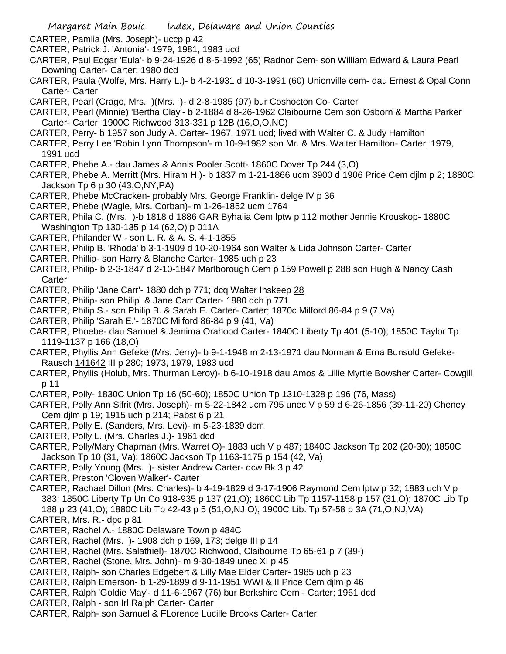- CARTER, Pamlia (Mrs. Joseph)- uccp p 42
- CARTER, Patrick J. 'Antonia'- 1979, 1981, 1983 ucd
- CARTER, Paul Edgar 'Eula'- b 9-24-1926 d 8-5-1992 (65) Radnor Cem- son William Edward & Laura Pearl Downing Carter- Carter; 1980 dcd
- CARTER, Paula (Wolfe, Mrs. Harry L.)- b 4-2-1931 d 10-3-1991 (60) Unionville cem- dau Ernest & Opal Conn Carter- Carter
- CARTER, Pearl (Crago, Mrs. )(Mrs. )- d 2-8-1985 (97) bur Coshocton Co- Carter
- CARTER, Pearl (Minnie) 'Bertha Clay'- b 2-1884 d 8-26-1962 Claibourne Cem son Osborn & Martha Parker Carter- Carter; 1900C Richwood 313-331 p 12B (16,O,O,NC)
- CARTER, Perry- b 1957 son Judy A. Carter- 1967, 1971 ucd; lived with Walter C. & Judy Hamilton
- CARTER, Perry Lee 'Robin Lynn Thompson'- m 10-9-1982 son Mr. & Mrs. Walter Hamilton- Carter; 1979, 1991 ucd
- CARTER, Phebe A.- dau James & Annis Pooler Scott- 1860C Dover Tp 244 (3,O)
- CARTER, Phebe A. Merritt (Mrs. Hiram H.)- b 1837 m 1-21-1866 ucm 3900 d 1906 Price Cem djlm p 2; 1880C Jackson Tp 6 p 30 (43,O,NY,PA)
- CARTER, Phebe McCracken- probably Mrs. George Franklin- delge IV p 36
- CARTER, Phebe (Wagle, Mrs. Corban)- m 1-26-1852 ucm 1764
- CARTER, Phila C. (Mrs. )-b 1818 d 1886 GAR Byhalia Cem lptw p 112 mother Jennie Krouskop- 1880C Washington Tp 130-135 p 14 (62,O) p 011A
- CARTER, Philander W.- son L. R. & A. S. 4-1-1855
- CARTER, Philip B. 'Rhoda' b 3-1-1909 d 10-20-1964 son Walter & Lida Johnson Carter- Carter
- CARTER, Phillip- son Harry & Blanche Carter- 1985 uch p 23
- CARTER, Philip- b 2-3-1847 d 2-10-1847 Marlborough Cem p 159 Powell p 288 son Hugh & Nancy Cash **Carter**
- CARTER, Philip 'Jane Carr'- 1880 dch p 771; dcq Walter Inskeep 28
- CARTER, Philip- son Philip & Jane Carr Carter- 1880 dch p 771
- CARTER, Philip S.- son Philip B. & Sarah E. Carter- Carter; 1870c Milford 86-84 p 9 (7,Va)
- CARTER, Philip 'Sarah E.'- 1870C Milford 86-84 p 9 (41, Va)
- CARTER, Phoebe- dau Samuel & Jemima Orahood Carter- 1840C Liberty Tp 401 (5-10); 1850C Taylor Tp 1119-1137 p 166 (18,O)
- CARTER, Phyllis Ann Gefeke (Mrs. Jerry)- b 9-1-1948 m 2-13-1971 dau Norman & Erna Bunsold Gefeke-Rausch 141642 III p 280; 1973, 1979, 1983 ucd
- CARTER, Phyllis (Holub, Mrs. Thurman Leroy)- b 6-10-1918 dau Amos & Lillie Myrtle Bowsher Carter- Cowgill p 11
- CARTER, Polly- 1830C Union Tp 16 (50-60); 1850C Union Tp 1310-1328 p 196 (76, Mass)
- CARTER, Polly Ann Sifrit (Mrs. Joseph)- m 5-22-1842 ucm 795 unec V p 59 d 6-26-1856 (39-11-20) Cheney Cem djlm p 19; 1915 uch p 214; Pabst 6 p 21
- CARTER, Polly E. (Sanders, Mrs. Levi)- m 5-23-1839 dcm
- CARTER, Polly L. (Mrs. Charles J.)- 1961 dcd
- CARTER, Polly/Mary Chapman (Mrs. Warret O)- 1883 uch V p 487; 1840C Jackson Tp 202 (20-30); 1850C Jackson Tp 10 (31, Va); 1860C Jackson Tp 1163-1175 p 154 (42, Va)
- CARTER, Polly Young (Mrs. )- sister Andrew Carter- dcw Bk 3 p 42
- CARTER, Preston 'Cloven Walker'- Carter
- CARTER, Rachael Dillon (Mrs. Charles)- b 4-19-1829 d 3-17-1906 Raymond Cem lptw p 32; 1883 uch V p 383; 1850C Liberty Tp Un Co 918-935 p 137 (21,O); 1860C Lib Tp 1157-1158 p 157 (31,O); 1870C Lib Tp 188 p 23 (41,O); 1880C Lib Tp 42-43 p 5 (51,O,NJ.O); 1900C Lib. Tp 57-58 p 3A (71,O,NJ,VA)
- CARTER, Mrs. R.- dpc p 81
- CARTER, Rachel A.- 1880C Delaware Town p 484C
- CARTER, Rachel (Mrs. )- 1908 dch p 169, 173; delge III p 14
- CARTER, Rachel (Mrs. Salathiel)- 1870C Richwood, Claibourne Tp 65-61 p 7 (39-)
- CARTER, Rachel (Stone, Mrs. John)- m 9-30-1849 unec XI p 45
- CARTER, Ralph- son Charles Edgebert & Lilly Mae Elder Carter- 1985 uch p 23
- CARTER, Ralph Emerson- b 1-29-1899 d 9-11-1951 WWI & II Price Cem djlm p 46
- CARTER, Ralph 'Goldie May'- d 11-6-1967 (76) bur Berkshire Cem Carter; 1961 dcd
- CARTER, Ralph son Irl Ralph Carter- Carter
- CARTER, Ralph- son Samuel & FLorence Lucille Brooks Carter- Carter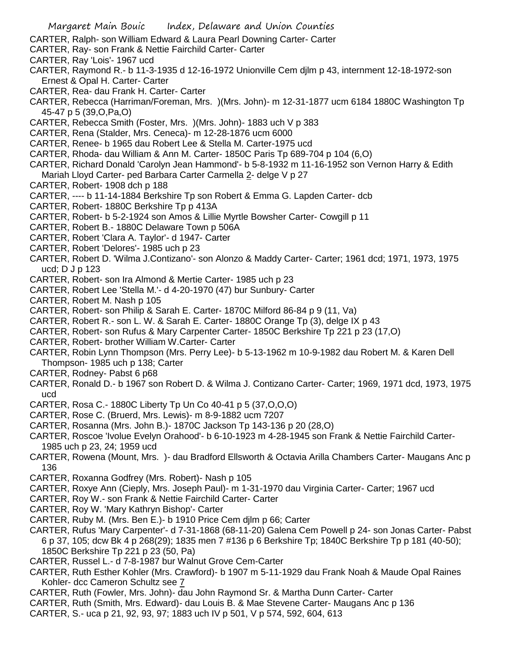CARTER, Ralph- son William Edward & Laura Pearl Downing Carter- Carter

- CARTER, Ray- son Frank & Nettie Fairchild Carter- Carter
- CARTER, Ray 'Lois'- 1967 ucd
- CARTER, Raymond R.- b 11-3-1935 d 12-16-1972 Unionville Cem djlm p 43, internment 12-18-1972-son Ernest & Opal H. Carter- Carter
- CARTER, Rea- dau Frank H. Carter- Carter
- CARTER, Rebecca (Harriman/Foreman, Mrs. )(Mrs. John)- m 12-31-1877 ucm 6184 1880C Washington Tp 45-47 p 5 (39,O,Pa,O)
- CARTER, Rebecca Smith (Foster, Mrs. )(Mrs. John)- 1883 uch V p 383
- CARTER, Rena (Stalder, Mrs. Ceneca)- m 12-28-1876 ucm 6000
- CARTER, Renee- b 1965 dau Robert Lee & Stella M. Carter-1975 ucd
- CARTER, Rhoda- dau William & Ann M. Carter- 1850C Paris Tp 689-704 p 104 (6,O)
- CARTER, Richard Donald 'Carolyn Jean Hammond'- b 5-8-1932 m 11-16-1952 son Vernon Harry & Edith Mariah Lloyd Carter- ped Barbara Carter Carmella 2- delge V p 27
- CARTER, Robert- 1908 dch p 188
- CARTER, ---- b 11-14-1884 Berkshire Tp son Robert & Emma G. Lapden Carter- dcb
- CARTER, Robert- 1880C Berkshire Tp p 413A
- CARTER, Robert- b 5-2-1924 son Amos & Lillie Myrtle Bowsher Carter- Cowgill p 11
- CARTER, Robert B.- 1880C Delaware Town p 506A
- CARTER, Robert 'Clara A. Taylor'- d 1947- Carter
- CARTER, Robert 'Delores'- 1985 uch p 23
- CARTER, Robert D. 'Wilma J.Contizano'- son Alonzo & Maddy Carter- Carter; 1961 dcd; 1971, 1973, 1975 ucd; D J p 123
- CARTER, Robert- son Ira Almond & Mertie Carter- 1985 uch p 23
- CARTER, Robert Lee 'Stella M.'- d 4-20-1970 (47) bur Sunbury- Carter
- CARTER, Robert M. Nash p 105
- CARTER, Robert- son Philip & Sarah E. Carter- 1870C Milford 86-84 p 9 (11, Va)
- CARTER, Robert R.- son L. W. & Sarah E. Carter- 1880C Orange Tp (3), delge IX p 43
- CARTER, Robert- son Rufus & Mary Carpenter Carter- 1850C Berkshire Tp 221 p 23 (17,O)
- CARTER, Robert- brother William W.Carter- Carter
- CARTER, Robin Lynn Thompson (Mrs. Perry Lee)- b 5-13-1962 m 10-9-1982 dau Robert M. & Karen Dell Thompson- 1985 uch p 138; Carter
- CARTER, Rodney- Pabst 6 p68
- CARTER, Ronald D.- b 1967 son Robert D. & Wilma J. Contizano Carter- Carter; 1969, 1971 dcd, 1973, 1975 ucd
- CARTER, Rosa C.- 1880C Liberty Tp Un Co 40-41 p 5 (37,O,O,O)
- CARTER, Rose C. (Bruerd, Mrs. Lewis)- m 8-9-1882 ucm 7207
- CARTER, Rosanna (Mrs. John B.)- 1870C Jackson Tp 143-136 p 20 (28,O)
- CARTER, Roscoe 'Ivolue Evelyn Orahood'- b 6-10-1923 m 4-28-1945 son Frank & Nettie Fairchild Carter-1985 uch p 23, 24; 1959 ucd
- CARTER, Rowena (Mount, Mrs. )- dau Bradford Ellsworth & Octavia Arilla Chambers Carter- Maugans Anc p 136
- CARTER, Roxanna Godfrey (Mrs. Robert)- Nash p 105
- CARTER, Roxye Ann (Cieply, Mrs. Joseph Paul)- m 1-31-1970 dau Virginia Carter- Carter; 1967 ucd
- CARTER, Roy W.- son Frank & Nettie Fairchild Carter- Carter
- CARTER, Roy W. 'Mary Kathryn Bishop'- Carter
- CARTER, Ruby M. (Mrs. Ben E.)- b 1910 Price Cem djlm p 66; Carter
- CARTER, Rufus 'Mary Carpenter'- d 7-31-1868 (68-11-20) Galena Cem Powell p 24- son Jonas Carter- Pabst 6 p 37, 105; dcw Bk 4 p 268(29); 1835 men 7 #136 p 6 Berkshire Tp; 1840C Berkshire Tp p 181 (40-50); 1850C Berkshire Tp 221 p 23 (50, Pa)
- CARTER, Russel L.- d 7-8-1987 bur Walnut Grove Cem-Carter
- CARTER, Ruth Esther Kohler (Mrs. Crawford)- b 1907 m 5-11-1929 dau Frank Noah & Maude Opal Raines Kohler- dcc Cameron Schultz see 7
- CARTER, Ruth (Fowler, Mrs. John)- dau John Raymond Sr. & Martha Dunn Carter- Carter
- CARTER, Ruth (Smith, Mrs. Edward)- dau Louis B. & Mae Stevene Carter- Maugans Anc p 136
- CARTER, S.- uca p 21, 92, 93, 97; 1883 uch IV p 501, V p 574, 592, 604, 613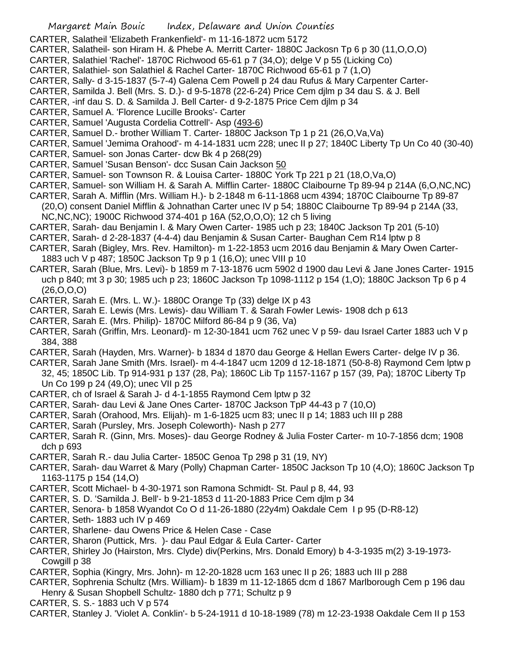- CARTER, Salatheil 'Elizabeth Frankenfield'- m 11-16-1872 ucm 5172
- CARTER, Salatheil- son Hiram H. & Phebe A. Merritt Carter- 1880C Jackosn Tp 6 p 30 (11,O,O,O)
- CARTER, Salathiel 'Rachel'- 1870C Richwood 65-61 p 7 (34,O); delge V p 55 (Licking Co)
- CARTER, Salathiel- son Salathiel & Rachel Carter- 1870C Richwood 65-61 p 7 (1,O)
- CARTER, Sally- d 3-15-1837 (5-7-4) Galena Cem Powell p 24 dau Rufus & Mary Carpenter Carter-
- CARTER, Samilda J. Bell (Mrs. S. D.)- d 9-5-1878 (22-6-24) Price Cem djlm p 34 dau S. & J. Bell
- CARTER, -inf dau S. D. & Samilda J. Bell Carter- d 9-2-1875 Price Cem djlm p 34
- CARTER, Samuel A. 'Florence Lucille Brooks'- Carter
- CARTER, Samuel 'Augusta Cordelia Cottrell'- Asp (493-6)
- CARTER, Samuel D.- brother William T. Carter- 1880C Jackson Tp 1 p 21 (26,O,Va,Va)
- CARTER, Samuel 'Jemima Orahood'- m 4-14-1831 ucm 228; unec II p 27; 1840C Liberty Tp Un Co 40 (30-40)
- CARTER, Samuel- son Jonas Carter- dcw Bk 4 p 268(29)
- CARTER, Samuel 'Susan Benson'- dcc Susan Cain Jackson 50
- CARTER, Samuel- son Townson R. & Louisa Carter- 1880C York Tp 221 p 21 (18,O,Va,O)
- CARTER, Samuel- son William H. & Sarah A. Mifflin Carter- 1880C Claibourne Tp 89-94 p 214A (6,O,NC,NC)
- CARTER, Sarah A. Mifflin (Mrs. William H.)- b 2-1848 m 6-11-1868 ucm 4394; 1870C Claibourne Tp 89-87 (20,O) consent Daniel Mifflin & Johnathan Carter unec IV p 54; 1880C Claibourne Tp 89-94 p 214A (33,
- NC,NC,NC); 1900C Richwood 374-401 p 16A (52,O,O,O); 12 ch 5 living
- CARTER, Sarah- dau Benjamin I. & Mary Owen Carter- 1985 uch p 23; 1840C Jackson Tp 201 (5-10)
- CARTER, Sarah- d 2-28-1837 (4-4-4) dau Benjamin & Susan Carter- Baughan Cem R14 lptw p 8
- CARTER, Sarah (Bigley, Mrs. Rev. Hamilton)- m 1-22-1853 ucm 2016 dau Benjamin & Mary Owen Carter-1883 uch V p 487; 1850C Jackson Tp 9 p 1 (16,O); unec VIII p 10
- CARTER, Sarah (Blue, Mrs. Levi)- b 1859 m 7-13-1876 ucm 5902 d 1900 dau Levi & Jane Jones Carter- 1915 uch p 840; mt 3 p 30; 1985 uch p 23; 1860C Jackson Tp 1098-1112 p 154 (1,O); 1880C Jackson Tp 6 p 4 (26,O,O,O)
- CARTER, Sarah E. (Mrs. L. W.)- 1880C Orange Tp (33) delge IX p 43
- CARTER, Sarah E. Lewis (Mrs. Lewis)- dau William T. & Sarah Fowler Lewis- 1908 dch p 613
- CARTER, Sarah E. (Mrs. Philip)- 1870C Milford 86-84 p 9 (36, Va)
- CARTER, Sarah (Griffin, Mrs. Leonard)- m 12-30-1841 ucm 762 unec V p 59- dau Israel Carter 1883 uch V p 384, 388
- CARTER, Sarah (Hayden, Mrs. Warner)- b 1834 d 1870 dau George & Hellan Ewers Carter- delge IV p 36.
- CARTER, Sarah Jane Smith (Mrs. Israel)- m 4-4-1847 ucm 1209 d 12-18-1871 (50-8-8) Raymond Cem lptw p 32, 45; 1850C Lib. Tp 914-931 p 137 (28, Pa); 1860C Lib Tp 1157-1167 p 157 (39, Pa); 1870C Liberty Tp Un Co 199 p 24 (49,O); unec VII p 25
- CARTER, ch of Israel & Sarah J- d 4-1-1855 Raymond Cem lptw p 32
- CARTER, Sarah- dau Levi & Jane Ones Carter- 1870C Jackson TpP 44-43 p 7 (10,O)
- CARTER, Sarah (Orahood, Mrs. Elijah)- m 1-6-1825 ucm 83; unec II p 14; 1883 uch III p 288
- CARTER, Sarah (Pursley, Mrs. Joseph Coleworth)- Nash p 277
- CARTER, Sarah R. (Ginn, Mrs. Moses)- dau George Rodney & Julia Foster Carter- m 10-7-1856 dcm; 1908 dch p 693
- CARTER, Sarah R.- dau Julia Carter- 1850C Genoa Tp 298 p 31 (19, NY)
- CARTER, Sarah- dau Warret & Mary (Polly) Chapman Carter- 1850C Jackson Tp 10 (4,O); 1860C Jackson Tp 1163-1175 p 154 (14,O)
- CARTER, Scott Michael- b 4-30-1971 son Ramona Schmidt- St. Paul p 8, 44, 93
- CARTER, S. D. 'Samilda J. Bell'- b 9-21-1853 d 11-20-1883 Price Cem djlm p 34
- CARTER, Senora- b 1858 Wyandot Co O d 11-26-1880 (22y4m) Oakdale Cem I p 95 (D-R8-12)
- CARTER, Seth- 1883 uch IV p 469
- CARTER, Sharlene- dau Owens Price & Helen Case Case
- CARTER, Sharon (Puttick, Mrs. )- dau Paul Edgar & Eula Carter- Carter
- CARTER, Shirley Jo (Hairston, Mrs. Clyde) div(Perkins, Mrs. Donald Emory) b 4-3-1935 m(2) 3-19-1973- Cowgill p 38
- CARTER, Sophia (Kingry, Mrs. John)- m 12-20-1828 ucm 163 unec II p 26; 1883 uch III p 288
- CARTER, Sophrenia Schultz (Mrs. William)- b 1839 m 11-12-1865 dcm d 1867 Marlborough Cem p 196 dau Henry & Susan Shopbell Schultz- 1880 dch p 771; Schultz p 9
- CARTER, S. S.- 1883 uch V p 574
- CARTER, Stanley J. 'Violet A. Conklin'- b 5-24-1911 d 10-18-1989 (78) m 12-23-1938 Oakdale Cem II p 153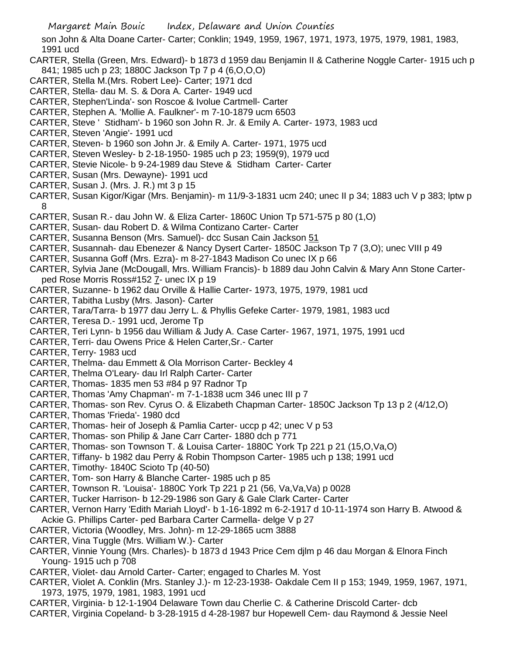son John & Alta Doane Carter- Carter; Conklin; 1949, 1959, 1967, 1971, 1973, 1975, 1979, 1981, 1983, 1991 ucd

- CARTER, Stella (Green, Mrs. Edward)- b 1873 d 1959 dau Benjamin II & Catherine Noggle Carter- 1915 uch p 841; 1985 uch p 23; 1880C Jackson Tp 7 p 4 (6,O,O,O)
- CARTER, Stella M.(Mrs. Robert Lee)- Carter; 1971 dcd
- CARTER, Stella- dau M. S. & Dora A. Carter- 1949 ucd
- CARTER, Stephen'Linda'- son Roscoe & Ivolue Cartmell- Carter
- CARTER, Stephen A. 'Mollie A. Faulkner'- m 7-10-1879 ucm 6503
- CARTER, Steve ' Stidham'- b 1960 son John R. Jr. & Emily A. Carter- 1973, 1983 ucd
- CARTER, Steven 'Angie'- 1991 ucd
- CARTER, Steven- b 1960 son John Jr. & Emily A. Carter- 1971, 1975 ucd
- CARTER, Steven Wesley- b 2-18-1950- 1985 uch p 23; 1959(9), 1979 ucd
- CARTER, Stevie Nicole- b 9-24-1989 dau Steve & Stidham Carter- Carter
- CARTER, Susan (Mrs. Dewayne)- 1991 ucd
- CARTER, Susan J. (Mrs. J. R.) mt 3 p 15
- CARTER, Susan Kigor/Kigar (Mrs. Benjamin)- m 11/9-3-1831 ucm 240; unec II p 34; 1883 uch V p 383; lptw p 8
- CARTER, Susan R.- dau John W. & Eliza Carter- 1860C Union Tp 571-575 p 80 (1,O)
- CARTER, Susan- dau Robert D. & Wilma Contizano Carter- Carter
- CARTER, Susanna Benson (Mrs. Samuel)- dcc Susan Cain Jackson 51
- CARTER, Susannah- dau Ebenezer & Nancy Dysert Carter- 1850C Jackson Tp 7 (3,O); unec VIII p 49
- CARTER, Susanna Goff (Mrs. Ezra)- m 8-27-1843 Madison Co unec IX p 66
- CARTER, Sylvia Jane (McDougall, Mrs. William Francis)- b 1889 dau John Calvin & Mary Ann Stone Carterped Rose Morris Ross#152 7- unec IX p 19
- CARTER, Suzanne- b 1962 dau Orville & Hallie Carter- 1973, 1975, 1979, 1981 ucd
- CARTER, Tabitha Lusby (Mrs. Jason)- Carter
- CARTER, Tara/Tarra- b 1977 dau Jerry L. & Phyllis Gefeke Carter- 1979, 1981, 1983 ucd
- CARTER, Teresa D.- 1991 ucd, Jerome Tp
- CARTER, Teri Lynn- b 1956 dau William & Judy A. Case Carter- 1967, 1971, 1975, 1991 ucd
- CARTER, Terri- dau Owens Price & Helen Carter,Sr.- Carter
- CARTER, Terry- 1983 ucd
- CARTER, Thelma- dau Emmett & Ola Morrison Carter- Beckley 4
- CARTER, Thelma O'Leary- dau Irl Ralph Carter- Carter
- CARTER, Thomas- 1835 men 53 #84 p 97 Radnor Tp
- CARTER, Thomas 'Amy Chapman'- m 7-1-1838 ucm 346 unec III p 7
- CARTER, Thomas- son Rev. Cyrus O. & Elizabeth Chapman Carter- 1850C Jackson Tp 13 p 2 (4/12,O)
- CARTER, Thomas 'Frieda'- 1980 dcd
- CARTER, Thomas- heir of Joseph & Pamlia Carter- uccp p 42; unec V p 53
- CARTER, Thomas- son Philip & Jane Carr Carter- 1880 dch p 771
- CARTER, Thomas- son Townson T. & Louisa Carter- 1880C York Tp 221 p 21 (15,O,Va,O)
- CARTER, Tiffany- b 1982 dau Perry & Robin Thompson Carter- 1985 uch p 138; 1991 ucd
- CARTER, Timothy- 1840C Scioto Tp (40-50)
- CARTER, Tom- son Harry & Blanche Carter- 1985 uch p 85
- CARTER, Townson R. 'Louisa'- 1880C York Tp 221 p 21 (56, Va,Va,Va) p 0028
- CARTER, Tucker Harrison- b 12-29-1986 son Gary & Gale Clark Carter- Carter
- CARTER, Vernon Harry 'Edith Mariah Lloyd'- b 1-16-1892 m 6-2-1917 d 10-11-1974 son Harry B. Atwood & Ackie G. Phillips Carter- ped Barbara Carter Carmella- delge V p 27
- CARTER, Victoria (Woodley, Mrs. John)- m 12-29-1865 ucm 3888
- CARTER, Vina Tuggle (Mrs. William W.)- Carter
- CARTER, Vinnie Young (Mrs. Charles)- b 1873 d 1943 Price Cem djlm p 46 dau Morgan & Elnora Finch Young- 1915 uch p 708
- CARTER, Violet- dau Arnold Carter- Carter; engaged to Charles M. Yost
- CARTER, Violet A. Conklin (Mrs. Stanley J.)- m 12-23-1938- Oakdale Cem II p 153; 1949, 1959, 1967, 1971, 1973, 1975, 1979, 1981, 1983, 1991 ucd
- CARTER, Virginia- b 12-1-1904 Delaware Town dau Cherlie C. & Catherine Driscold Carter- dcb
- CARTER, Virginia Copeland- b 3-28-1915 d 4-28-1987 bur Hopewell Cem- dau Raymond & Jessie Neel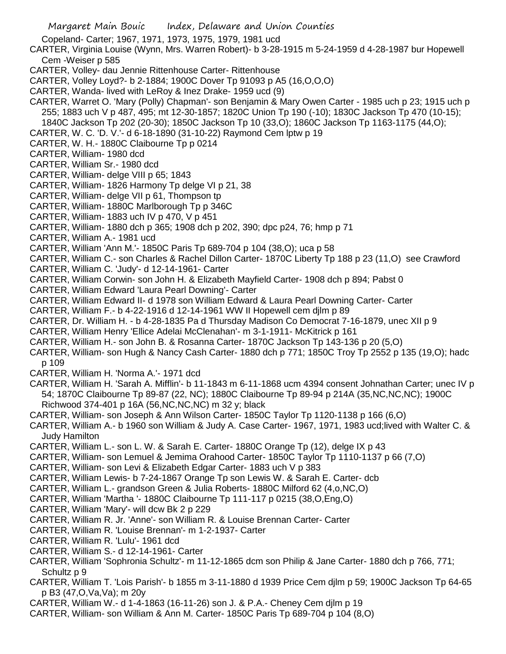Margaret Main Bouic Index, Delaware and Union Counties Copeland- Carter; 1967, 1971, 1973, 1975, 1979, 1981 ucd CARTER, Virginia Louise (Wynn, Mrs. Warren Robert)- b 3-28-1915 m 5-24-1959 d 4-28-1987 bur Hopewell Cem -Weiser p 585 CARTER, Volley- dau Jennie Rittenhouse Carter- Rittenhouse CARTER, Volley Loyd?- b 2-1884; 1900C Dover Tp 91093 p A5 (16,O,O,O) CARTER, Wanda- lived with LeRoy & Inez Drake- 1959 ucd (9) CARTER, Warret O. 'Mary (Polly) Chapman'- son Benjamin & Mary Owen Carter - 1985 uch p 23; 1915 uch p 255; 1883 uch V p 487, 495; mt 12-30-1857; 1820C Union Tp 190 (-10); 1830C Jackson Tp 470 (10-15); 1840C Jackson Tp 202 (20-30); 1850C Jackson Tp 10 (33,O); 1860C Jackson Tp 1163-1175 (44,O); CARTER, W. C. 'D. V.'- d 6-18-1890 (31-10-22) Raymond Cem lptw p 19 CARTER, W. H.- 1880C Claibourne Tp p 0214 CARTER, William- 1980 dcd CARTER, William Sr.- 1980 dcd CARTER, William- delge VIII p 65; 1843 CARTER, William- 1826 Harmony Tp delge VI p 21, 38 CARTER, William- delge VII p 61, Thompson tp CARTER, William- 1880C Marlborough Tp p 346C CARTER, William- 1883 uch IV p 470, V p 451 CARTER, William- 1880 dch p 365; 1908 dch p 202, 390; dpc p24, 76; hmp p 71 CARTER, William A.- 1981 ucd CARTER, William 'Ann M.'- 1850C Paris Tp 689-704 p 104 (38,O); uca p 58 CARTER, William C.- son Charles & Rachel Dillon Carter- 1870C Liberty Tp 188 p 23 (11,O) see Crawford CARTER, William C. 'Judy'- d 12-14-1961- Carter CARTER, William Corwin- son John H. & Elizabeth Mayfield Carter- 1908 dch p 894; Pabst 0 CARTER, William Edward 'Laura Pearl Downing'- Carter CARTER, William Edward II- d 1978 son William Edward & Laura Pearl Downing Carter- Carter CARTER, William F.- b 4-22-1916 d 12-14-1961 WW II Hopewell cem djlm p 89 CARTER, Dr. William H. - b 4-28-1835 Pa d Thursday Madison Co Democrat 7-16-1879, unec XII p 9 CARTER, William Henry 'Ellice Adelai McClenahan'- m 3-1-1911- McKitrick p 161 CARTER, William H.- son John B. & Rosanna Carter- 1870C Jackson Tp 143-136 p 20 (5,O) CARTER, William- son Hugh & Nancy Cash Carter- 1880 dch p 771; 1850C Troy Tp 2552 p 135 (19,O); hadc

- p 109 CARTER, William H. 'Norma A.'- 1971 dcd
- CARTER, William H. 'Sarah A. Mifflin'- b 11-1843 m 6-11-1868 ucm 4394 consent Johnathan Carter; unec IV p 54; 1870C Claibourne Tp 89-87 (22, NC); 1880C Claibourne Tp 89-94 p 214A (35,NC,NC,NC); 1900C Richwood 374-401 p 16A (56,NC,NC,NC) m 32 y; black
- CARTER, William- son Joseph & Ann Wilson Carter- 1850C Taylor Tp 1120-1138 p 166 (6,O)
- CARTER, William A.- b 1960 son William & Judy A. Case Carter- 1967, 1971, 1983 ucd;lived with Walter C. & Judy Hamilton
- CARTER, William L.- son L. W. & Sarah E. Carter- 1880C Orange Tp (12), delge IX p 43
- CARTER, William- son Lemuel & Jemima Orahood Carter- 1850C Taylor Tp 1110-1137 p 66 (7,O)
- CARTER, William- son Levi & Elizabeth Edgar Carter- 1883 uch V p 383
- CARTER, William Lewis- b 7-24-1867 Orange Tp son Lewis W. & Sarah E. Carter- dcb
- CARTER, William L.- grandson Green & Julia Roberts- 1880C Milford 62 (4,o,NC,O)
- CARTER, William 'Martha '- 1880C Claibourne Tp 111-117 p 0215 (38,O,Eng,O)
- CARTER, William 'Mary'- will dcw Bk 2 p 229
- CARTER, William R. Jr. 'Anne'- son William R. & Louise Brennan Carter- Carter
- CARTER, William R. 'Louise Brennan'- m 1-2-1937- Carter
- CARTER, William R. 'Lulu'- 1961 dcd
- CARTER, William S.- d 12-14-1961- Carter
- CARTER, William 'Sophronia Schultz'- m 11-12-1865 dcm son Philip & Jane Carter- 1880 dch p 766, 771; Schultz p 9
- CARTER, William T. 'Lois Parish'- b 1855 m 3-11-1880 d 1939 Price Cem djlm p 59; 1900C Jackson Tp 64-65 p B3 (47,O,Va,Va); m 20y
- CARTER, William W.- d 1-4-1863 (16-11-26) son J. & P.A.- Cheney Cem djlm p 19
- CARTER, William- son William & Ann M. Carter- 1850C Paris Tp 689-704 p 104 (8,O)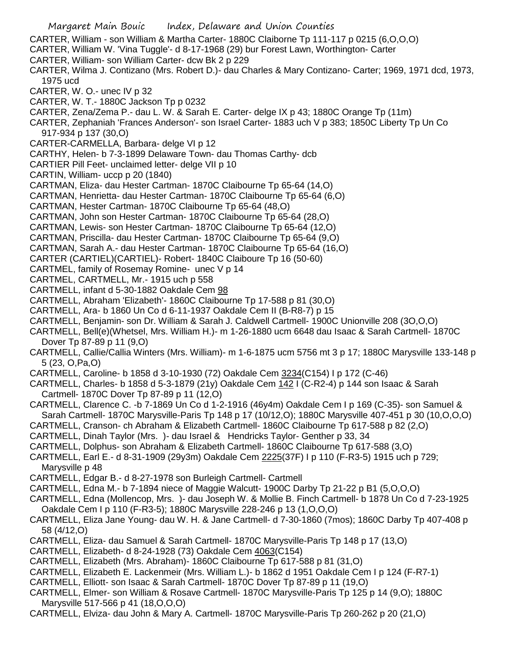- Margaret Main Bouic Index, Delaware and Union Counties CARTER, William - son William & Martha Carter- 1880C Claiborne Tp 111-117 p 0215 (6,O,O,O) CARTER, William W. 'Vina Tuggle'- d 8-17-1968 (29) bur Forest Lawn, Worthington- Carter CARTER, William- son William Carter- dcw Bk 2 p 229 CARTER, Wilma J. Contizano (Mrs. Robert D.)- dau Charles & Mary Contizano- Carter; 1969, 1971 dcd, 1973, 1975 ucd CARTER, W. O.- unec IV p 32 CARTER, W. T.- 1880C Jackson Tp p 0232 CARTER, Zena/Zema P.- dau L. W. & Sarah E. Carter- delge IX p 43; 1880C Orange Tp (11m) CARTER, Zephaniah 'Frances Anderson'- son Israel Carter- 1883 uch V p 383; 1850C Liberty Tp Un Co 917-934 p 137 (30,O) CARTER-CARMELLA, Barbara- delge VI p 12 CARTHY, Helen- b 7-3-1899 Delaware Town- dau Thomas Carthy- dcb CARTIER Pill Feet- unclaimed letter- delge VII p 10 CARTIN, William- uccp p 20 (1840) CARTMAN, Eliza- dau Hester Cartman- 1870C Claibourne Tp 65-64 (14,O) CARTMAN, Henrietta- dau Hester Cartman- 1870C Claibourne Tp 65-64 (6,O) CARTMAN, Hester Cartman- 1870C Claibourne Tp 65-64 (48,O) CARTMAN, John son Hester Cartman- 1870C Claibourne Tp 65-64 (28,O) CARTMAN, Lewis- son Hester Cartman- 1870C Claibourne Tp 65-64 (12,O) CARTMAN, Priscilla- dau Hester Cartman- 1870C Claibourne Tp 65-64 (9,O) CARTMAN, Sarah A.- dau Hester Cartman- 1870C Claibourne Tp 65-64 (16,O) CARTER (CARTIEL)(CARTIEL)- Robert- 1840C Claiboure Tp 16 (50-60) CARTMEL, family of Rosemay Romine- unec V p 14 CARTMEL, CARTMELL, Mr.- 1915 uch p 558 CARTMELL, infant d 5-30-1882 Oakdale Cem 98 CARTMELL, Abraham 'Elizabeth'- 1860C Claibourne Tp 17-588 p 81 (30,O) CARTMELL, Ara- b 1860 Un Co d 6-11-1937 Oakdale Cem II (B-R8-7) p 15 CARTMELL, Benjamin- son Dr. William & Sarah J. Caldwell Cartmell- 1900C Unionville 208 (3O,O,O) CARTMELL, Bell(e)(Whetsel, Mrs. William H.)- m 1-26-1880 ucm 6648 dau Isaac & Sarah Cartmell- 1870C Dover Tp 87-89 p 11 (9,O) CARTMELL, Callie/Callia Winters (Mrs. William)- m 1-6-1875 ucm 5756 mt 3 p 17; 1880C Marysville 133-148 p 5 (23, O,Pa,O) CARTMELL, Caroline- b 1858 d 3-10-1930 (72) Oakdale Cem 3234(C154) I p 172 (C-46) CARTMELL, Charles- b 1858 d 5-3-1879 (21y) Oakdale Cem 142 I (C-R2-4) p 144 son Isaac & Sarah Cartmell- 1870C Dover Tp 87-89 p 11 (12,O) CARTMELL, Clarence C. -b 7-1869 Un Co d 1-2-1916 (46y4m) Oakdale Cem I p 169 (C-35)- son Samuel & Sarah Cartmell- 1870C Marysville-Paris Tp 148 p 17 (10/12,O); 1880C Marysville 407-451 p 30 (10,O,O,O) CARTMELL, Cranson- ch Abraham & Elizabeth Cartmell- 1860C Claibourne Tp 617-588 p 82 (2,O) CARTMELL, Dinah Taylor (Mrs. )- dau Israel & Hendricks Taylor- Genther p 33, 34 CARTMELL, Dolphus- son Abraham & Elizabeth Cartmell- 1860C Claibourne Tp 617-588 (3,O) CARTMELL, Earl E.- d 8-31-1909 (29y3m) Oakdale Cem 2225(37F) I p 110 (F-R3-5) 1915 uch p 729; Marysville p 48 CARTMELL, Edgar B.- d 8-27-1978 son Burleigh Cartmell- Cartmell CARTMELL, Edna M.- b 7-1894 niece of Maggie Walcutt- 1900C Darby Tp 21-22 p B1 (5,O,O,O) CARTMELL, Edna (Mollencop, Mrs. )- dau Joseph W. & Mollie B. Finch Cartmell- b 1878 Un Co d 7-23-1925 Oakdale Cem I p 110 (F-R3-5); 1880C Marysville 228-246 p 13 (1,O,O,O) CARTMELL, Eliza Jane Young- dau W. H. & Jane Cartmell- d 7-30-1860 (7mos); 1860C Darby Tp 407-408 p 58 (4/12,O) CARTMELL, Eliza- dau Samuel & Sarah Cartmell- 1870C Marysville-Paris Tp 148 p 17 (13,O) CARTMELL, Elizabeth- d 8-24-1928 (73) Oakdale Cem 4063(C154) CARTMELL, Elizabeth (Mrs. Abraham)- 1860C Claibourne Tp 617-588 p 81 (31,O)
- CARTMELL, Elizabeth E. Lackenmeir (Mrs. William L.)- b 1862 d 1951 Oakdale Cem I p 124 (F-R7-1)
- CARTMELL, Elliott- son Isaac & Sarah Cartmell- 1870C Dover Tp 87-89 p 11 (19,O)
- CARTMELL, Elmer- son William & Rosave Cartmell- 1870C Marysville-Paris Tp 125 p 14 (9,O); 1880C Marysville 517-566 p 41 (18,O,O,O)
- CARTMELL, Elviza- dau John & Mary A. Cartmell- 1870C Marysville-Paris Tp 260-262 p 20 (21,O)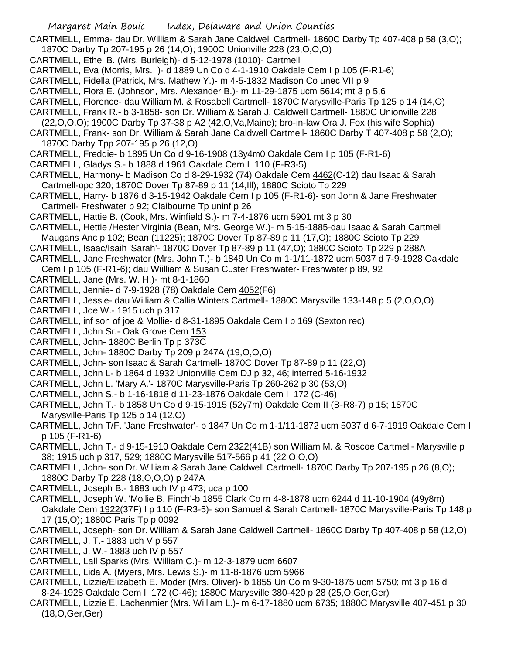CARTMELL, Emma- dau Dr. William & Sarah Jane Caldwell Cartmell- 1860C Darby Tp 407-408 p 58 (3,O); 1870C Darby Tp 207-195 p 26 (14,O); 1900C Unionville 228 (23,O,O,O)

- CARTMELL, Ethel B. (Mrs. Burleigh)- d 5-12-1978 (1010)- Cartmell
- CARTMELL, Eva (Morris, Mrs. )- d 1889 Un Co d 4-1-1910 Oakdale Cem I p 105 (F-R1-6)
- CARTMELL, Fidella (Patrick, Mrs. Mathew Y.)- m 4-5-1832 Madison Co unec VII p 9
- CARTMELL, Flora E. (Johnson, Mrs. Alexander B.)- m 11-29-1875 ucm 5614; mt 3 p 5,6
- CARTMELL, Florence- dau William M. & Rosabell Cartmell- 1870C Marysville-Paris Tp 125 p 14 (14,O)
- CARTMELL, Frank R.- b 3-1858- son Dr. William & Sarah J. Caldwell Cartmell- 1880C Unionville 228
- (22,O,O,O); 1900C Darby Tp 37-38 p A2 (42,O,Va,Maine); bro-in-law Ora J. Fox (his wife Sophia)
- CARTMELL, Frank- son Dr. William & Sarah Jane Caldwell Cartmell- 1860C Darby T 407-408 p 58 (2,O); 1870C Darby Tpp 207-195 p 26 (12,O)
- CARTMELL, Freddie- b 1895 Un Co d 9-16-1908 (13y4m0 Oakdale Cem I p 105 (F-R1-6)
- CARTMELL, Gladys S.- b 1888 d 1961 Oakdale Cem I 110 (F-R3-5)
- CARTMELL, Harmony- b Madison Co d 8-29-1932 (74) Oakdale Cem 4462(C-12) dau Isaac & Sarah Cartmell-opc 320; 1870C Dover Tp 87-89 p 11 (14,Ill); 1880C Scioto Tp 229
- CARTMELL, Harry- b 1876 d 3-15-1942 Oakdale Cem I p 105 (F-R1-6)- son John & Jane Freshwater Cartmell- Freshwater p 92; Claibourne Tp uninf p 26
- CARTMELL, Hattie B. (Cook, Mrs. Winfield S.)- m 7-4-1876 ucm 5901 mt 3 p 30
- CARTMELL, Hettie /Hester Virginia (Bean, Mrs. George W.)- m 5-15-1885-dau Isaac & Sarah Cartmell Maugans Anc p 102; Bean (11225); 1870C Dover Tp 87-89 p 11 (17,O); 1880C Scioto Tp 229
- CARTMELL, Isaac/Isaih 'Sarah'- 1870C Dover Tp 87-89 p 11 (47,O); 1880C Scioto Tp 229 p 288A
- CARTMELL, Jane Freshwater (Mrs. John T.)- b 1849 Un Co m 1-1/11-1872 ucm 5037 d 7-9-1928 Oakdale
- Cem I p 105 (F-R1-6); dau Wiilliam & Susan Custer Freshwater- Freshwater p 89, 92
- CARTMELL, Jane (Mrs. W. H.)- mt 8-1-1860
- CARTMELL, Jennie- d 7-9-1928 (78) Oakdale Cem 4052(F6)
- CARTMELL, Jessie- dau William & Callia Winters Cartmell- 1880C Marysville 133-148 p 5 (2,O,O,O)
- CARTMELL, Joe W.- 1915 uch p 317
- CARTMELL, inf son of joe & Mollie- d 8-31-1895 Oakdale Cem I p 169 (Sexton rec)
- CARTMELL, John Sr.- Oak Grove Cem 153
- CARTMELL, John- 1880C Berlin Tp p 373C
- CARTMELL, John- 1880C Darby Tp 209 p 247A (19,O,O,O)
- CARTMELL, John- son Isaac & Sarah Cartmell- 1870C Dover Tp 87-89 p 11 (22,O)
- CARTMELL, John L- b 1864 d 1932 Unionville Cem DJ p 32, 46; interred 5-16-1932
- CARTMELL, John L. 'Mary A.'- 1870C Marysville-Paris Tp 260-262 p 30 (53,O)
- CARTMELL, John S.- b 1-16-1818 d 11-23-1876 Oakdale Cem I 172 (C-46)
- CARTMELL, John T.- b 1858 Un Co d 9-15-1915 (52y7m) Oakdale Cem II (B-R8-7) p 15; 1870C Marysville-Paris Tp 125 p 14 (12,O)
- CARTMELL, John T/F. 'Jane Freshwater'- b 1847 Un Co m 1-1/11-1872 ucm 5037 d 6-7-1919 Oakdale Cem I p 105 (F-R1-6)
- CARTMELL, John T.- d 9-15-1910 Oakdale Cem 2322(41B) son William M. & Roscoe Cartmell- Marysville p 38; 1915 uch p 317, 529; 1880C Marysville 517-566 p 41 (22 O,O,O)
- CARTMELL, John- son Dr. William & Sarah Jane Caldwell Cartmell- 1870C Darby Tp 207-195 p 26 (8,O); 1880C Darby Tp 228 (18,O,O,O) p 247A
- CARTMELL, Joseph B.- 1883 uch IV p 473; uca p 100
- CARTMELL, Joseph W. 'Mollie B. Finch'-b 1855 Clark Co m 4-8-1878 ucm 6244 d 11-10-1904 (49y8m) Oakdale Cem 1922(37F) I p 110 (F-R3-5)- son Samuel & Sarah Cartmell- 1870C Marysville-Paris Tp 148 p 17 (15,O); 1880C Paris Tp p 0092
- CARTMELL, Joseph- son Dr. William & Sarah Jane Caldwell Cartmell- 1860C Darby Tp 407-408 p 58 (12,O)
- CARTMELL, J. T.- 1883 uch V p 557
- CARTMELL, J. W.- 1883 uch IV p 557
- CARTMELL, Lall Sparks (Mrs. William C.)- m 12-3-1879 ucm 6607
- CARTMELL, Lida A. (Myers, Mrs. Lewis S.)- m 11-8-1876 ucm 5966
- CARTMELL, Lizzie/Elizabeth E. Moder (Mrs. Oliver)- b 1855 Un Co m 9-30-1875 ucm 5750; mt 3 p 16 d 8-24-1928 Oakdale Cem I 172 (C-46); 1880C Marysville 380-420 p 28 (25,O,Ger,Ger)
- CARTMELL, Lizzie E. Lachenmier (Mrs. William L.)- m 6-17-1880 ucm 6735; 1880C Marysville 407-451 p 30 (18,O,Ger,Ger)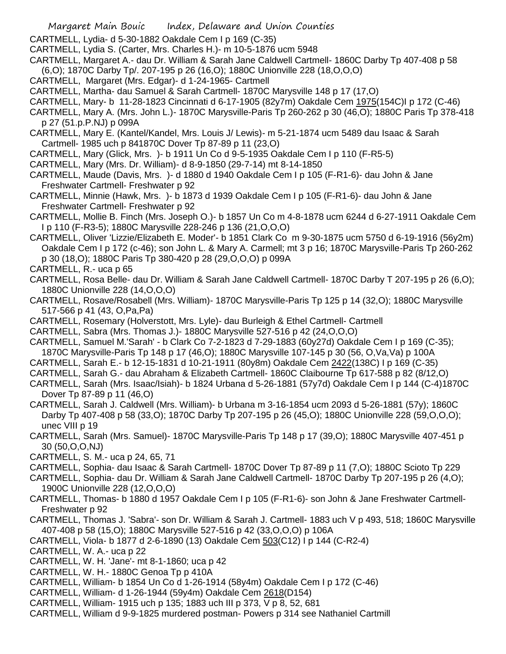- Margaret Main Bouic Index, Delaware and Union Counties
- CARTMELL, Lydia- d 5-30-1882 Oakdale Cem I p 169 (C-35)
- CARTMELL, Lydia S. (Carter, Mrs. Charles H.)- m 10-5-1876 ucm 5948
- CARTMELL, Margaret A.- dau Dr. William & Sarah Jane Caldwell Cartmell- 1860C Darby Tp 407-408 p 58
- (6,O); 1870C Darby Tp/. 207-195 p 26 (16,O); 1880C Unionville 228 (18,O,O,O)
- CARTMELL, Margaret (Mrs. Edgar)- d 1-24-1965- Cartmell
- CARTMELL, Martha- dau Samuel & Sarah Cartmell- 1870C Marysville 148 p 17 (17,O)
- CARTMELL, Mary- b 11-28-1823 Cincinnati d 6-17-1905 (82y7m) Oakdale Cem 1975(154C)I p 172 (C-46)
- CARTMELL, Mary A. (Mrs. John L.)- 1870C Marysville-Paris Tp 260-262 p 30 (46,O); 1880C Paris Tp 378-418 p 27 (51.p.P.NJ) p 099A
- CARTMELL, Mary E. (Kantel/Kandel, Mrs. Louis J/ Lewis)- m 5-21-1874 ucm 5489 dau Isaac & Sarah Cartmell- 1985 uch p 841870C Dover Tp 87-89 p 11 (23,O)
- CARTMELL, Mary (Glick, Mrs. )- b 1911 Un Co d 9-5-1935 Oakdale Cem I p 110 (F-R5-5)
- CARTMELL, Mary (Mrs. Dr. William)- d 8-9-1850 (29-7-14) mt 8-14-1850
- CARTMELL, Maude (Davis, Mrs. )- d 1880 d 1940 Oakdale Cem I p 105 (F-R1-6)- dau John & Jane Freshwater Cartmell- Freshwater p 92
- CARTMELL, Minnie (Hawk, Mrs. )- b 1873 d 1939 Oakdale Cem I p 105 (F-R1-6)- dau John & Jane Freshwater Cartmell- Freshwater p 92
- CARTMELL, Mollie B. Finch (Mrs. Joseph O.)- b 1857 Un Co m 4-8-1878 ucm 6244 d 6-27-1911 Oakdale Cem I p 110 (F-R3-5); 1880C Marysville 228-246 p 136 (21,O,O,O)
- CARTMELL, Oliver 'Lizzie/Elizabeth E. Moder'- b 1851 Clark Co m 9-30-1875 ucm 5750 d 6-19-1916 (56y2m) Oakdale Cem I p 172 (c-46); son John L. & Mary A. Carmell; mt 3 p 16; 1870C Marysville-Paris Tp 260-262 p 30 (18,O); 1880C Paris Tp 380-420 p 28 (29,O,O,O) p 099A
- CARTMELL, R.- uca p 65
- CARTMELL, Rosa Belle- dau Dr. William & Sarah Jane Caldwell Cartmell- 1870C Darby T 207-195 p 26 (6,O); 1880C Unionville 228 (14,O,O,O)
- CARTMELL, Rosave/Rosabell (Mrs. William)- 1870C Marysville-Paris Tp 125 p 14 (32,O); 1880C Marysville 517-566 p 41 (43, O,Pa,Pa)
- CARTMELL, Rosemary (Holverstott, Mrs. Lyle)- dau Burleigh & Ethel Cartmell- Cartmell
- CARTMELL, Sabra (Mrs. Thomas J.)- 1880C Marysville 527-516 p 42 (24,O,O,O)
- CARTMELL, Samuel M.'Sarah' b Clark Co 7-2-1823 d 7-29-1883 (60y27d) Oakdale Cem I p 169 (C-35); 1870C Marysville-Paris Tp 148 p 17 (46,O); 1880C Marysville 107-145 p 30 (56, O,Va,Va) p 100A
- CARTMELL, Sarah E.- b 12-15-1831 d 10-21-1911 (80y8m) Oakdale Cem 2422(138C) I p 169 (C-35)
- CARTMELL, Sarah G.- dau Abraham & Elizabeth Cartmell- 1860C Claibourne Tp 617-588 p 82 (8/12,O)
- CARTMELL, Sarah (Mrs. Isaac/Isiah)- b 1824 Urbana d 5-26-1881 (57y7d) Oakdale Cem I p 144 (C-4)1870C Dover Tp 87-89 p 11 (46,O)
- CARTMELL, Sarah J. Caldwell (Mrs. William)- b Urbana m 3-16-1854 ucm 2093 d 5-26-1881 (57y); 1860C Darby Tp 407-408 p 58 (33,O); 1870C Darby Tp 207-195 p 26 (45,O); 1880C Unionville 228 (59,O,O,O); unec VIII p 19
- CARTMELL, Sarah (Mrs. Samuel)- 1870C Marysville-Paris Tp 148 p 17 (39,O); 1880C Marysville 407-451 p 30 (50,O,O,NJ)
- CARTMELL, S. M.- uca p 24, 65, 71
- CARTMELL, Sophia- dau Isaac & Sarah Cartmell- 1870C Dover Tp 87-89 p 11 (7,O); 1880C Scioto Tp 229
- CARTMELL, Sophia- dau Dr. William & Sarah Jane Caldwell Cartmell- 1870C Darby Tp 207-195 p 26 (4,O); 1900C Unionville 228 (12,O,O,O)
- CARTMELL, Thomas- b 1880 d 1957 Oakdale Cem I p 105 (F-R1-6)- son John & Jane Freshwater Cartmell-Freshwater p 92
- CARTMELL, Thomas J. 'Sabra'- son Dr. William & Sarah J. Cartmell- 1883 uch V p 493, 518; 1860C Marysville 407-408 p 58 (15,O); 1880C Marysville 527-516 p 42 (33,O,O,O) p 106A
- CARTMELL, Viola- b 1877 d 2-6-1890 (13) Oakdale Cem 503(C12) I p 144 (C-R2-4)
- CARTMELL, W. A.- uca p 22
- CARTMELL, W. H. 'Jane'- mt 8-1-1860; uca p 42
- CARTMELL, W. H.- 1880C Genoa Tp p 410A
- CARTMELL, William- b 1854 Un Co d 1-26-1914 (58y4m) Oakdale Cem I p 172 (C-46)
- CARTMELL, William- d 1-26-1944 (59y4m) Oakdale Cem 2618(D154)
- CARTMELL, William- 1915 uch p 135; 1883 uch III p 373, V p 8, 52, 681
- CARTMELL, William d 9-9-1825 murdered postman- Powers p 314 see Nathaniel Cartmill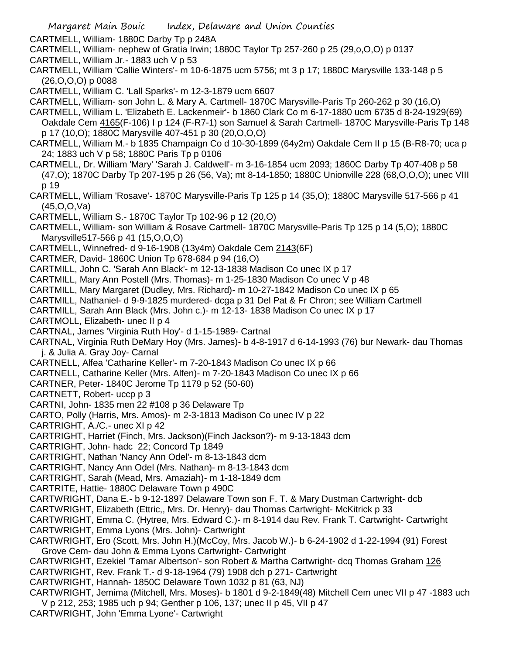CARTMELL, William- 1880C Darby Tp p 248A

- CARTMELL, William- nephew of Gratia Irwin; 1880C Taylor Tp 257-260 p 25 (29,o,O,O) p 0137
- CARTMELL, William Jr.- 1883 uch V p 53
- CARTMELL, William 'Callie Winters'- m 10-6-1875 ucm 5756; mt 3 p 17; 1880C Marysville 133-148 p 5 (26,O,O,O) p 0088

CARTMELL, William C. 'Lall Sparks'- m 12-3-1879 ucm 6607

CARTMELL, William- son John L. & Mary A. Cartmell- 1870C Marysville-Paris Tp 260-262 p 30 (16,O)

CARTMELL, William L. 'Elizabeth E. Lackenmeir'- b 1860 Clark Co m 6-17-1880 ucm 6735 d 8-24-1929(69) Oakdale Cem 4165(F-106) I p 124 (F-R7-1) son Samuel & Sarah Cartmell- 1870C Marysville-Paris Tp 148 p 17 (10,O); 1880C Marysville 407-451 p 30 (20,O,O,O)

- CARTMELL, William M.- b 1835 Champaign Co d 10-30-1899 (64y2m) Oakdale Cem II p 15 (B-R8-70; uca p 24; 1883 uch V p 58; 1880C Paris Tp p 0106
- CARTMELL, Dr. William 'Mary' 'Sarah J. Caldwell'- m 3-16-1854 ucm 2093; 1860C Darby Tp 407-408 p 58 (47,O); 1870C Darby Tp 207-195 p 26 (56, Va); mt 8-14-1850; 1880C Unionville 228 (68,O,O,O); unec VIII p 19
- CARTMELL, William 'Rosave'- 1870C Marysville-Paris Tp 125 p 14 (35,O); 1880C Marysville 517-566 p 41 (45,O,O,Va)
- CARTMELL, William S.- 1870C Taylor Tp 102-96 p 12 (20,O)
- CARTMELL, William- son William & Rosave Cartmell- 1870C Marysville-Paris Tp 125 p 14 (5,O); 1880C Marysville517-566 p 41 (15,O,O,O)
- CARTMELL, Winnefred- d 9-16-1908 (13y4m) Oakdale Cem 2143(6F)
- CARTMER, David- 1860C Union Tp 678-684 p 94 (16,O)
- CARTMILL, John C. 'Sarah Ann Black'- m 12-13-1838 Madison Co unec IX p 17
- CARTMILL, Mary Ann Postell (Mrs. Thomas)- m 1-25-1830 Madison Co unec V p 48
- CARTMILL, Mary Margaret (Dudley, Mrs. Richard)- m 10-27-1842 Madison Co unec IX p 65
- CARTMILL, Nathaniel- d 9-9-1825 murdered- dcga p 31 Del Pat & Fr Chron; see William Cartmell
- CARTMILL, Sarah Ann Black (Mrs. John c.)- m 12-13- 1838 Madison Co unec IX p 17
- CARTMOLL, Elizabeth- unec II p 4
- CARTNAL, James 'Virginia Ruth Hoy'- d 1-15-1989- Cartnal
- CARTNAL, Virginia Ruth DeMary Hoy (Mrs. James)- b 4-8-1917 d 6-14-1993 (76) bur Newark- dau Thomas j. & Julia A. Gray Joy- Carnal
- CARTNELL, Alfea 'Catharine Keller'- m 7-20-1843 Madison Co unec IX p 66
- CARTNELL, Catharine Keller (Mrs. Alfen)- m 7-20-1843 Madison Co unec IX p 66
- CARTNER, Peter- 1840C Jerome Tp 1179 p 52 (50-60)
- CARTNETT, Robert- uccp p 3
- CARTNI, John- 1835 men 22 #108 p 36 Delaware Tp
- CARTO, Polly (Harris, Mrs. Amos)- m 2-3-1813 Madison Co unec IV p 22
- CARTRIGHT, A./C.- unec XI p 42
- CARTRIGHT, Harriet (Finch, Mrs. Jackson)(Finch Jackson?)- m 9-13-1843 dcm
- CARTRIGHT, John- hadc 22; Concord Tp 1849
- CARTRIGHT, Nathan 'Nancy Ann Odel'- m 8-13-1843 dcm
- CARTRIGHT, Nancy Ann Odel (Mrs. Nathan)- m 8-13-1843 dcm
- CARTRIGHT, Sarah (Mead, Mrs. Amaziah)- m 1-18-1849 dcm
- CARTRITE, Hattie- 1880C Delaware Town p 490C
- CARTWRIGHT, Dana E.- b 9-12-1897 Delaware Town son F. T. & Mary Dustman Cartwright- dcb
- CARTWRIGHT, Elizabeth (Ettric,, Mrs. Dr. Henry)- dau Thomas Cartwright- McKitrick p 33
- CARTWRIGHT, Emma C. (Hytree, Mrs. Edward C.)- m 8-1914 dau Rev. Frank T. Cartwright- Cartwright
- CARTWRIGHT, Emma Lyons (Mrs. John)- Cartwright
- CARTWRIGHT, Ero (Scott, Mrs. John H.)(McCoy, Mrs. Jacob W.)- b 6-24-1902 d 1-22-1994 (91) Forest Grove Cem- dau John & Emma Lyons Cartwright- Cartwright
- CARTWRIGHT, Ezekiel 'Tamar Albertson'- son Robert & Martha Cartwright- dcq Thomas Graham 126 CARTWRIGHT, Rev. Frank T.- d 9-18-1964 (79) 1908 dch p 271- Cartwright
- CARTWRIGHT, Hannah- 1850C Delaware Town 1032 p 81 (63, NJ)
- CARTWRIGHT, Jemima (Mitchell, Mrs. Moses)- b 1801 d 9-2-1849(48) Mitchell Cem unec VII p 47 -1883 uch V p 212, 253; 1985 uch p 94; Genther p 106, 137; unec II p 45, VII p 47
- CARTWRIGHT, John 'Emma Lyone'- Cartwright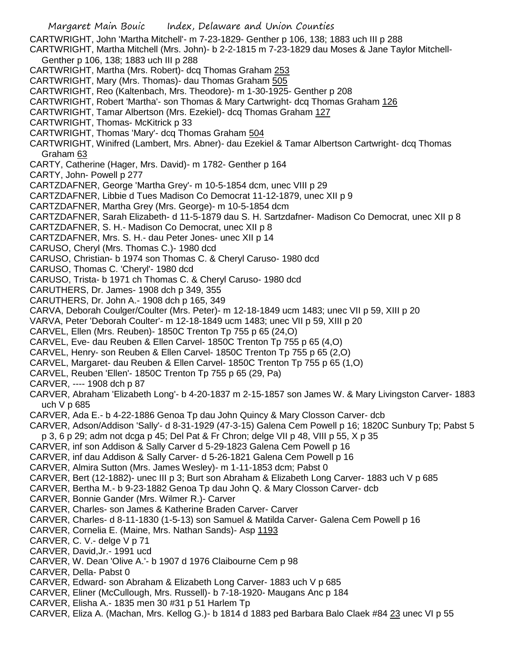Margaret Main Bouic Index, Delaware and Union Counties CARTWRIGHT, John 'Martha Mitchell'- m 7-23-1829- Genther p 106, 138; 1883 uch III p 288 CARTWRIGHT, Martha Mitchell (Mrs. John)- b 2-2-1815 m 7-23-1829 dau Moses & Jane Taylor Mitchell-Genther p 106, 138; 1883 uch III p 288 CARTWRIGHT, Martha (Mrs. Robert)- dcq Thomas Graham 253 CARTWRIGHT, Mary (Mrs. Thomas)- dau Thomas Graham 505 CARTWRIGHT, Reo (Kaltenbach, Mrs. Theodore)- m 1-30-1925- Genther p 208 CARTWRIGHT, Robert 'Martha'- son Thomas & Mary Cartwright- dcq Thomas Graham 126 CARTWRIGHT, Tamar Albertson (Mrs. Ezekiel)- dcq Thomas Graham 127 CARTWRIGHT, Thomas- McKitrick p 33 CARTWRIGHT, Thomas 'Mary'- dcq Thomas Graham 504 CARTWRIGHT, Winifred (Lambert, Mrs. Abner)- dau Ezekiel & Tamar Albertson Cartwright- dcq Thomas Graham 63 CARTY, Catherine (Hager, Mrs. David)- m 1782- Genther p 164 CARTY, John- Powell p 277 CARTZDAFNER, George 'Martha Grey'- m 10-5-1854 dcm, unec VIII p 29 CARTZDAFNER, Libbie d Tues Madison Co Democrat 11-12-1879, unec XII p 9 CARTZDAFNER, Martha Grey (Mrs. George)- m 10-5-1854 dcm CARTZDAFNER, Sarah Elizabeth- d 11-5-1879 dau S. H. Sartzdafner- Madison Co Democrat, unec XII p 8 CARTZDAFNER, S. H.- Madison Co Democrat, unec XII p 8 CARTZDAFNER, Mrs. S. H.- dau Peter Jones- unec XII p 14 CARUSO, Cheryl (Mrs. Thomas C.)- 1980 dcd CARUSO, Christian- b 1974 son Thomas C. & Cheryl Caruso- 1980 dcd CARUSO, Thomas C. 'Cheryl'- 1980 dcd CARUSO, Trista- b 1971 ch Thomas C. & Cheryl Caruso- 1980 dcd CARUTHERS, Dr. James- 1908 dch p 349, 355 CARUTHERS, Dr. John A.- 1908 dch p 165, 349 CARVA, Deborah Coulger/Coulter (Mrs. Peter)- m 12-18-1849 ucm 1483; unec VII p 59, XIII p 20 VARVA, Peter 'Deborah Coulter'- m 12-18-1849 ucm 1483; unec VII p 59, XIII p 20 CARVEL, Ellen (Mrs. Reuben)- 1850C Trenton Tp 755 p 65 (24,O) CARVEL, Eve- dau Reuben & Ellen Carvel- 1850C Trenton Tp 755 p 65 (4,O) CARVEL, Henry- son Reuben & Ellen Carvel- 1850C Trenton Tp 755 p 65 (2,O) CARVEL, Margaret- dau Reuben & Ellen Carvel- 1850C Trenton Tp 755 p 65 (1,O) CARVEL, Reuben 'Ellen'- 1850C Trenton Tp 755 p 65 (29, Pa) CARVER, ---- 1908 dch p 87 CARVER, Abraham 'Elizabeth Long'- b 4-20-1837 m 2-15-1857 son James W. & Mary Livingston Carver- 1883 uch V p 685 CARVER, Ada E.- b 4-22-1886 Genoa Tp dau John Quincy & Mary Closson Carver- dcb CARVER, Adson/Addison 'Sally'- d 8-31-1929 (47-3-15) Galena Cem Powell p 16; 1820C Sunbury Tp; Pabst 5 p 3, 6 p 29; adm not dcga p 45; Del Pat & Fr Chron; delge VII p 48, VIII p 55, X p 35 CARVER, inf son Addison & Sally Carver d 5-29-1823 Galena Cem Powell p 16 CARVER, inf dau Addison & Sally Carver- d 5-26-1821 Galena Cem Powell p 16 CARVER, Almira Sutton (Mrs. James Wesley)- m 1-11-1853 dcm; Pabst 0 CARVER, Bert (12-1882)- unec III p 3; Burt son Abraham & Elizabeth Long Carver- 1883 uch V p 685 CARVER, Bertha M.- b 9-23-1882 Genoa Tp dau John Q. & Mary Closson Carver- dcb CARVER, Bonnie Gander (Mrs. Wilmer R.)- Carver CARVER, Charles- son James & Katherine Braden Carver- Carver CARVER, Charles- d 8-11-1830 (1-5-13) son Samuel & Matilda Carver- Galena Cem Powell p 16 CARVER, Cornelia E. (Maine, Mrs. Nathan Sands)- Asp 1193 CARVER, C. V.- delge V p 71 CARVER, David,Jr.- 1991 ucd CARVER, W. Dean 'Olive A.'- b 1907 d 1976 Claibourne Cem p 98 CARVER, Della- Pabst 0 CARVER, Edward- son Abraham & Elizabeth Long Carver- 1883 uch V p 685 CARVER, Eliner (McCullough, Mrs. Russell)- b 7-18-1920- Maugans Anc p 184 CARVER, Elisha A.- 1835 men 30 #31 p 51 Harlem Tp CARVER, Eliza A. (Machan, Mrs. Kellog G.)- b 1814 d 1883 ped Barbara Balo Claek #84 23 unec VI p 55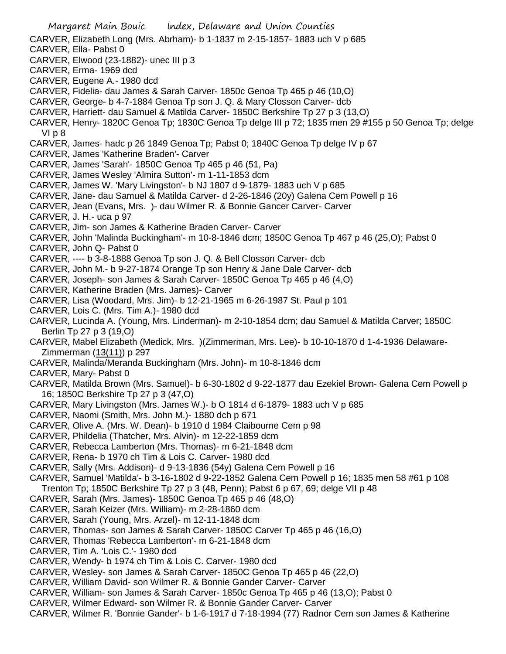Margaret Main Bouic Index, Delaware and Union Counties CARVER, Elizabeth Long (Mrs. Abrham)- b 1-1837 m 2-15-1857- 1883 uch V p 685 CARVER, Ella- Pabst 0 CARVER, Elwood (23-1882)- unec III p 3 CARVER, Erma- 1969 dcd CARVER, Eugene A.- 1980 dcd CARVER, Fidelia- dau James & Sarah Carver- 1850c Genoa Tp 465 p 46 (10,O) CARVER, George- b 4-7-1884 Genoa Tp son J. Q. & Mary Closson Carver- dcb CARVER, Harriett- dau Samuel & Matilda Carver- 1850C Berkshire Tp 27 p 3 (13,O) CARVER, Henry- 1820C Genoa Tp; 1830C Genoa Tp delge III p 72; 1835 men 29 #155 p 50 Genoa Tp; delge VI p 8 CARVER, James- hadc p 26 1849 Genoa Tp; Pabst 0; 1840C Genoa Tp delge IV p 67 CARVER, James 'Katherine Braden'- Carver CARVER, James 'Sarah'- 1850C Genoa Tp 465 p 46 (51, Pa) CARVER, James Wesley 'Almira Sutton'- m 1-11-1853 dcm CARVER, James W. 'Mary Livingston'- b NJ 1807 d 9-1879- 1883 uch V p 685 CARVER, Jane- dau Samuel & Matilda Carver- d 2-26-1846 (20y) Galena Cem Powell p 16 CARVER, Jean (Evans, Mrs. )- dau Wilmer R. & Bonnie Gancer Carver- Carver CARVER, J. H.- uca p 97 CARVER, Jim- son James & Katherine Braden Carver- Carver CARVER, John 'Malinda Buckingham'- m 10-8-1846 dcm; 1850C Genoa Tp 467 p 46 (25,O); Pabst 0 CARVER, John Q- Pabst 0 CARVER, ---- b 3-8-1888 Genoa Tp son J. Q. & Bell Closson Carver- dcb CARVER, John M.- b 9-27-1874 Orange Tp son Henry & Jane Dale Carver- dcb CARVER, Joseph- son James & Sarah Carver- 1850C Genoa Tp 465 p 46 (4,O) CARVER, Katherine Braden (Mrs. James)- Carver CARVER, Lisa (Woodard, Mrs. Jim)- b 12-21-1965 m 6-26-1987 St. Paul p 101 CARVER, Lois C. (Mrs. Tim A.)- 1980 dcd CARVER, Lucinda A. (Young, Mrs. Linderman)- m 2-10-1854 dcm; dau Samuel & Matilda Carver; 1850C Berlin Tp 27 p 3 (19,O) CARVER, Mabel Elizabeth (Medick, Mrs. )(Zimmerman, Mrs. Lee)- b 10-10-1870 d 1-4-1936 Delaware-Zimmerman (13(11)) p 297 CARVER, Malinda/Meranda Buckingham (Mrs. John)- m 10-8-1846 dcm CARVER, Mary- Pabst 0 CARVER, Matilda Brown (Mrs. Samuel)- b 6-30-1802 d 9-22-1877 dau Ezekiel Brown- Galena Cem Powell p 16; 1850C Berkshire Tp 27 p 3 (47,O) CARVER, Mary Livingston (Mrs. James W.)- b O 1814 d 6-1879- 1883 uch V p 685 CARVER, Naomi (Smith, Mrs. John M.)- 1880 dch p 671 CARVER, Olive A. (Mrs. W. Dean)- b 1910 d 1984 Claibourne Cem p 98 CARVER, Phildelia (Thatcher, Mrs. Alvin)- m 12-22-1859 dcm CARVER, Rebecca Lamberton (Mrs. Thomas)- m 6-21-1848 dcm CARVER, Rena- b 1970 ch Tim & Lois C. Carver- 1980 dcd CARVER, Sally (Mrs. Addison)- d 9-13-1836 (54y) Galena Cem Powell p 16 CARVER, Samuel 'Matilda'- b 3-16-1802 d 9-22-1852 Galena Cem Powell p 16; 1835 men 58 #61 p 108 Trenton Tp; 1850C Berkshire Tp 27 p 3 (48, Penn); Pabst 6 p 67, 69; delge VII p 48 CARVER, Sarah (Mrs. James)- 1850C Genoa Tp 465 p 46 (48,O) CARVER, Sarah Keizer (Mrs. William)- m 2-28-1860 dcm CARVER, Sarah (Young, Mrs. Arzel)- m 12-11-1848 dcm CARVER, Thomas- son James & Sarah Carver- 1850C Carver Tp 465 p 46 (16,O) CARVER, Thomas 'Rebecca Lamberton'- m 6-21-1848 dcm CARVER, Tim A. 'Lois C.'- 1980 dcd CARVER, Wendy- b 1974 ch Tim & Lois C. Carver- 1980 dcd CARVER, Wesley- son James & Sarah Carver- 1850C Genoa Tp 465 p 46 (22,O) CARVER, William David- son Wilmer R. & Bonnie Gander Carver- Carver

CARVER, William- son James & Sarah Carver- 1850c Genoa Tp 465 p 46 (13,O); Pabst 0

CARVER, Wilmer Edward- son Wilmer R. & Bonnie Gander Carver- Carver

CARVER, Wilmer R. 'Bonnie Gander'- b 1-6-1917 d 7-18-1994 (77) Radnor Cem son James & Katherine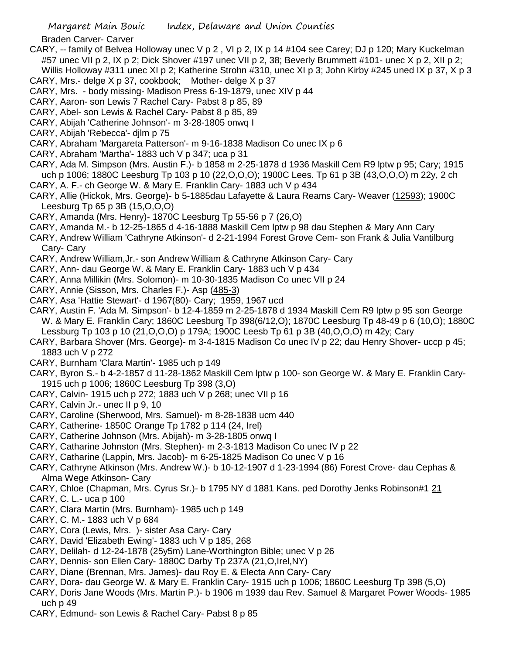Braden Carver- Carver

- CARY, -- family of Belvea Holloway unec V p 2 , VI p 2, IX p 14 #104 see Carey; DJ p 120; Mary Kuckelman #57 unec VII p 2, IX p 2; Dick Shover #197 unec VII p 2, 38; Beverly Brummett #101- unec X p 2, XII p 2; Willis Holloway #311 unec XI p 2; Katherine Strohn #310, unec XI p 3; John Kirby #245 uned IX p 37, X p 3
- CARY, Mrs.- delge X p 37, cookbook; Mother- delge X p 37 CARY, Mrs. - body missing- Madison Press 6-19-1879, unec XIV p 44
- CARY, Aaron- son Lewis 7 Rachel Cary- Pabst 8 p 85, 89
- CARY, Abel- son Lewis & Rachel Cary- Pabst 8 p 85, 89
- CARY, Abijah 'Catherine Johnson'- m 3-28-1805 onwq I
- CARY, Abijah 'Rebecca'- djlm p 75
- CARY, Abraham 'Margareta Patterson'- m 9-16-1838 Madison Co unec IX p 6
- CARY, Abraham 'Martha'- 1883 uch V p 347; uca p 31
- CARY, Ada M. Simpson (Mrs. Austin F.)- b 1858 m 2-25-1878 d 1936 Maskill Cem R9 lptw p 95; Cary; 1915 uch p 1006; 1880C Leesburg Tp 103 p 10 (22,O,O,O); 1900C Lees. Tp 61 p 3B (43,O,O,O) m 22y, 2 ch
- CARY, A. F.- ch George W. & Mary E. Franklin Cary- 1883 uch V p 434
- CARY, Allie (Hickok, Mrs. George)- b 5-1885dau Lafayette & Laura Reams Cary- Weaver (12593); 1900C Leesburg Tp 65 p 3B (15,O,O,O)
- CARY, Amanda (Mrs. Henry)- 1870C Leesburg Tp 55-56 p 7 (26,O)
- CARY, Amanda M.- b 12-25-1865 d 4-16-1888 Maskill Cem lptw p 98 dau Stephen & Mary Ann Cary
- CARY, Andrew William 'Cathryne Atkinson'- d 2-21-1994 Forest Grove Cem- son Frank & Julia Vantilburg Cary- Cary
- CARY, Andrew William,Jr.- son Andrew William & Cathryne Atkinson Cary- Cary
- CARY, Ann- dau George W. & Mary E. Franklin Cary- 1883 uch V p 434
- CARY, Anna Millikin (Mrs. Solomon)- m 10-30-1835 Madison Co unec VII p 24
- CARY, Annie (Sisson, Mrs. Charles F.)- Asp (485-3)
- CARY, Asa 'Hattie Stewart'- d 1967(80)- Cary; 1959, 1967 ucd
- CARY, Austin F. 'Ada M. Simpson'- b 12-4-1859 m 2-25-1878 d 1934 Maskill Cem R9 lptw p 95 son George W. & Mary E. Franklin Cary; 1860C Leesburg Tp 398(6/12,O); 1870C Leesburg Tp 48-49 p 6 (10,O); 1880C Lessburg Tp 103 p 10 (21,O,O,O) p 179A; 1900C Leesb Tp 61 p 3B (40,O,O,O) m 42y; Cary
- CARY, Barbara Shover (Mrs. George)- m 3-4-1815 Madison Co unec IV p 22; dau Henry Shover- uccp p 45; 1883 uch V p 272
- CARY, Burnham 'Clara Martin'- 1985 uch p 149
- CARY, Byron S.- b 4-2-1857 d 11-28-1862 Maskill Cem lptw p 100- son George W. & Mary E. Franklin Cary-1915 uch p 1006; 1860C Leesburg Tp 398 (3,O)
- CARY, Calvin- 1915 uch p 272; 1883 uch V p 268; unec VII p 16
- CARY, Calvin Jr.- unec II p 9, 10
- CARY, Caroline (Sherwood, Mrs. Samuel)- m 8-28-1838 ucm 440
- CARY, Catherine- 1850C Orange Tp 1782 p 114 (24, Irel)
- CARY, Catherine Johnson (Mrs. Abijah)- m 3-28-1805 onwq I
- CARY, Catharine Johnston (Mrs. Stephen)- m 2-3-1813 Madison Co unec IV p 22
- CARY, Catharine (Lappin, Mrs. Jacob)- m 6-25-1825 Madison Co unec V p 16
- CARY, Cathryne Atkinson (Mrs. Andrew W.)- b 10-12-1907 d 1-23-1994 (86) Forest Crove- dau Cephas & Alma Wege Atkinson- Cary
- CARY, Chloe (Chapman, Mrs. Cyrus Sr.)- b 1795 NY d 1881 Kans. ped Dorothy Jenks Robinson#1 21
- CARY, C. L.- uca p 100
- CARY, Clara Martin (Mrs. Burnham)- 1985 uch p 149
- CARY, C. M.- 1883 uch V p 684
- CARY, Cora (Lewis, Mrs. )- sister Asa Cary- Cary
- CARY, David 'Elizabeth Ewing'- 1883 uch V p 185, 268
- CARY, Delilah- d 12-24-1878 (25y5m) Lane-Worthington Bible; unec V p 26
- CARY, Dennis- son Ellen Cary- 1880C Darby Tp 237A (21,O,Irel,NY)
- CARY, Diane (Brennan, Mrs. James)- dau Roy E. & Electa Ann Cary- Cary
- CARY, Dora- dau George W. & Mary E. Franklin Cary- 1915 uch p 1006; 1860C Leesburg Tp 398 (5,O)
- CARY, Doris Jane Woods (Mrs. Martin P.)- b 1906 m 1939 dau Rev. Samuel & Margaret Power Woods- 1985 uch p 49
- CARY, Edmund- son Lewis & Rachel Cary- Pabst 8 p 85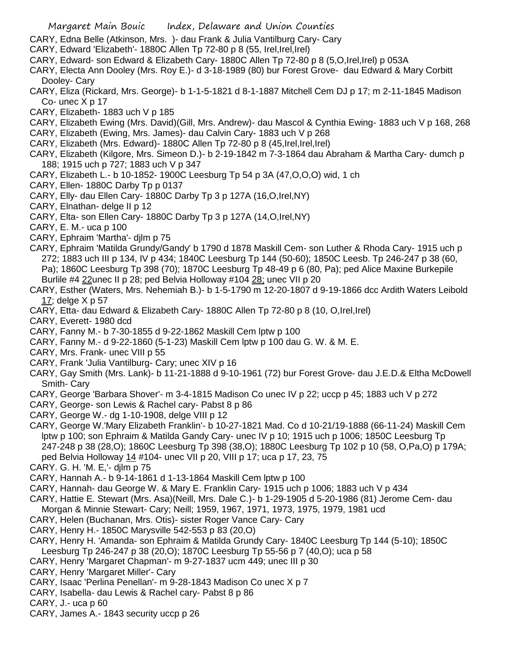- CARY, Edna Belle (Atkinson, Mrs. )- dau Frank & Julia Vantilburg Cary- Cary
- CARY, Edward 'Elizabeth'- 1880C Allen Tp 72-80 p 8 (55, Irel,Irel,Irel)
- CARY, Edward- son Edward & Elizabeth Cary- 1880C Allen Tp 72-80 p 8 (5,O,Irel,Irel) p 053A
- CARY, Electa Ann Dooley (Mrs. Roy E.)- d 3-18-1989 (80) bur Forest Grove- dau Edward & Mary Corbitt Dooley- Cary
- CARY, Eliza (Rickard, Mrs. George)- b 1-1-5-1821 d 8-1-1887 Mitchell Cem DJ p 17; m 2-11-1845 Madison Co- unec X p 17
- CARY, Elizabeth- 1883 uch V p 185
- CARY, Elizabeth Ewing (Mrs. David)(Gill, Mrs. Andrew)- dau Mascol & Cynthia Ewing- 1883 uch V p 168, 268
- CARY, Elizabeth (Ewing, Mrs. James)- dau Calvin Cary- 1883 uch V p 268
- CARY, Elizabeth (Mrs. Edward)- 1880C Allen Tp 72-80 p 8 (45,Irel,Irel,Irel)
- CARY, Elizabeth (Kilgore, Mrs. Simeon D.)- b 2-19-1842 m 7-3-1864 dau Abraham & Martha Cary- dumch p 188; 1915 uch p 727; 1883 uch V p 347
- CARY, Elizabeth L.- b 10-1852- 1900C Leesburg Tp 54 p 3A (47,O,O,O) wid, 1 ch
- CARY, Ellen- 1880C Darby Tp p 0137
- CARY, Elly- dau Ellen Cary- 1880C Darby Tp 3 p 127A (16,O,Irel,NY)
- CARY, Elnathan- delge II p 12
- CARY, Elta- son Ellen Cary- 1880C Darby Tp 3 p 127A (14,O,Irel,NY)
- CARY, E. M.- uca p 100
- CARY, Ephraim 'Martha'- djlm p 75
- CARY, Ephraim 'Matilda Grundy/Gandy' b 1790 d 1878 Maskill Cem- son Luther & Rhoda Cary- 1915 uch p 272; 1883 uch III p 134, IV p 434; 1840C Leesburg Tp 144 (50-60); 1850C Leesb. Tp 246-247 p 38 (60, Pa); 1860C Leesburg Tp 398 (70); 1870C Leesburg Tp 48-49 p 6 (80, Pa); ped Alice Maxine Burkepile Burlile #4 22unec II p 28; ped Belvia Holloway #104 28; unec VII p 20
- CARY, Esther (Waters, Mrs. Nehemiah B.)- b 1-5-1790 m 12-20-1807 d 9-19-1866 dcc Ardith Waters Leibold 17; delge X p 57
- CARY, Etta- dau Edward & Elizabeth Cary- 1880C Allen Tp 72-80 p 8 (10, O,Irel,Irel)
- CARY, Everett- 1980 dcd
- CARY, Fanny M.- b 7-30-1855 d 9-22-1862 Maskill Cem lptw p 100
- CARY, Fanny M.- d 9-22-1860 (5-1-23) Maskill Cem lptw p 100 dau G. W. & M. E.
- CARY, Mrs. Frank- unec VIII p 55
- CARY, Frank 'Julia Vantilburg- Cary; unec XIV p 16
- CARY, Gay Smith (Mrs. Lank)- b 11-21-1888 d 9-10-1961 (72) bur Forest Grove- dau J.E.D.& Eltha McDowell Smith- Cary
- CARY, George 'Barbara Shover'- m 3-4-1815 Madison Co unec IV p 22; uccp p 45; 1883 uch V p 272
- CARY, George- son Lewis & Rachel cary- Pabst 8 p 86
- CARY, George W.- dg 1-10-1908, delge VIII p 12
- CARY, George W.'Mary Elizabeth Franklin'- b 10-27-1821 Mad. Co d 10-21/19-1888 (66-11-24) Maskill Cem lptw p 100; son Ephraim & Matilda Gandy Cary- unec IV p 10; 1915 uch p 1006; 1850C Leesburg Tp 247-248 p 38 (28,O); 1860C Leesburg Tp 398 (38,O); 1880C Leesburg Tp 102 p 10 (58, O,Pa,O) p 179A; ped Belvia Holloway 14 #104- unec VII p 20, VIII p 17; uca p 17, 23, 75
- CARY. G. H. 'M. E,'- djlm p 75
- CARY, Hannah A.- b 9-14-1861 d 1-13-1864 Maskill Cem lptw p 100
- CARY, Hannah- dau George W. & Mary E. Franklin Cary- 1915 uch p 1006; 1883 uch V p 434
- CARY, Hattie E. Stewart (Mrs. Asa)(Neill, Mrs. Dale C.)- b 1-29-1905 d 5-20-1986 (81) Jerome Cem- dau Morgan & Minnie Stewart- Cary; Neill; 1959, 1967, 1971, 1973, 1975, 1979, 1981 ucd
- CARY, Helen (Buchanan, Mrs. Otis)- sister Roger Vance Cary- Cary
- CARY, Henry H.- 1850C Marysville 542-553 p 83 (20,O)
- CARY, Henry H. 'Amanda- son Ephraim & Matilda Grundy Cary- 1840C Leesburg Tp 144 (5-10); 1850C Leesburg Tp 246-247 p 38 (20,O); 1870C Leesburg Tp 55-56 p 7 (40,O); uca p 58
- CARY, Henry 'Margaret Chapman'- m 9-27-1837 ucm 449; unec III p 30
- CARY, Henry 'Margaret Miller'- Cary
- CARY, Isaac 'Perlina Penellan'- m 9-28-1843 Madison Co unec X p 7
- CARY, Isabella- dau Lewis & Rachel cary- Pabst 8 p 86
- CARY, J.- uca p 60
- CARY, James A.- 1843 security uccp p 26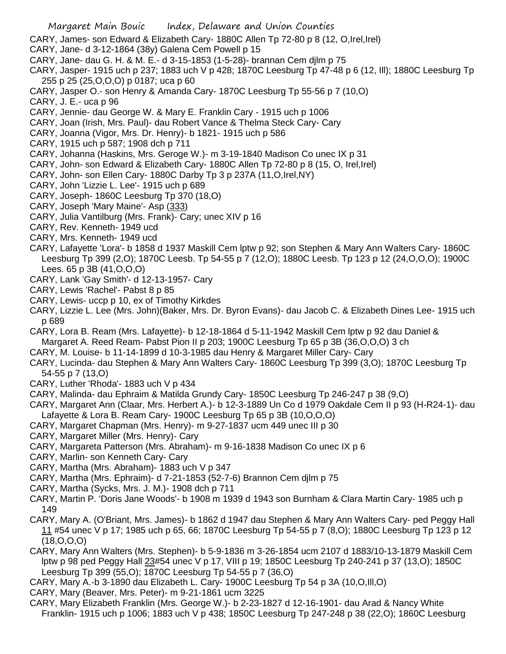- CARY, James- son Edward & Elizabeth Cary- 1880C Allen Tp 72-80 p 8 (12, O,Irel,Irel)
- CARY, Jane- d 3-12-1864 (38y) Galena Cem Powell p 15
- CARY, Jane- dau G. H. & M. E.- d 3-15-1853 (1-5-28)- brannan Cem djlm p 75
- CARY, Jasper- 1915 uch p 237; 1883 uch V p 428; 1870C Leesburg Tp 47-48 p 6 (12, Ill); 1880C Leesburg Tp 255 p 25 (25,O,O,O) p 0187; uca p 60
- CARY, Jasper O.- son Henry & Amanda Cary- 1870C Leesburg Tp 55-56 p 7 (10,O)
- CARY, J. E.- uca p 96
- CARY, Jennie- dau George W. & Mary E. Franklin Cary 1915 uch p 1006
- CARY, Joan (Irish, Mrs. Paul)- dau Robert Vance & Thelma Steck Cary- Cary
- CARY, Joanna (Vigor, Mrs. Dr. Henry)- b 1821- 1915 uch p 586
- CARY, 1915 uch p 587; 1908 dch p 711
- CARY, Johanna (Haskins, Mrs. Geroge W.)- m 3-19-1840 Madison Co unec IX p 31
- CARY, John- son Edward & Elizabeth Cary- 1880C Allen Tp 72-80 p 8 (15, O, Irel,Irel)
- CARY, John- son Ellen Cary- 1880C Darby Tp 3 p 237A (11,O,Irel,NY)
- CARY, John 'Lizzie L. Lee'- 1915 uch p 689
- CARY, Joseph- 1860C Leesburg Tp 370 (18,O)
- CARY, Joseph 'Mary Maine'- Asp (333)
- CARY, Julia Vantilburg (Mrs. Frank)- Cary; unec XIV p 16
- CARY, Rev. Kenneth- 1949 ucd
- CARY, Mrs. Kenneth- 1949 ucd
- CARY, Lafayette 'Lora'- b 1858 d 1937 Maskill Cem lptw p 92; son Stephen & Mary Ann Walters Cary- 1860C Leesburg Tp 399 (2,O); 1870C Leesb. Tp 54-55 p 7 (12,O); 1880C Leesb. Tp 123 p 12 (24,O,O,O); 1900C Lees. 65 p 3B (41,O,O,O)
- CARY, Lank 'Gay Smith'- d 12-13-1957- Cary
- CARY, Lewis 'Rachel'- Pabst 8 p 85
- CARY, Lewis- uccp p 10, ex of Timothy Kirkdes
- CARY, Lizzie L. Lee (Mrs. John)(Baker, Mrs. Dr. Byron Evans)- dau Jacob C. & Elizabeth Dines Lee- 1915 uch p 689
- CARY, Lora B. Ream (Mrs. Lafayette)- b 12-18-1864 d 5-11-1942 Maskill Cem lptw p 92 dau Daniel & Margaret A. Reed Ream- Pabst Pion II p 203; 1900C Leesburg Tp 65 p 3B (36,O,O,O) 3 ch
- CARY, M. Louise- b 11-14-1899 d 10-3-1985 dau Henry & Margaret Miller Cary- Cary
- CARY, Lucinda- dau Stephen & Mary Ann Walters Cary- 1860C Leesburg Tp 399 (3,O); 1870C Leesburg Tp 54-55 p 7 (13,O)
- CARY, Luther 'Rhoda'- 1883 uch V p 434
- CARY, Malinda- dau Ephraim & Matilda Grundy Cary- 1850C Leesburg Tp 246-247 p 38 (9,O)
- CARY, Margaret Ann (Claar, Mrs. Herbert A.)- b 12-3-1889 Un Co d 1979 Oakdale Cem II p 93 (H-R24-1)- dau Lafayette & Lora B. Ream Cary- 1900C Leesburg Tp 65 p 3B (10,O,O,O)
- CARY, Margaret Chapman (Mrs. Henry)- m 9-27-1837 ucm 449 unec III p 30
- CARY, Margaret Miller (Mrs. Henry)- Cary
- CARY, Margareta Patterson (Mrs. Abraham)- m 9-16-1838 Madison Co unec IX p 6
- CARY, Marlin- son Kenneth Cary- Cary
- CARY, Martha (Mrs. Abraham)- 1883 uch V p 347
- CARY, Martha (Mrs. Ephraim)- d 7-21-1853 (52-7-6) Brannon Cem djlm p 75
- CARY, Martha (Sycks, Mrs. J. M.)- 1908 dch p 711
- CARY, Martin P. 'Doris Jane Woods'- b 1908 m 1939 d 1943 son Burnham & Clara Martin Cary- 1985 uch p 149
- CARY, Mary A. (O'Briant, Mrs. James)- b 1862 d 1947 dau Stephen & Mary Ann Walters Cary- ped Peggy Hall 11 #54 unec V p 17; 1985 uch p 65, 66; 1870C Leesburg Tp 54-55 p 7 (8,O); 1880C Leesburg Tp 123 p 12 (18,O,O,O)
- CARY, Mary Ann Walters (Mrs. Stephen)- b 5-9-1836 m 3-26-1854 ucm 2107 d 1883/10-13-1879 Maskill Cem lptw p 98 ped Peggy Hall 23#54 unec V p 17, VIII p 19; 1850C Leesburg Tp 240-241 p 37 (13,O); 1850C Leesburg Tp 399 (55,O); 1870C Leesburg Tp 54-55 p 7 (36,O)
- CARY, Mary A.-b 3-1890 dau Elizabeth L. Cary- 1900C Leesburg Tp 54 p 3A (10,O,Ill,O)
- CARY, Mary (Beaver, Mrs. Peter)- m 9-21-1861 ucm 3225
- CARY, Mary Elizabeth Franklin (Mrs. George W.)- b 2-23-1827 d 12-16-1901- dau Arad & Nancy White Franklin- 1915 uch p 1006; 1883 uch V p 438; 1850C Leesburg Tp 247-248 p 38 (22,O); 1860C Leesburg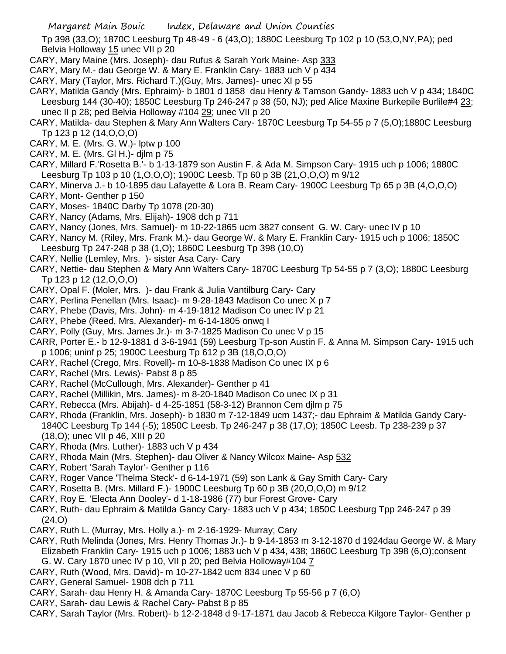Tp 398 (33,O); 1870C Leesburg Tp 48-49 - 6 (43,O); 1880C Leesburg Tp 102 p 10 (53,O,NY,PA); ped Belvia Holloway 15 unec VII p 20

- CARY, Mary Maine (Mrs. Joseph)- dau Rufus & Sarah York Maine- Asp 333
- CARY, Mary M.- dau George W. & Mary E. Franklin Cary- 1883 uch V p 434
- CARY, Mary (Taylor, Mrs. Richard T.)(Guy, Mrs. James)- unec XI p 55
- CARY, Matilda Gandy (Mrs. Ephraim)- b 1801 d 1858 dau Henry & Tamson Gandy- 1883 uch V p 434; 1840C Leesburg 144 (30-40); 1850C Leesburg Tp 246-247 p 38 (50, NJ); ped Alice Maxine Burkepile Burlile#4 23; unec II p 28; ped Belvia Holloway #104 29; unec VII p 20
- CARY, Matilda- dau Stephen & Mary Ann Walters Cary- 1870C Leesburg Tp 54-55 p 7 (5,O);1880C Leesburg Tp 123 p 12 (14,O,O,O)
- CARY, M. E. (Mrs. G. W.)- lptw p 100
- CARY, M. E. (Mrs. Gl H.)- djlm p 75
- CARY, Millard F.'Rosetta B.'- b 1-13-1879 son Austin F. & Ada M. Simpson Cary- 1915 uch p 1006; 1880C Leesburg Tp 103 p 10 (1,O,O,O); 1900C Leesb. Tp 60 p 3B (21,O,O,O) m 9/12
- CARY, Minerva J.- b 10-1895 dau Lafayette & Lora B. Ream Cary- 1900C Leesburg Tp 65 p 3B (4,O,O,O) CARY, Mont- Genther p 150
- CARY, Moses- 1840C Darby Tp 1078 (20-30)
- CARY, Nancy (Adams, Mrs. Elijah)- 1908 dch p 711
- CARY, Nancy (Jones, Mrs. Samuel)- m 10-22-1865 ucm 3827 consent G. W. Cary- unec IV p 10
- CARY, Nancy M. (Riley, Mrs. Frank M.)- dau George W. & Mary E. Franklin Cary- 1915 uch p 1006; 1850C Leesburg Tp 247-248 p 38 (1,O); 1860C Leesburg Tp 398 (10,O)
- CARY, Nellie (Lemley, Mrs. )- sister Asa Cary- Cary
- CARY, Nettie- dau Stephen & Mary Ann Walters Cary- 1870C Leesburg Tp 54-55 p 7 (3,O); 1880C Leesburg Tp 123 p 12 (12,O,O,O)
- CARY, Opal F. (Moler, Mrs. )- dau Frank & Julia Vantilburg Cary- Cary
- CARY, Perlina Penellan (Mrs. Isaac)- m 9-28-1843 Madison Co unec X p 7
- CARY, Phebe (Davis, Mrs. John)- m 4-19-1812 Madison Co unec IV p 21
- CARY, Phebe (Reed, Mrs. Alexander)- m 6-14-1805 onwq I
- CARY, Polly (Guy, Mrs. James Jr.)- m 3-7-1825 Madison Co unec V p 15
- CARR, Porter E.- b 12-9-1881 d 3-6-1941 (59) Leesburg Tp-son Austin F. & Anna M. Simpson Cary- 1915 uch p 1006; uninf p 25; 1900C Leesburg Tp 612 p 3B (18,O,O,O)
- CARY, Rachel (Crego, Mrs. Rovell)- m 10-8-1838 Madison Co unec IX p 6
- CARY, Rachel (Mrs. Lewis)- Pabst 8 p 85
- CARY, Rachel (McCullough, Mrs. Alexander)- Genther p 41
- CARY, Rachel (Millikin, Mrs. James)- m 8-20-1840 Madison Co unec IX p 31
- CARY, Rebecca (Mrs. Abijah)- d 4-25-1851 (58-3-12) Brannon Cem djlm p 75
- CARY, Rhoda (Franklin, Mrs. Joseph)- b 1830 m 7-12-1849 ucm 1437;- dau Ephraim & Matilda Gandy Cary-1840C Leesburg Tp 144 (-5); 1850C Leesb. Tp 246-247 p 38 (17,O); 1850C Leesb. Tp 238-239 p 37 (18,O); unec VII p 46, XIII p 20
- CARY, Rhoda (Mrs. Luther)- 1883 uch V p 434
- CARY, Rhoda Main (Mrs. Stephen)- dau Oliver & Nancy Wilcox Maine- Asp 532
- CARY, Robert 'Sarah Taylor'- Genther p 116
- CARY, Roger Vance 'Thelma Steck'- d 6-14-1971 (59) son Lank & Gay Smith Cary- Cary
- CARY, Rosetta B. (Mrs. Millard F.)- 1900C Leesburg Tp 60 p 3B (20,O,O,O) m 9/12
- CARY, Roy E. 'Electa Ann Dooley'- d 1-18-1986 (77) bur Forest Grove- Cary
- CARY, Ruth- dau Ephraim & Matilda Gancy Cary- 1883 uch V p 434; 1850C Leesburg Tpp 246-247 p 39 (24,O)
- CARY, Ruth L. (Murray, Mrs. Holly a.)- m 2-16-1929- Murray; Cary
- CARY, Ruth Melinda (Jones, Mrs. Henry Thomas Jr.)- b 9-14-1853 m 3-12-1870 d 1924dau George W. & Mary Elizabeth Franklin Cary- 1915 uch p 1006; 1883 uch V p 434, 438; 1860C Leesburg Tp 398 (6,O);consent G. W. Cary 1870 unec IV p 10, VII p 20; ped Belvia Holloway#104 7
- CARY, Ruth (Wood, Mrs. David)- m 10-27-1842 ucm 834 unec V p 60
- CARY, General Samuel- 1908 dch p 711
- CARY, Sarah- dau Henry H. & Amanda Cary- 1870C Leesburg Tp 55-56 p 7 (6,O)
- CARY, Sarah- dau Lewis & Rachel Cary- Pabst 8 p 85
- CARY, Sarah Taylor (Mrs. Robert)- b 12-2-1848 d 9-17-1871 dau Jacob & Rebecca Kilgore Taylor- Genther p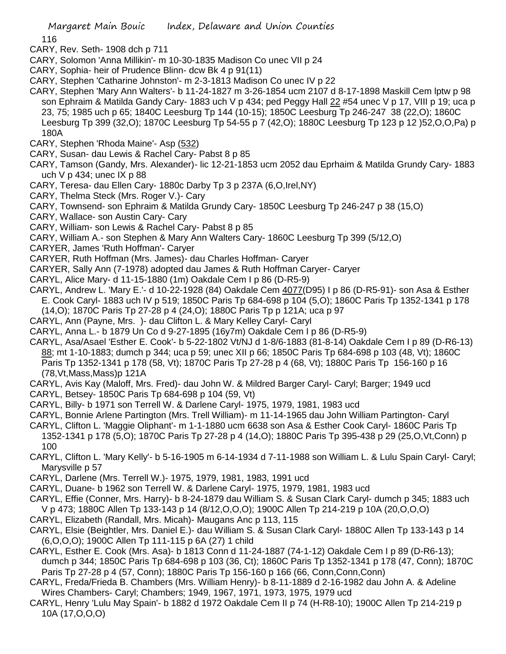116

- CARY, Rev. Seth- 1908 dch p 711
- CARY, Solomon 'Anna Millikin'- m 10-30-1835 Madison Co unec VII p 24
- CARY, Sophia- heir of Prudence Blinn- dcw Bk 4 p 91(11)
- CARY, Stephen 'Catharine Johnston'- m 2-3-1813 Madison Co unec IV p 22
- CARY, Stephen 'Mary Ann Walters'- b 11-24-1827 m 3-26-1854 ucm 2107 d 8-17-1898 Maskill Cem lptw p 98 son Ephraim & Matilda Gandy Cary- 1883 uch V p 434; ped Peggy Hall 22 #54 unec V p 17, VIII p 19; uca p 23, 75; 1985 uch p 65; 1840C Leesburg Tp 144 (10-15); 1850C Leesburg Tp 246-247 38 (22,O); 1860C Leesburg Tp 399 (32,O); 1870C Leesburg Tp 54-55 p 7 (42,O); 1880C Leesburg Tp 123 p 12 )52,O,O,Pa) p 180A
- CARY, Stephen 'Rhoda Maine'- Asp (532)
- CARY, Susan- dau Lewis & Rachel Cary- Pabst 8 p 85
- CARY, Tamson (Gandy, Mrs. Alexander)- lic 12-21-1853 ucm 2052 dau Eprhaim & Matilda Grundy Cary- 1883 uch V p 434; unec IX p 88
- CARY, Teresa- dau Ellen Cary- 1880c Darby Tp 3 p 237A (6,O,Irel,NY)
- CARY, Thelma Steck (Mrs. Roger V.)- Cary
- CARY, Townsend- son Ephraim & Matilda Grundy Cary- 1850C Leesburg Tp 246-247 p 38 (15,O)
- CARY, Wallace- son Austin Cary- Cary
- CARY, William- son Lewis & Rachel Cary- Pabst 8 p 85
- CARY, William A.- son Stephen & Mary Ann Walters Cary- 1860C Leesburg Tp 399 (5/12,O)
- CARYER, James 'Ruth Hoffman'- Caryer
- CARYER, Ruth Hoffman (Mrs. James)- dau Charles Hoffman- Caryer
- CARYER, Sally Ann (7-1978) adopted dau James & Ruth Hoffman Caryer- Caryer
- CARYL, Alice Mary- d 11-15-1880 (1m) Oakdale Cem I p 86 (D-R5-9)
- CARYL, Andrew L. 'Mary E.'- d 10-22-1928 (84) Oakdale Cem 4077(D95) I p 86 (D-R5-91)- son Asa & Esther E. Cook Caryl- 1883 uch IV p 519; 1850C Paris Tp 684-698 p 104 (5,O); 1860C Paris Tp 1352-1341 p 178 (14,O); 1870C Paris Tp 27-28 p 4 (24,O); 1880C Paris Tp p 121A; uca p 97
- CARYL, Ann (Payne, Mrs. )- dau Clifton L. & Mary Kelley Caryl- Caryl
- CARYL, Anna L.- b 1879 Un Co d 9-27-1895 (16y7m) Oakdale Cem I p 86 (D-R5-9)
- CARYL, Asa/Asael 'Esther E. Cook'- b 5-22-1802 Vt/NJ d 1-8/6-1883 (81-8-14) Oakdale Cem I p 89 (D-R6-13) 88; mt 1-10-1883; dumch p 344; uca p 59; unec XII p 66; 1850C Paris Tp 684-698 p 103 (48, Vt); 1860C Paris Tp 1352-1341 p 178 (58, Vt); 1870C Paris Tp 27-28 p 4 (68, Vt); 1880C Paris Tp 156-160 p 16 (78,Vt,Mass,Mass)p 121A
- CARYL, Avis Kay (Maloff, Mrs. Fred)- dau John W. & Mildred Barger Caryl- Caryl; Barger; 1949 ucd
- CARYL, Betsey- 1850C Paris Tp 684-698 p 104 (59, Vt)
- CARYL, Billy- b 1971 son Terrell W. & Darlene Caryl- 1975, 1979, 1981, 1983 ucd
- CARYL, Bonnie Arlene Partington (Mrs. Trell William)- m 11-14-1965 dau John William Partington- Caryl
- CARYL, Clifton L. 'Maggie Oliphant'- m 1-1-1880 ucm 6638 son Asa & Esther Cook Caryl- 1860C Paris Tp 1352-1341 p 178 (5,O); 1870C Paris Tp 27-28 p 4 (14,O); 1880C Paris Tp 395-438 p 29 (25,O,Vt,Conn) p 100
- CARYL, Clifton L. 'Mary Kelly'- b 5-16-1905 m 6-14-1934 d 7-11-1988 son William L. & Lulu Spain Caryl- Caryl; Marysville p 57
- CARYL, Darlene (Mrs. Terrell W.)- 1975, 1979, 1981, 1983, 1991 ucd
- CARYL, Duane- b 1962 son Terrell W. & Darlene Caryl- 1975, 1979, 1981, 1983 ucd
- CARYL, Effie (Conner, Mrs. Harry)- b 8-24-1879 dau William S. & Susan Clark Caryl- dumch p 345; 1883 uch V p 473; 1880C Allen Tp 133-143 p 14 (8/12,O,O,O); 1900C Allen Tp 214-219 p 10A (20,O,O,O)
- CARYL, Elizabeth (Randall, Mrs. Micah)- Maugans Anc p 113, 115
- CARYL, Elsie (Beightler, Mrs. Daniel E.)- dau William S. & Susan Clark Caryl- 1880C Allen Tp 133-143 p 14 (6,O,O,O); 1900C Allen Tp 111-115 p 6A (27) 1 child
- CARYL, Esther E. Cook (Mrs. Asa)- b 1813 Conn d 11-24-1887 (74-1-12) Oakdale Cem I p 89 (D-R6-13); dumch p 344; 1850C Paris Tp 684-698 p 103 (36, Ct); 1860C Paris Tp 1352-1341 p 178 (47, Conn); 1870C Paris Tp 27-28 p 4 (57, Conn); 1880C Paris Tp 156-160 p 166 (66, Conn,Conn,Conn)
- CARYL, Freda/Frieda B. Chambers (Mrs. William Henry)- b 8-11-1889 d 2-16-1982 dau John A. & Adeline Wires Chambers- Caryl; Chambers; 1949, 1967, 1971, 1973, 1975, 1979 ucd
- CARYL, Henry 'Lulu May Spain'- b 1882 d 1972 Oakdale Cem II p 74 (H-R8-10); 1900C Allen Tp 214-219 p 10A (17,O,O,O)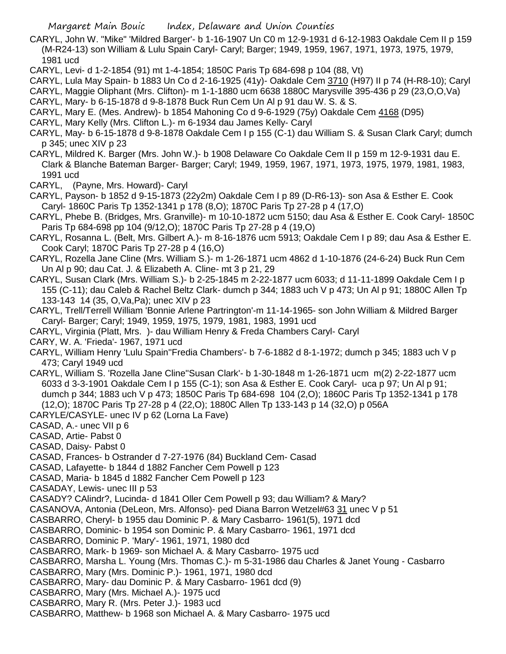- CARYL, John W. "Mike" 'Mildred Barger'- b 1-16-1907 Un C0 m 12-9-1931 d 6-12-1983 Oakdale Cem II p 159 (M-R24-13) son William & Lulu Spain Caryl- Caryl; Barger; 1949, 1959, 1967, 1971, 1973, 1975, 1979, 1981 ucd
- CARYL, Levi- d 1-2-1854 (91) mt 1-4-1854; 1850C Paris Tp 684-698 p 104 (88, Vt)
- CARYL, Lula May Spain- b 1883 Un Co d 2-16-1925 (41y)- Oakdale Cem 3710 (H97) II p 74 (H-R8-10); Caryl
- CARYL, Maggie Oliphant (Mrs. Clifton)- m 1-1-1880 ucm 6638 1880C Marysville 395-436 p 29 (23,O,O,Va)
- CARYL, Mary- b 6-15-1878 d 9-8-1878 Buck Run Cem Un Al p 91 dau W. S. & S.
- CARYL, Mary E. (Mes. Andrew)- b 1854 Mahoning Co d 9-6-1929 (75y) Oakdale Cem 4168 (D95)
- CARYL, Mary Kelly (Mrs. Clifton L.)- m 6-1934 dau James Kelly- Caryl
- CARYL, May- b 6-15-1878 d 9-8-1878 Oakdale Cem I p 155 (C-1) dau William S. & Susan Clark Caryl; dumch p 345; unec XIV p 23
- CARYL, Mildred K. Barger (Mrs. John W.)- b 1908 Delaware Co Oakdale Cem II p 159 m 12-9-1931 dau E. Clark & Blanche Bateman Barger- Barger; Caryl; 1949, 1959, 1967, 1971, 1973, 1975, 1979, 1981, 1983, 1991 ucd
- CARYL, (Payne, Mrs. Howard)- Caryl
- CARYL, Payson- b 1852 d 9-15-1873 (22y2m) Oakdale Cem I p 89 (D-R6-13)- son Asa & Esther E. Cook Caryl- 1860C Paris Tp 1352-1341 p 178 (8,O); 1870C Paris Tp 27-28 p 4 (17,O)
- CARYL, Phebe B. (Bridges, Mrs. Granville)- m 10-10-1872 ucm 5150; dau Asa & Esther E. Cook Caryl- 1850C Paris Tp 684-698 pp 104 (9/12,O); 1870C Paris Tp 27-28 p 4 (19,O)
- CARYL, Rosanna L. (Belt, Mrs. Gilbert A.)- m 8-16-1876 ucm 5913; Oakdale Cem I p 89; dau Asa & Esther E. Cook Caryl; 1870C Paris Tp 27-28 p 4 (16,O)
- CARYL, Rozella Jane Cline (Mrs. William S.)- m 1-26-1871 ucm 4862 d 1-10-1876 (24-6-24) Buck Run Cem Un Al p 90; dau Cat. J. & Elizabeth A. Cline- mt 3 p 21, 29
- CARYL, Susan Clark (Mrs. William S.)- b 2-25-1845 m 2-22-1877 ucm 6033; d 11-11-1899 Oakdale Cem I p 155 (C-11); dau Caleb & Rachel Beltz Clark- dumch p 344; 1883 uch V p 473; Un Al p 91; 1880C Allen Tp 133-143 14 (35, O,Va,Pa); unec XIV p 23
- CARYL, Trell/Terrell William 'Bonnie Arlene Partrington'-m 11-14-1965- son John William & Mildred Barger Caryl- Barger; Caryl; 1949, 1959, 1975, 1979, 1981, 1983, 1991 ucd
- CARYL, Virginia (Platt, Mrs. )- dau William Henry & Freda Chambers Caryl- Caryl
- CARY, W. A. 'Frieda'- 1967, 1971 ucd
- CARYL, William Henry 'Lulu Spain''Fredia Chambers'- b 7-6-1882 d 8-1-1972; dumch p 345; 1883 uch V p 473; Caryl 1949 ucd
- CARYL, William S. 'Rozella Jane Cline''Susan Clark'- b 1-30-1848 m 1-26-1871 ucm m(2) 2-22-1877 ucm 6033 d 3-3-1901 Oakdale Cem I p 155 (C-1); son Asa & Esther E. Cook Caryl- uca p 97; Un Al p 91; dumch p 344; 1883 uch V p 473; 1850C Paris Tp 684-698 104 (2,O); 1860C Paris Tp 1352-1341 p 178 (12,O); 1870C Paris Tp 27-28 p 4 (22,O); 1880C Allen Tp 133-143 p 14 (32,O) p 056A
- CARYLE/CASYLE- unec IV p 62 (Lorna La Fave)
- CASAD, A.- unec VII p 6
- CASAD, Artie- Pabst 0
- CASAD, Daisy- Pabst 0
- CASAD, Frances- b Ostrander d 7-27-1976 (84) Buckland Cem- Casad
- CASAD, Lafayette- b 1844 d 1882 Fancher Cem Powell p 123
- CASAD, Maria- b 1845 d 1882 Fancher Cem Powell p 123
- CASADAY, Lewis- unec III p 53
- CASADY? CAlindr?, Lucinda- d 1841 Oller Cem Powell p 93; dau William? & Mary?
- CASANOVA, Antonia (DeLeon, Mrs. Alfonso)- ped Diana Barron Wetzel#63 31 unec V p 51
- CASBARRO, Cheryl- b 1955 dau Dominic P. & Mary Casbarro- 1961(5), 1971 dcd
- CASBARRO, Dominic- b 1954 son Dominic P. & Mary Casbarro- 1961, 1971 dcd
- CASBARRO, Dominic P. 'Mary'- 1961, 1971, 1980 dcd
- CASBARRO, Mark- b 1969- son Michael A. & Mary Casbarro- 1975 ucd
- CASBARRO, Marsha L. Young (Mrs. Thomas C.)- m 5-31-1986 dau Charles & Janet Young Casbarro
- CASBARRO, Mary (Mrs. Dominic P.)- 1961, 1971, 1980 dcd
- CASBARRO, Mary- dau Dominic P. & Mary Casbarro- 1961 dcd (9)
- CASBARRO, Mary (Mrs. Michael A.)- 1975 ucd
- CASBARRO, Mary R. (Mrs. Peter J.)- 1983 ucd
- CASBARRO, Matthew- b 1968 son Michael A. & Mary Casbarro- 1975 ucd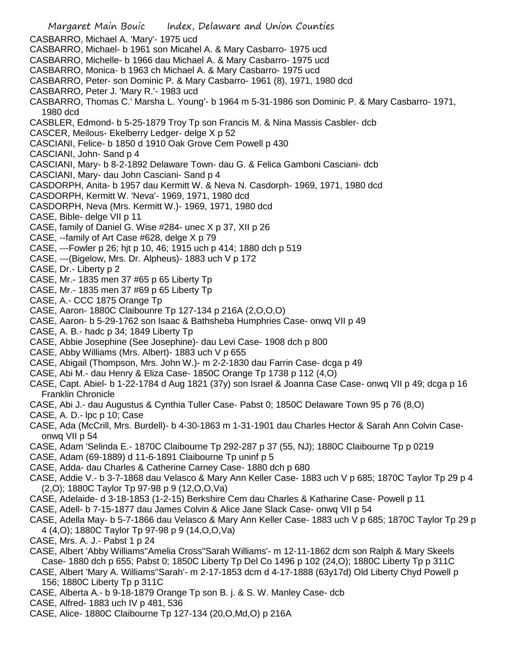Margaret Main Bouic Index, Delaware and Union Counties CASBARRO, Michael A. 'Mary'- 1975 ucd CASBARRO, Michael- b 1961 son Micahel A. & Mary Casbarro- 1975 ucd CASBARRO, Michelle- b 1966 dau Michael A. & Mary Casbarro- 1975 ucd CASBARRO, Monica- b 1963 ch Michael A. & Mary Casbarro- 1975 ucd CASBARRO, Peter- son Dominic P. & Mary Casbarro- 1961 (8), 1971, 1980 dcd CASBARRO, Peter J. 'Mary R.'- 1983 ucd CASBARRO, Thomas C.' Marsha L. Young'- b 1964 m 5-31-1986 son Dominic P. & Mary Casbarro- 1971, 1980 dcd CASBLER, Edmond- b 5-25-1879 Troy Tp son Francis M. & Nina Massis Casbler- dcb CASCER, Meilous- Ekelberry Ledger- delge X p 52 CASCIANI, Felice- b 1850 d 1910 Oak Grove Cem Powell p 430 CASCIANI, John- Sand p 4 CASCIANI, Mary- b 8-2-1892 Delaware Town- dau G. & Felica Gamboni Casciani- dcb CASCIANI, Mary- dau John Casciani- Sand p 4 CASDORPH, Anita- b 1957 dau Kermitt W. & Neva N. Casdorph- 1969, 1971, 1980 dcd CASDORPH, Kermitt W. 'Neva'- 1969, 1971, 1980 dcd CASDORPH, Neva (Mrs. Kermitt W.)- 1969, 1971, 1980 dcd CASE, Bible- delge VII p 11 CASE, family of Daniel G. Wise #284- unec X p 37, XII p 26 CASE, --family of Art Case #628, delge X p 79 CASE, ---Fowler p 26; hjt p 10, 46; 1915 uch p 414; 1880 dch p 519 CASE, ---(Bigelow, Mrs. Dr. Alpheus)- 1883 uch V p 172 CASE, Dr.- Liberty p 2 CASE, Mr.- 1835 men 37 #65 p 65 Liberty Tp CASE, Mr.- 1835 men 37 #69 p 65 Liberty Tp CASE, A.- CCC 1875 Orange Tp CASE, Aaron- 1880C Claibounre Tp 127-134 p 216A (2,O,O,O) CASE, Aaron- b 5-29-1762 son Isaac & Bathsheba Humphries Case- onwq VII p 49 CASE, A. B.- hadc p 34; 1849 Liberty Tp CASE, Abbie Josephine (See Josephine)- dau Levi Case- 1908 dch p 800 CASE, Abby Williams (Mrs. Albert)- 1883 uch V p 655 CASE, Abigail (Thompson, Mrs. John W.)- m 2-2-1830 dau Farrin Case- dcga p 49 CASE, Abi M.- dau Henry & Eliza Case- 1850C Orange Tp 1738 p 112 (4,O) CASE, Capt. Abiel- b 1-22-1784 d Aug 1821 (37y) son Israel & Joanna Case Case- onwq VII p 49; dcga p 16 Franklin Chronicle CASE, Abi J.- dau Augustus & Cynthia Tuller Case- Pabst 0; 1850C Delaware Town 95 p 76 (8,O) CASE, A. D.- lpc p 10; Case CASE, Ada (McCrill, Mrs. Burdell)- b 4-30-1863 m 1-31-1901 dau Charles Hector & Sarah Ann Colvin Caseonwq VII p 54 CASE, Adam 'Selinda E.- 1870C Claibourne Tp 292-287 p 37 (55, NJ); 1880C Claibourne Tp p 0219 CASE, Adam (69-1889) d 11-6-1891 Claibourne Tp uninf p 5 CASE, Adda- dau Charles & Catherine Carney Case- 1880 dch p 680 CASE, Addie V.- b 3-7-1868 dau Velasco & Mary Ann Keller Case- 1883 uch V p 685; 1870C Taylor Tp 29 p 4 (2,O); 1880C Taylor Tp 97-98 p 9 (12,O,O,Va) CASE, Adelaide- d 3-18-1853 (1-2-15) Berkshire Cem dau Charles & Katharine Case- Powell p 11 CASE, Adell- b 7-15-1877 dau James Colvin & Alice Jane Slack Case- onwq VII p 54 CASE, Adella May- b 5-7-1866 dau Velasco & Mary Ann Keller Case- 1883 uch V p 685; 1870C Taylor Tp 29 p 4 (4,O); 1880C Taylor Tp 97-98 p 9 (14,O,O,Va) CASE, Mrs. A. J.- Pabst 1 p 24 CASE, Albert 'Abby Williams''Amelia Cross''Sarah Williams'- m 12-11-1862 dcm son Ralph & Mary Skeels Case- 1880 dch p 655; Pabst 0; 1850C Liberty Tp Del Co 1496 p 102 (24,O); 1880C Liberty Tp p 311C

CASE, Albert 'Mary A. Williams''Sarah'- m 2-17-1853 dcm d 4-17-1888 (63y17d) Old Liberty Chyd Powell p 156; 1880C Liberty Tp p 311C

CASE, Alberta A.- b 9-18-1879 Orange Tp son B. j. & S. W. Manley Case- dcb

CASE, Alfred- 1883 uch IV p 481, 536

CASE, Alice- 1880C Claibourne Tp 127-134 (20,O,Md,O) p 216A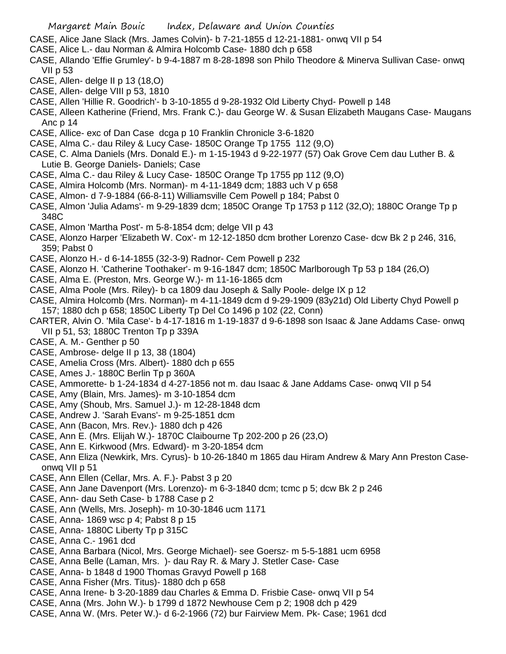- CASE, Alice Jane Slack (Mrs. James Colvin)- b 7-21-1855 d 12-21-1881- onwq VII p 54
- CASE, Alice L.- dau Norman & Almira Holcomb Case- 1880 dch p 658
- CASE, Allando 'Effie Grumley'- b 9-4-1887 m 8-28-1898 son Philo Theodore & Minerva Sullivan Case- onwq VII p 53
- CASE, Allen- delge II p 13 (18,O)
- CASE, Allen- delge VIII p 53, 1810
- CASE, Allen 'Hillie R. Goodrich'- b 3-10-1855 d 9-28-1932 Old Liberty Chyd- Powell p 148
- CASE, Alleen Katherine (Friend, Mrs. Frank C.)- dau George W. & Susan Elizabeth Maugans Case- Maugans Anc p 14
- CASE, Allice- exc of Dan Case dcga p 10 Franklin Chronicle 3-6-1820
- CASE, Alma C.- dau Riley & Lucy Case- 1850C Orange Tp 1755 112 (9,O)
- CASE, C. Alma Daniels (Mrs. Donald E.)- m 1-15-1943 d 9-22-1977 (57) Oak Grove Cem dau Luther B. & Lutie B. George Daniels- Daniels; Case
- CASE, Alma C.- dau Riley & Lucy Case- 1850C Orange Tp 1755 pp 112 (9,O)
- CASE, Almira Holcomb (Mrs. Norman)- m 4-11-1849 dcm; 1883 uch V p 658
- CASE, Almon- d 7-9-1884 (66-8-11) Williamsville Cem Powell p 184; Pabst 0
- CASE, Almon 'Julia Adams'- m 9-29-1839 dcm; 1850C Orange Tp 1753 p 112 (32,O); 1880C Orange Tp p 348C
- CASE, Almon 'Martha Post'- m 5-8-1854 dcm; delge VII p 43
- CASE, Alonzo Harper 'Elizabeth W. Cox'- m 12-12-1850 dcm brother Lorenzo Case- dcw Bk 2 p 246, 316, 359; Pabst 0
- CASE, Alonzo H.- d 6-14-1855 (32-3-9) Radnor- Cem Powell p 232
- CASE, Alonzo H. 'Catherine Toothaker'- m 9-16-1847 dcm; 1850C Marlborough Tp 53 p 184 (26,O)
- CASE, Alma E. (Preston, Mrs. George W.)- m 11-16-1865 dcm
- CASE, Alma Poole (Mrs. Riley)- b ca 1809 dau Joseph & Sally Poole- delge IX p 12
- CASE, Almira Holcomb (Mrs. Norman)- m 4-11-1849 dcm d 9-29-1909 (83y21d) Old Liberty Chyd Powell p 157; 1880 dch p 658; 1850C Liberty Tp Del Co 1496 p 102 (22, Conn)
- CARTER, Alvin O. 'Mila Case'- b 4-17-1816 m 1-19-1837 d 9-6-1898 son Isaac & Jane Addams Case- onwq VII p 51, 53; 1880C Trenton Tp p 339A
- CASE, A. M.- Genther p 50
- CASE, Ambrose- delge II p 13, 38 (1804)
- CASE, Amelia Cross (Mrs. Albert)- 1880 dch p 655
- CASE, Ames J.- 1880C Berlin Tp p 360A
- CASE, Ammorette- b 1-24-1834 d 4-27-1856 not m. dau Isaac & Jane Addams Case- onwq VII p 54
- CASE, Amy (Blain, Mrs. James)- m 3-10-1854 dcm
- CASE, Amy (Shoub, Mrs. Samuel J.)- m 12-28-1848 dcm
- CASE, Andrew J. 'Sarah Evans'- m 9-25-1851 dcm
- CASE, Ann (Bacon, Mrs. Rev.)- 1880 dch p 426
- CASE, Ann E. (Mrs. Elijah W.)- 1870C Claibourne Tp 202-200 p 26 (23,O)
- CASE, Ann E. Kirkwood (Mrs. Edward)- m 3-20-1854 dcm
- CASE, Ann Eliza (Newkirk, Mrs. Cyrus)- b 10-26-1840 m 1865 dau Hiram Andrew & Mary Ann Preston Caseonwq VII p 51
- CASE, Ann Ellen (Cellar, Mrs. A. F.)- Pabst 3 p 20
- CASE, Ann Jane Davenport (Mrs. Lorenzo)- m 6-3-1840 dcm; tcmc p 5; dcw Bk 2 p 246
- CASE, Ann- dau Seth Case- b 1788 Case p 2
- CASE, Ann (Wells, Mrs. Joseph)- m 10-30-1846 ucm 1171
- CASE, Anna- 1869 wsc p 4; Pabst 8 p 15
- CASE, Anna- 1880C Liberty Tp p 315C
- CASE, Anna C.- 1961 dcd
- CASE, Anna Barbara (Nicol, Mrs. George Michael)- see Goersz- m 5-5-1881 ucm 6958
- CASE, Anna Belle (Laman, Mrs. )- dau Ray R. & Mary J. Stetler Case- Case
- CASE, Anna- b 1848 d 1900 Thomas Gravyd Powell p 168
- CASE, Anna Fisher (Mrs. Titus)- 1880 dch p 658
- CASE, Anna Irene- b 3-20-1889 dau Charles & Emma D. Frisbie Case- onwq VII p 54
- CASE, Anna (Mrs. John W.)- b 1799 d 1872 Newhouse Cem p 2; 1908 dch p 429
- CASE, Anna W. (Mrs. Peter W.)- d 6-2-1966 (72) bur Fairview Mem. Pk- Case; 1961 dcd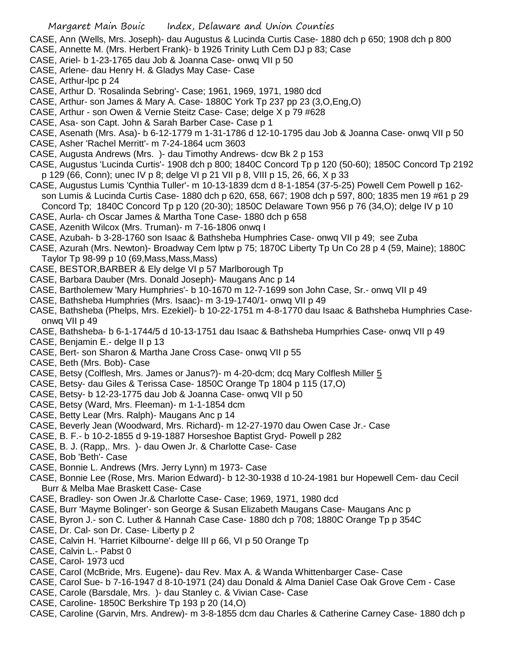- CASE, Ann (Wells, Mrs. Joseph)- dau Augustus & Lucinda Curtis Case- 1880 dch p 650; 1908 dch p 800
- CASE, Annette M. (Mrs. Herbert Frank)- b 1926 Trinity Luth Cem DJ p 83; Case
- CASE, Ariel- b 1-23-1765 dau Job & Joanna Case- onwq VII p 50
- CASE, Arlene- dau Henry H. & Gladys May Case- Case
- CASE, Arthur-lpc p 24
- CASE, Arthur D. 'Rosalinda Sebring'- Case; 1961, 1969, 1971, 1980 dcd
- CASE, Arthur- son James & Mary A. Case- 1880C York Tp 237 pp 23 (3,O,Eng,O)
- CASE, Arthur son Owen & Vernie Steitz Case- Case; delge X p 79 #628
- CASE, Asa- son Capt. John & Sarah Barber Case- Case p 1
- CASE, Asenath (Mrs. Asa)- b 6-12-1779 m 1-31-1786 d 12-10-1795 dau Job & Joanna Case- onwq VII p 50
- CASE, Asher 'Rachel Merritt'- m 7-24-1864 ucm 3603
- CASE, Augusta Andrews (Mrs. )- dau Timothy Andrews- dcw Bk 2 p 153
- CASE, Augustus 'Lucinda Curtis'- 1908 dch p 800; 1840C Concord Tp p 120 (50-60); 1850C Concord Tp 2192 p 129 (66, Conn); unec IV p 8; delge VI p 21 VII p 8, VIII p 15, 26, 66, X p 33
- CASE, Augustus Lumis 'Cynthia Tuller'- m 10-13-1839 dcm d 8-1-1854 (37-5-25) Powell Cem Powell p 162 son Lumis & Lucinda Curtis Case- 1880 dch p 620, 658, 667; 1908 dch p 597, 800; 1835 men 19 #61 p 29 Concord Tp; 1840C Concord Tp p 120 (20-30); 1850C Delaware Town 956 p 76 (34,O); delge IV p 10
- CASE, Aurla- ch Oscar James & Martha Tone Case- 1880 dch p 658
- CASE, Azenith Wilcox (Mrs. Truman)- m 7-16-1806 onwq I
- CASE, Azubah- b 3-28-1760 son Isaac & Bathsheba Humphries Case- onwq VII p 49; see Zuba
- CASE, Azurah (Mrs. Newton)- Broadway Cem lptw p 75; 1870C Liberty Tp Un Co 28 p 4 (59, Maine); 1880C Taylor Tp 98-99 p 10 (69,Mass,Mass,Mass)
- CASE, BESTOR,BARBER & Ely delge VI p 57 Marlborough Tp
- CASE, Barbara Dauber (Mrs. Donald Joseph)- Maugans Anc p 14
- CASE, Bartholemew 'Mary Humphries'- b 10-1670 m 12-7-1699 son John Case, Sr.- onwq VII p 49
- CASE, Bathsheba Humphries (Mrs. Isaac)- m 3-19-1740/1- onwq VII p 49
- CASE, Bathsheba (Phelps, Mrs. Ezekiel)- b 10-22-1751 m 4-8-1770 dau Isaac & Bathsheba Humphries Caseonwq VII p 49
- CASE, Bathsheba- b 6-1-1744/5 d 10-13-1751 dau Isaac & Bathsheba Humprhies Case- onwq VII p 49
- CASE, Benjamin E.- delge II p 13
- CASE, Bert- son Sharon & Martha Jane Cross Case- onwq VII p 55
- CASE, Beth (Mrs. Bob)- Case
- CASE, Betsy (Colflesh, Mrs. James or Janus?)- m 4-20-dcm; dcq Mary Colflesh Miller 5
- CASE, Betsy- dau Giles & Terissa Case- 1850C Orange Tp 1804 p 115 (17,O)
- CASE, Betsy- b 12-23-1775 dau Job & Joanna Case- onwq VII p 50
- CASE, Betsy (Ward, Mrs. Fleeman)- m 1-1-1854 dcm
- CASE, Betty Lear (Mrs. Ralph)- Maugans Anc p 14
- CASE, Beverly Jean (Woodward, Mrs. Richard)- m 12-27-1970 dau Owen Case Jr.- Case
- CASE, B. F.- b 10-2-1855 d 9-19-1887 Horseshoe Baptist Gryd- Powell p 282
- CASE, B. J. (Rapp,. Mrs. )- dau Owen Jr. & Charlotte Case- Case
- CASE, Bob 'Beth'- Case
- CASE, Bonnie L. Andrews (Mrs. Jerry Lynn) m 1973- Case
- CASE, Bonnie Lee (Rose, Mrs. Marion Edward)- b 12-30-1938 d 10-24-1981 bur Hopewell Cem- dau Cecil Burr & Melba Mae Braskett Case- Case
- CASE, Bradley- son Owen Jr.& Charlotte Case- Case; 1969, 1971, 1980 dcd
- CASE, Burr 'Mayme Bolinger'- son George & Susan Elizabeth Maugans Case- Maugans Anc p
- CASE, Byron J.- son C. Luther & Hannah Case Case- 1880 dch p 708; 1880C Orange Tp p 354C
- CASE, Dr. Cal- son Dr. Case- Liberty p 2
- CASE, Calvin H. 'Harriet Kilbourne'- delge III p 66, VI p 50 Orange Tp
- CASE, Calvin L.- Pabst 0
- CASE, Carol- 1973 ucd
- CASE, Carol (McBride, Mrs. Eugene)- dau Rev. Max A. & Wanda Whittenbarger Case- Case
- CASE, Carol Sue- b 7-16-1947 d 8-10-1971 (24) dau Donald & Alma Daniel Case Oak Grove Cem Case
- CASE, Carole (Barsdale, Mrs. )- dau Stanley c. & Vivian Case- Case
- CASE, Caroline- 1850C Berkshire Tp 193 p 20 (14,O)
- CASE, Caroline (Garvin, Mrs. Andrew)- m 3-8-1855 dcm dau Charles & Catherine Carney Case- 1880 dch p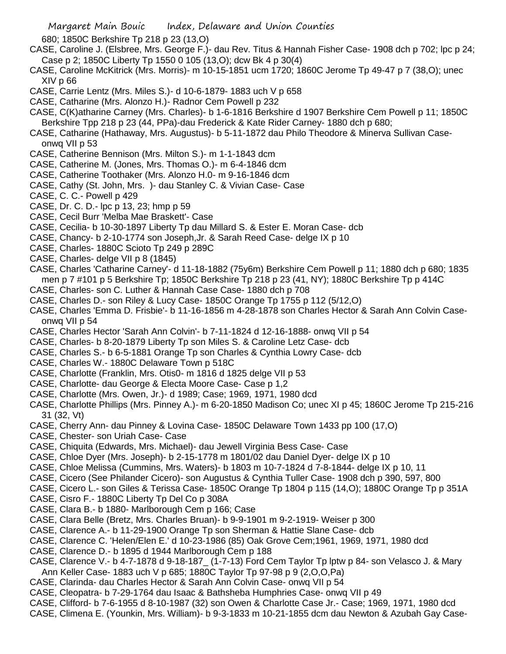680; 1850C Berkshire Tp 218 p 23 (13,O)

- CASE, Caroline J. (Elsbree, Mrs. George F.)- dau Rev. Titus & Hannah Fisher Case- 1908 dch p 702; lpc p 24; Case p 2; 1850C Liberty Tp 1550 0 105 (13,O); dcw Bk 4 p 30(4)
- CASE, Caroline McKitrick (Mrs. Morris)- m 10-15-1851 ucm 1720; 1860C Jerome Tp 49-47 p 7 (38,O); unec XIV p 66
- CASE, Carrie Lentz (Mrs. Miles S.)- d 10-6-1879- 1883 uch V p 658
- CASE, Catharine (Mrs. Alonzo H.)- Radnor Cem Powell p 232
- CASE, C(K)atharine Carney (Mrs. Charles)- b 1-6-1816 Berkshire d 1907 Berkshire Cem Powell p 11; 1850C Berkshire Tpp 218 p 23 (44, PPa)-dau Frederick & Kate Rider Carney- 1880 dch p 680;
- CASE, Catharine (Hathaway, Mrs. Augustus)- b 5-11-1872 dau Philo Theodore & Minerva Sullivan Caseonwq VII p 53
- CASE, Catherine Bennison (Mrs. Milton S.)- m 1-1-1843 dcm
- CASE, Catherine M. (Jones, Mrs. Thomas O.)- m 6-4-1846 dcm
- CASE, Catherine Toothaker (Mrs. Alonzo H.0- m 9-16-1846 dcm
- CASE, Cathy (St. John, Mrs. )- dau Stanley C. & Vivian Case- Case
- CASE, C. C.- Powell p 429
- CASE, Dr. C. D.- lpc p 13, 23; hmp p 59
- CASE, Cecil Burr 'Melba Mae Braskett'- Case
- CASE, Cecilia- b 10-30-1897 Liberty Tp dau Millard S. & Ester E. Moran Case- dcb
- CASE, Chancy- b 2-10-1774 son Joseph,Jr. & Sarah Reed Case- delge IX p 10
- CASE, Charles- 1880C Scioto Tp 249 p 289C
- CASE, Charles- delge VII p 8 (1845)
- CASE, Charles 'Catharine Carney'- d 11-18-1882 (75y6m) Berkshire Cem Powell p 11; 1880 dch p 680; 1835 men p 7 #101 p 5 Berkshire Tp; 1850C Berkshire Tp 218 p 23 (41, NY); 1880C Berkshire Tp p 414C
- CASE, Charles- son C. Luther & Hannah Case Case- 1880 dch p 708
- CASE, Charles D.- son Riley & Lucy Case- 1850C Orange Tp 1755 p 112 (5/12,O)
- CASE, Charles 'Emma D. Frisbie'- b 11-16-1856 m 4-28-1878 son Charles Hector & Sarah Ann Colvin Caseonwq VII p 54
- CASE, Charles Hector 'Sarah Ann Colvin'- b 7-11-1824 d 12-16-1888- onwq VII p 54
- CASE, Charles- b 8-20-1879 Liberty Tp son Miles S. & Caroline Letz Case- dcb
- CASE, Charles S.- b 6-5-1881 Orange Tp son Charles & Cynthia Lowry Case- dcb
- CASE, Charles W.- 1880C Delaware Town p 518C
- CASE, Charlotte (Franklin, Mrs. Otis0- m 1816 d 1825 delge VII p 53
- CASE, Charlotte- dau George & Electa Moore Case- Case p 1,2
- CASE, Charlotte (Mrs. Owen, Jr.)- d 1989; Case; 1969, 1971, 1980 dcd
- CASE, Charlotte Phillips (Mrs. Pinney A.)- m 6-20-1850 Madison Co; unec XI p 45; 1860C Jerome Tp 215-216 31 (32, Vt)
- CASE, Cherry Ann- dau Pinney & Lovina Case- 1850C Delaware Town 1433 pp 100 (17,O)
- CASE, Chester- son Uriah Case- Case
- CASE, Chiquita (Edwards, Mrs. Michael)- dau Jewell Virginia Bess Case- Case
- CASE, Chloe Dyer (Mrs. Joseph)- b 2-15-1778 m 1801/02 dau Daniel Dyer- delge IX p 10
- CASE, Chloe Melissa (Cummins, Mrs. Waters)- b 1803 m 10-7-1824 d 7-8-1844- delge IX p 10, 11
- CASE, Cicero (See Philander Cicero)- son Augustus & Cynthia Tuller Case- 1908 dch p 390, 597, 800
- CASE, Cicero L.- son Giles & Terissa Case- 1850C Orange Tp 1804 p 115 (14,O); 1880C Orange Tp p 351A
- CASE, Cisro F.- 1880C Liberty Tp Del Co p 308A
- CASE, Clara B.- b 1880- Marlborough Cem p 166; Case
- CASE, Clara Belle (Bretz, Mrs. Charles Bruan)- b 9-9-1901 m 9-2-1919- Weiser p 300
- CASE, Clarence A.- b 11-29-1900 Orange Tp son Sherman & Hattie Slane Case- dcb
- CASE, Clarence C. 'Helen/Elen E.' d 10-23-1986 (85) Oak Grove Cem;1961, 1969, 1971, 1980 dcd
- CASE, Clarence D.- b 1895 d 1944 Marlborough Cem p 188
- CASE, Clarence V.- b 4-7-1878 d 9-18-187\_ (1-7-13) Ford Cem Taylor Tp lptw p 84- son Velasco J. & Mary Ann Keller Case- 1883 uch V p 685; 1880C Taylor Tp 97-98 p 9 (2,O,O,Pa)
- CASE, Clarinda- dau Charles Hector & Sarah Ann Colvin Case- onwq VII p 54
- CASE, Cleopatra- b 7-29-1764 dau Isaac & Bathsheba Humphries Case- onwq VII p 49
- CASE, Clifford- b 7-6-1955 d 8-10-1987 (32) son Owen & Charlotte Case Jr.- Case; 1969, 1971, 1980 dcd
- CASE, Climena E. (Younkin, Mrs. William)- b 9-3-1833 m 10-21-1855 dcm dau Newton & Azubah Gay Case-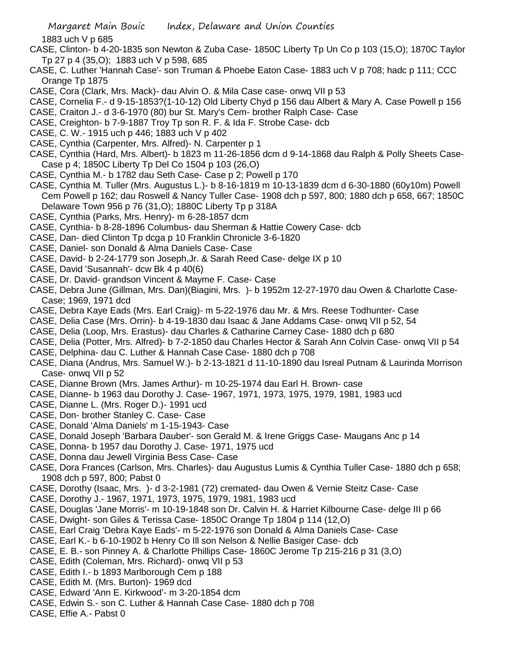1883 uch V p 685

- CASE, Clinton- b 4-20-1835 son Newton & Zuba Case- 1850C Liberty Tp Un Co p 103 (15,O); 1870C Taylor Tp 27 p 4 (35,O); 1883 uch V p 598, 685
- CASE, C. Luther 'Hannah Case'- son Truman & Phoebe Eaton Case- 1883 uch V p 708; hadc p 111; CCC Orange Tp 1875
- CASE, Cora (Clark, Mrs. Mack)- dau Alvin O. & Mila Case case- onwq VII p 53
- CASE, Cornelia F.- d 9-15-1853?(1-10-12) Old Liberty Chyd p 156 dau Albert & Mary A. Case Powell p 156
- CASE, Craiton J.- d 3-6-1970 (80) bur St. Mary's Cem- brother Ralph Case- Case
- CASE, Creighton- b 7-9-1887 Troy Tp son R. F. & Ida F. Strobe Case- dcb
- CASE, C. W.- 1915 uch p 446; 1883 uch V p 402
- CASE, Cynthia (Carpenter, Mrs. Alfred)- N. Carpenter p 1
- CASE, Cynthia (Hard, Mrs. Albert)- b 1823 m 11-26-1856 dcm d 9-14-1868 dau Ralph & Polly Sheets Case-Case p 4; 1850C Liberty Tp Del Co 1504 p 103 (26,O)
- CASE, Cynthia M.- b 1782 dau Seth Case- Case p 2; Powell p 170
- CASE, Cynthia M. Tuller (Mrs. Augustus L.)- b 8-16-1819 m 10-13-1839 dcm d 6-30-1880 (60y10m) Powell Cem Powell p 162; dau Roswell & Nancy Tuller Case- 1908 dch p 597, 800; 1880 dch p 658, 667; 1850C Delaware Town 956 p 76 (31,O); 1880C Liberty Tp p 318A
- CASE, Cynthia (Parks, Mrs. Henry)- m 6-28-1857 dcm
- CASE, Cynthia- b 8-28-1896 Columbus- dau Sherman & Hattie Cowery Case- dcb
- CASE, Dan- died Clinton Tp dcga p 10 Franklin Chronicle 3-6-1820
- CASE, Daniel- son Donald & Alma Daniels Case- Case
- CASE, David- b 2-24-1779 son Joseph,Jr. & Sarah Reed Case- delge IX p 10
- CASE, David 'Susannah'- dcw Bk 4 p 40(6)
- CASE, Dr. David- grandson Vincent & Mayme F. Case- Case
- CASE, Debra June (Gillman, Mrs. Dan)(Biagini, Mrs. )- b 1952m 12-27-1970 dau Owen & Charlotte Case-Case; 1969, 1971 dcd
- CASE, Debra Kaye Eads (Mrs. Earl Craig)- m 5-22-1976 dau Mr. & Mrs. Reese Todhunter- Case
- CASE, Delia Case (Mrs. Orrin)- b 4-19-1830 dau Isaac & Jane Addams Case- onwq VII p 52, 54
- CASE, Delia (Loop, Mrs. Erastus)- dau Charles & Catharine Carney Case- 1880 dch p 680
- CASE, Delia (Potter, Mrs. Alfred)- b 7-2-1850 dau Charles Hector & Sarah Ann Colvin Case- onwq VII p 54
- CASE, Delphina- dau C. Luther & Hannah Case Case- 1880 dch p 708
- CASE, Diana (Andrus, Mrs. Samuel W.)- b 2-13-1821 d 11-10-1890 dau Isreal Putnam & Laurinda Morrison Case- onwq VII p 52
- CASE, Dianne Brown (Mrs. James Arthur)- m 10-25-1974 dau Earl H. Brown- case
- CASE, Dianne- b 1963 dau Dorothy J. Case- 1967, 1971, 1973, 1975, 1979, 1981, 1983 ucd
- CASE, Dianne L. (Mrs. Roger D.)- 1991 ucd
- CASE, Don- brother Stanley C. Case- Case
- CASE, Donald 'Alma Daniels' m 1-15-1943- Case
- CASE, Donald Joseph 'Barbara Dauber'- son Gerald M. & Irene Griggs Case- Maugans Anc p 14
- CASE, Donna- b 1957 dau Dorothy J. Case- 1971, 1975 ucd
- CASE, Donna dau Jewell Virginia Bess Case- Case
- CASE, Dora Frances (Carlson, Mrs. Charles)- dau Augustus Lumis & Cynthia Tuller Case- 1880 dch p 658; 1908 dch p 597, 800; Pabst 0
- CASE, Dorothy (Isaac, Mrs. )- d 3-2-1981 (72) cremated- dau Owen & Vernie Steitz Case- Case
- CASE, Dorothy J.- 1967, 1971, 1973, 1975, 1979, 1981, 1983 ucd
- CASE, Douglas 'Jane Morris'- m 10-19-1848 son Dr. Calvin H. & Harriet Kilbourne Case- delge III p 66
- CASE, Dwight- son Giles & Terissa Case- 1850C Orange Tp 1804 p 114 (12,O)
- CASE, Earl Craig 'Debra Kaye Eads'- m 5-22-1976 son Donald & Alma Daniels Case- Case
- CASE, Earl K.- b 6-10-1902 b Henry Co Ill son Nelson & Nellie Basiger Case- dcb
- CASE, E. B.- son Pinney A. & Charlotte Phillips Case- 1860C Jerome Tp 215-216 p 31 (3,O)
- CASE, Edith (Coleman, Mrs. Richard)- onwq VII p 53
- CASE, Edith I.- b 1893 Marlborough Cem p 188
- CASE, Edith M. (Mrs. Burton)- 1969 dcd
- CASE, Edward 'Ann E. Kirkwood'- m 3-20-1854 dcm
- CASE, Edwin S.- son C. Luther & Hannah Case Case- 1880 dch p 708
- CASE, Effie A.- Pabst 0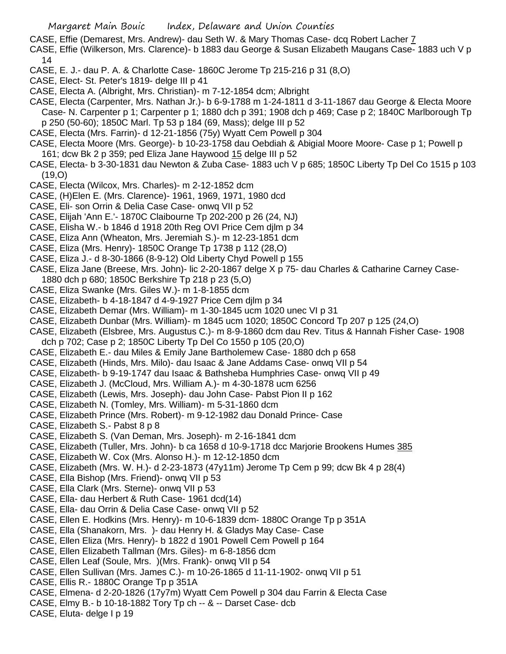- CASE, Effie (Demarest, Mrs. Andrew)- dau Seth W. & Mary Thomas Case- dcq Robert Lacher 7
- CASE, Effie (Wilkerson, Mrs. Clarence)- b 1883 dau George & Susan Elizabeth Maugans Case- 1883 uch V p 14
- CASE, E. J.- dau P. A. & Charlotte Case- 1860C Jerome Tp 215-216 p 31 (8,O)
- CASE, Elect- St. Peter's 1819- delge III p 41
- CASE, Electa A. (Albright, Mrs. Christian)- m 7-12-1854 dcm; Albright
- CASE, Electa (Carpenter, Mrs. Nathan Jr.)- b 6-9-1788 m 1-24-1811 d 3-11-1867 dau George & Electa Moore Case- N. Carpenter p 1; Carpenter p 1; 1880 dch p 391; 1908 dch p 469; Case p 2; 1840C Marlborough Tp p 250 (50-60); 1850C Marl. Tp 53 p 184 (69, Mass); delge III p 52
- CASE, Electa (Mrs. Farrin)- d 12-21-1856 (75y) Wyatt Cem Powell p 304
- CASE, Electa Moore (Mrs. George)- b 10-23-1758 dau Oebdiah & Abigial Moore Moore- Case p 1; Powell p 161; dcw Bk 2 p 359; ped Eliza Jane Haywood 15 delge III p 52
- CASE, Electa- b 3-30-1831 dau Newton & Zuba Case- 1883 uch V p 685; 1850C Liberty Tp Del Co 1515 p 103 (19,O)
- CASE, Electa (Wilcox, Mrs. Charles)- m 2-12-1852 dcm
- CASE, (H)Elen E. (Mrs. Clarence)- 1961, 1969, 1971, 1980 dcd
- CASE, Eli- son Orrin & Delia Case Case- onwq VII p 52
- CASE, Elijah 'Ann E.'- 1870C Claibourne Tp 202-200 p 26 (24, NJ)
- CASE, Elisha W.- b 1846 d 1918 20th Reg OVI Price Cem djlm p 34
- CASE, Eliza Ann (Wheaton, Mrs. Jeremiah S.)- m 12-23-1851 dcm
- CASE, Eliza (Mrs. Henry)- 1850C Orange Tp 1738 p 112 (28,O)
- CASE, Eliza J.- d 8-30-1866 (8-9-12) Old Liberty Chyd Powell p 155
- CASE, Eliza Jane (Breese, Mrs. John)- lic 2-20-1867 delge X p 75- dau Charles & Catharine Carney Case-1880 dch p 680; 1850C Berkshire Tp 218 p 23 (5,O)
- CASE, Eliza Swanke (Mrs. Giles W.)- m 1-8-1855 dcm
- CASE, Elizabeth- b 4-18-1847 d 4-9-1927 Price Cem djlm p 34
- CASE, Elizabeth Demar (Mrs. William)- m 1-30-1845 ucm 1020 unec VI p 31
- CASE, Elizabeth Dunbar (Mrs. William)- m 1845 ucm 1020; 1850C Concord Tp 207 p 125 (24,O)
- CASE, Elizabeth (Elsbree, Mrs. Augustus C.)- m 8-9-1860 dcm dau Rev. Titus & Hannah Fisher Case- 1908 dch p 702; Case p 2; 1850C Liberty Tp Del Co 1550 p 105 (20,O)
- CASE, Elizabeth E.- dau Miles & Emily Jane Bartholemew Case- 1880 dch p 658
- CASE, Elizabeth (Hinds, Mrs. Milo)- dau Isaac & Jane Addams Case- onwq VII p 54
- CASE, Elizabeth- b 9-19-1747 dau Isaac & Bathsheba Humphries Case- onwq VII p 49
- CASE, Elizabeth J. (McCloud, Mrs. William A.)- m 4-30-1878 ucm 6256
- CASE, Elizabeth (Lewis, Mrs. Joseph)- dau John Case- Pabst Pion II p 162
- CASE, Elizabeth N. (Tomley, Mrs. William)- m 5-31-1860 dcm
- CASE, Elizabeth Prince (Mrs. Robert)- m 9-12-1982 dau Donald Prince- Case
- CASE, Elizabeth S.- Pabst 8 p 8
- CASE, Elizabeth S. (Van Deman, Mrs. Joseph)- m 2-16-1841 dcm
- CASE, Elizabeth (Tuller, Mrs. John)- b ca 1658 d 10-9-1718 dcc Marjorie Brookens Humes 385
- CASE, Elizabeth W. Cox (Mrs. Alonso H.)- m 12-12-1850 dcm
- CASE, Elizabeth (Mrs. W. H.)- d 2-23-1873 (47y11m) Jerome Tp Cem p 99; dcw Bk 4 p 28(4)
- CASE, Ella Bishop (Mrs. Friend)- onwq VII p 53
- CASE, Ella Clark (Mrs. Sterne)- onwq VII p 53
- CASE, Ella- dau Herbert & Ruth Case- 1961 dcd(14)
- CASE, Ella- dau Orrin & Delia Case Case- onwq VII p 52
- CASE, Ellen E. Hodkins (Mrs. Henry)- m 10-6-1839 dcm- 1880C Orange Tp p 351A
- CASE, Ella (Shanakorn, Mrs. )- dau Henry H. & Gladys May Case- Case
- CASE, Ellen Eliza (Mrs. Henry)- b 1822 d 1901 Powell Cem Powell p 164
- CASE, Ellen Elizabeth Tallman (Mrs. Giles)- m 6-8-1856 dcm
- CASE, Ellen Leaf (Soule, Mrs. )(Mrs. Frank)- onwq VII p 54
- CASE, Ellen Sullivan (Mrs. James C.)- m 10-26-1865 d 11-11-1902- onwq VII p 51
- CASE, Ellis R.- 1880C Orange Tp p 351A
- CASE, Elmena- d 2-20-1826 (17y7m) Wyatt Cem Powell p 304 dau Farrin & Electa Case
- CASE, Elmy B.- b 10-18-1882 Tory Tp ch -- & -- Darset Case- dcb
- CASE, Eluta- delge I p 19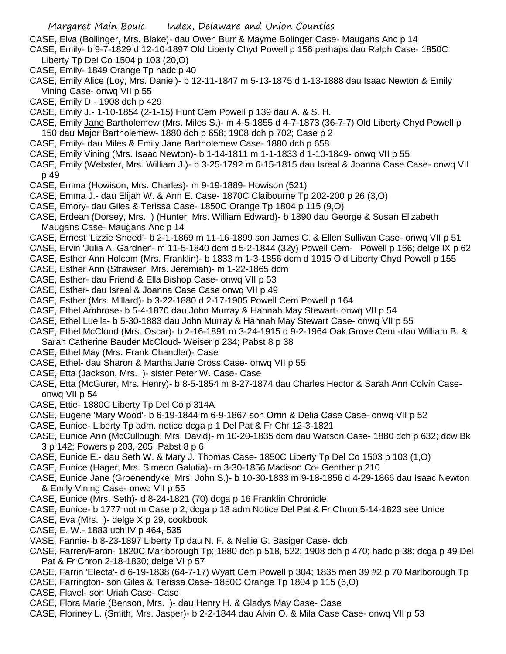- CASE, Elva (Bollinger, Mrs. Blake)- dau Owen Burr & Mayme Bolinger Case- Maugans Anc p 14
- CASE, Emily- b 9-7-1829 d 12-10-1897 Old Liberty Chyd Powell p 156 perhaps dau Ralph Case- 1850C Liberty Tp Del Co 1504 p 103 (20,O)
- CASE, Emily- 1849 Orange Tp hadc p 40
- CASE, Emily Alice (Loy, Mrs. Daniel)- b 12-11-1847 m 5-13-1875 d 1-13-1888 dau Isaac Newton & Emily Vining Case- onwq VII p 55
- CASE, Emily D.- 1908 dch p 429
- CASE, Emily J.- 1-10-1854 (2-1-15) Hunt Cem Powell p 139 dau A. & S. H.
- CASE, Emily Jane Bartholemew (Mrs. Miles S.)- m 4-5-1855 d 4-7-1873 (36-7-7) Old Liberty Chyd Powell p 150 dau Major Bartholemew- 1880 dch p 658; 1908 dch p 702; Case p 2
- CASE, Emily- dau Miles & Emily Jane Bartholemew Case- 1880 dch p 658
- CASE, Emily Vining (Mrs. Isaac Newton)- b 1-14-1811 m 1-1-1833 d 1-10-1849- onwq VII p 55
- CASE, Emily (Webster, Mrs. William J.)- b 3-25-1792 m 6-15-1815 dau Isreal & Joanna Case Case- onwq VII p 49
- CASE, Emma (Howison, Mrs. Charles)- m 9-19-1889- Howison (521)
- CASE, Emma J.- dau Elijah W. & Ann E. Case- 1870C Claibourne Tp 202-200 p 26 (3,O)
- CASE, Emory- dau Giles & Terissa Case- 1850C Orange Tp 1804 p 115 (9,O)
- CASE, Erdean (Dorsey, Mrs. ) (Hunter, Mrs. William Edward)- b 1890 dau George & Susan Elizabeth Maugans Case- Maugans Anc p 14
- CASE, Ernest 'Lizzie Sneed'- b 2-1-1869 m 11-16-1899 son James C. & Ellen Sullivan Case- onwq VII p 51
- CASE, Ervin 'Julia A. Gardner'- m 11-5-1840 dcm d 5-2-1844 (32y) Powell Cem- Powell p 166; delge IX p 62
- CASE, Esther Ann Holcom (Mrs. Franklin)- b 1833 m 1-3-1856 dcm d 1915 Old Liberty Chyd Powell p 155
- CASE, Esther Ann (Strawser, Mrs. Jeremiah)- m 1-22-1865 dcm
- CASE, Esther- dau Friend & Ella Bishop Case- onwq VII p 53
- CASE, Esther- dau Isreal & Joanna Case Case onwq VII p 49
- CASE, Esther (Mrs. Millard)- b 3-22-1880 d 2-17-1905 Powell Cem Powell p 164
- CASE, Ethel Ambrose- b 5-4-1870 dau John Murray & Hannah May Stewart- onwq VII p 54
- CASE, Ethel Luella- b 5-30-1883 dau John Murray & Hannah May Stewart Case- onwq VII p 55
- CASE, Ethel McCloud (Mrs. Oscar)- b 2-16-1891 m 3-24-1915 d 9-2-1964 Oak Grove Cem -dau William B. & Sarah Catherine Bauder McCloud- Weiser p 234; Pabst 8 p 38
- CASE, Ethel May (Mrs. Frank Chandler)- Case
- CASE, Ethel- dau Sharon & Martha Jane Cross Case- onwq VII p 55
- CASE, Etta (Jackson, Mrs. )- sister Peter W. Case- Case
- CASE, Etta (McGurer, Mrs. Henry)- b 8-5-1854 m 8-27-1874 dau Charles Hector & Sarah Ann Colvin Caseonwq VII p 54
- CASE, Ettie- 1880C Liberty Tp Del Co p 314A
- CASE, Eugene 'Mary Wood'- b 6-19-1844 m 6-9-1867 son Orrin & Delia Case Case- onwq VII p 52
- CASE, Eunice- Liberty Tp adm. notice dcga p 1 Del Pat & Fr Chr 12-3-1821
- CASE, Eunice Ann (McCullough, Mrs. David)- m 10-20-1835 dcm dau Watson Case- 1880 dch p 632; dcw Bk 3 p 142; Powers p 203, 205; Pabst 8 p 6
- CASE, Eunice E.- dau Seth W. & Mary J. Thomas Case- 1850C Liberty Tp Del Co 1503 p 103 (1,O)
- CASE, Eunice (Hager, Mrs. Simeon Galutia)- m 3-30-1856 Madison Co- Genther p 210
- CASE, Eunice Jane (Groenendyke, Mrs. John S.)- b 10-30-1833 m 9-18-1856 d 4-29-1866 dau Isaac Newton & Emily Vining Case- onwq VII p 55
- CASE, Eunice (Mrs. Seth)- d 8-24-1821 (70) dcga p 16 Franklin Chronicle
- CASE, Eunice- b 1777 not m Case p 2; dcga p 18 adm Notice Del Pat & Fr Chron 5-14-1823 see Unice
- CASE, Eva (Mrs. )- delge X p 29, cookbook
- CASE, E. W.- 1883 uch IV p 464, 535
- VASE, Fannie- b 8-23-1897 Liberty Tp dau N. F. & Nellie G. Basiger Case- dcb
- CASE, Farren/Faron- 1820C Marlborough Tp; 1880 dch p 518, 522; 1908 dch p 470; hadc p 38; dcga p 49 Del Pat & Fr Chron 2-18-1830; delge VI p 57
- CASE, Farrin 'Electa'- d 6-19-1838 (64-7-17) Wyatt Cem Powell p 304; 1835 men 39 #2 p 70 Marlborough Tp
- CASE, Farrington- son Giles & Terissa Case- 1850C Orange Tp 1804 p 115 (6,O)
- CASE, Flavel- son Uriah Case- Case
- CASE, Flora Marie (Benson, Mrs. )- dau Henry H. & Gladys May Case- Case
- CASE, Floriney L. (Smith, Mrs. Jasper)- b 2-2-1844 dau Alvin O. & Mila Case Case- onwq VII p 53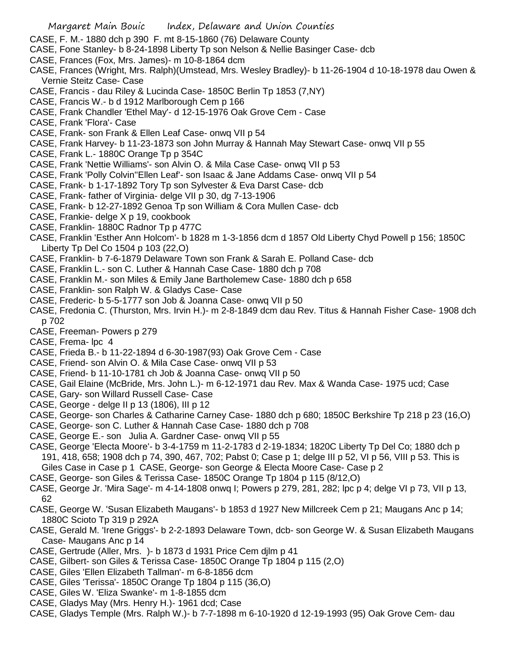- CASE, F. M.- 1880 dch p 390 F. mt 8-15-1860 (76) Delaware County
- CASE, Fone Stanley- b 8-24-1898 Liberty Tp son Nelson & Nellie Basinger Case- dcb
- CASE, Frances (Fox, Mrs. James)- m 10-8-1864 dcm
- CASE, Frances (Wright, Mrs. Ralph)(Umstead, Mrs. Wesley Bradley)- b 11-26-1904 d 10-18-1978 dau Owen & Vernie Steitz Case- Case
- CASE, Francis dau Riley & Lucinda Case- 1850C Berlin Tp 1853 (7,NY)
- CASE, Francis W.- b d 1912 Marlborough Cem p 166
- CASE, Frank Chandler 'Ethel May'- d 12-15-1976 Oak Grove Cem Case
- CASE, Frank 'Flora'- Case
- CASE, Frank- son Frank & Ellen Leaf Case- onwq VII p 54
- CASE, Frank Harvey- b 11-23-1873 son John Murray & Hannah May Stewart Case- onwq VII p 55
- CASE, Frank L.- 1880C Orange Tp p 354C
- CASE, Frank 'Nettie Williams'- son Alvin O. & Mila Case Case- onwq VII p 53
- CASE, Frank 'Polly Colvin''Ellen Leaf'- son Isaac & Jane Addams Case- onwq VII p 54
- CASE, Frank- b 1-17-1892 Tory Tp son Sylvester & Eva Darst Case- dcb
- CASE, Frank- father of Virginia- delge VII p 30, dg 7-13-1906
- CASE, Frank- b 12-27-1892 Genoa Tp son William & Cora Mullen Case- dcb
- CASE, Frankie- delge X p 19, cookbook
- CASE, Franklin- 1880C Radnor Tp p 477C
- CASE, Franklin 'Esther Ann Holcom'- b 1828 m 1-3-1856 dcm d 1857 Old Liberty Chyd Powell p 156; 1850C Liberty Tp Del Co 1504 p 103 (22,O)
- CASE, Franklin- b 7-6-1879 Delaware Town son Frank & Sarah E. Polland Case- dcb
- CASE, Franklin L.- son C. Luther & Hannah Case Case- 1880 dch p 708
- CASE, Franklin M.- son Miles & Emily Jane Bartholemew Case- 1880 dch p 658
- CASE, Franklin- son Ralph W. & Gladys Case- Case
- CASE, Frederic- b 5-5-1777 son Job & Joanna Case- onwq VII p 50
- CASE, Fredonia C. (Thurston, Mrs. Irvin H.)- m 2-8-1849 dcm dau Rev. Titus & Hannah Fisher Case- 1908 dch p 702
- CASE, Freeman- Powers p 279
- CASE, Frema- lpc 4
- CASE, Frieda B.- b 11-22-1894 d 6-30-1987(93) Oak Grove Cem Case
- CASE, Friend- son Alvin O. & Mila Case Case- onwq VII p 53
- CASE, Friend- b 11-10-1781 ch Job & Joanna Case- onwq VII p 50
- CASE, Gail Elaine (McBride, Mrs. John L.)- m 6-12-1971 dau Rev. Max & Wanda Case- 1975 ucd; Case
- CASE, Gary- son Willard Russell Case- Case
- CASE, George delge II p 13 (1806), III p 12
- CASE, George- son Charles & Catharine Carney Case- 1880 dch p 680; 1850C Berkshire Tp 218 p 23 (16,O)
- CASE, George- son C. Luther & Hannah Case Case- 1880 dch p 708
- CASE, George E.- son Julia A. Gardner Case- onwq VII p 55
- CASE, George 'Electa Moore'- b 3-4-1759 m 11-2-1783 d 2-19-1834; 1820C Liberty Tp Del Co; 1880 dch p 191, 418, 658; 1908 dch p 74, 390, 467, 702; Pabst 0; Case p 1; delge III p 52, VI p 56, VIII p 53. This is Giles Case in Case p 1 CASE, George- son George & Electa Moore Case- Case p 2
- CASE, George- son Giles & Terissa Case- 1850C Orange Tp 1804 p 115 (8/12,O)
- CASE, George Jr. 'Mira Sage'- m 4-14-1808 onwq I; Powers p 279, 281, 282; lpc p 4; delge VI p 73, VII p 13, 62
- CASE, George W. 'Susan Elizabeth Maugans'- b 1853 d 1927 New Millcreek Cem p 21; Maugans Anc p 14; 1880C Scioto Tp 319 p 292A
- CASE, Gerald M. 'Irene Griggs'- b 2-2-1893 Delaware Town, dcb- son George W. & Susan Elizabeth Maugans Case- Maugans Anc p 14
- CASE, Gertrude (Aller, Mrs. )- b 1873 d 1931 Price Cem djlm p 41
- CASE, Gilbert- son Giles & Terissa Case- 1850C Orange Tp 1804 p 115 (2,O)
- CASE, Giles 'Ellen Elizabeth Tallman'- m 6-8-1856 dcm
- CASE, Giles 'Terissa'- 1850C Orange Tp 1804 p 115 (36,O)
- CASE, Giles W. 'Eliza Swanke'- m 1-8-1855 dcm
- CASE, Gladys May (Mrs. Henry H.)- 1961 dcd; Case
- CASE, Gladys Temple (Mrs. Ralph W.)- b 7-7-1898 m 6-10-1920 d 12-19-1993 (95) Oak Grove Cem- dau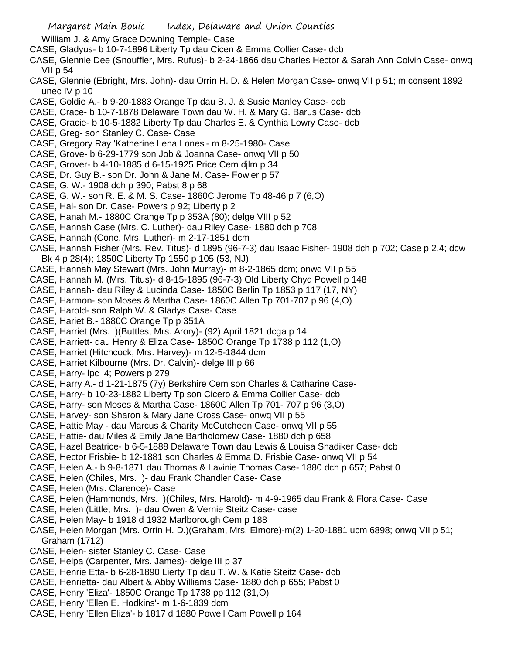William J. & Amy Grace Downing Temple- Case

- CASE, Gladyus- b 10-7-1896 Liberty Tp dau Cicen & Emma Collier Case- dcb
- CASE, Glennie Dee (Snouffler, Mrs. Rufus)- b 2-24-1866 dau Charles Hector & Sarah Ann Colvin Case- onwq VII p 54
- CASE, Glennie (Ebright, Mrs. John)- dau Orrin H. D. & Helen Morgan Case- onwq VII p 51; m consent 1892 unec IV p 10
- CASE, Goldie A.- b 9-20-1883 Orange Tp dau B. J. & Susie Manley Case- dcb
- CASE, Crace- b 10-7-1878 Delaware Town dau W. H. & Mary G. Barus Case- dcb
- CASE, Gracie- b 10-5-1882 Liberty Tp dau Charles E. & Cynthia Lowry Case- dcb
- CASE, Greg- son Stanley C. Case- Case
- CASE, Gregory Ray 'Katherine Lena Lones'- m 8-25-1980- Case
- CASE, Grove- b 6-29-1779 son Job & Joanna Case- onwq VII p 50
- CASE, Grover- b 4-10-1885 d 6-15-1925 Price Cem djlm p 34
- CASE, Dr. Guy B.- son Dr. John & Jane M. Case- Fowler p 57
- CASE, G. W.- 1908 dch p 390; Pabst 8 p 68
- CASE, G. W.- son R. E. & M. S. Case- 1860C Jerome Tp 48-46 p 7 (6,O)
- CASE, Hal- son Dr. Case- Powers p 92; Liberty p 2
- CASE, Hanah M.- 1880C Orange Tp p 353A (80); delge VIII p 52
- CASE, Hannah Case (Mrs. C. Luther)- dau Riley Case- 1880 dch p 708
- CASE, Hannah (Cone, Mrs. Luther)- m 2-17-1851 dcm
- CASE, Hannah Fisher (Mrs. Rev. Titus)- d 1895 (96-7-3) dau Isaac Fisher- 1908 dch p 702; Case p 2,4; dcw Bk 4 p 28(4); 1850C Liberty Tp 1550 p 105 (53, NJ)
- CASE, Hannah May Stewart (Mrs. John Murray)- m 8-2-1865 dcm; onwq VII p 55
- CASE, Hannah M. (Mrs. Titus)- d 8-15-1895 (96-7-3) Old Liberty Chyd Powell p 148
- CASE, Hannah- dau Riley & Lucinda Case- 1850C Berlin Tp 1853 p 117 (17, NY)
- CASE, Harmon- son Moses & Martha Case- 1860C Allen Tp 701-707 p 96 (4,O)
- CASE, Harold- son Ralph W. & Gladys Case- Case
- CASE, Hariet B.- 1880C Orange Tp p 351A
- CASE, Harriet (Mrs. )(Buttles, Mrs. Arory)- (92) April 1821 dcga p 14
- CASE, Harriett- dau Henry & Eliza Case- 1850C Orange Tp 1738 p 112 (1,O)
- CASE, Harriet (Hitchcock, Mrs. Harvey)- m 12-5-1844 dcm
- CASE, Harriet Kilbourne (Mrs. Dr. Calvin)- delge III p 66
- CASE, Harry- lpc 4; Powers p 279
- CASE, Harry A.- d 1-21-1875 (7y) Berkshire Cem son Charles & Catharine Case-
- CASE, Harry- b 10-23-1882 Liberty Tp son Cicero & Emma Collier Case- dcb
- CASE, Harry- son Moses & Martha Case- 1860C Allen Tp 701- 707 p 96 (3,O)
- CASE, Harvey- son Sharon & Mary Jane Cross Case- onwq VII p 55
- CASE, Hattie May dau Marcus & Charity McCutcheon Case- onwq VII p 55
- CASE, Hattie- dau Miles & Emily Jane Bartholomew Case- 1880 dch p 658
- CASE, Hazel Beatrice- b 6-5-1888 Delaware Town dau Lewis & Louisa Shadiker Case- dcb
- CASE, Hector Frisbie- b 12-1881 son Charles & Emma D. Frisbie Case- onwq VII p 54
- CASE, Helen A.- b 9-8-1871 dau Thomas & Lavinie Thomas Case- 1880 dch p 657; Pabst 0
- CASE, Helen (Chiles, Mrs. )- dau Frank Chandler Case- Case
- CASE, Helen (Mrs. Clarence)- Case
- CASE, Helen (Hammonds, Mrs. )(Chiles, Mrs. Harold)- m 4-9-1965 dau Frank & Flora Case- Case
- CASE, Helen (Little, Mrs. )- dau Owen & Vernie Steitz Case- case
- CASE, Helen May- b 1918 d 1932 Marlborough Cem p 188
- CASE, Helen Morgan (Mrs. Orrin H. D.)(Graham, Mrs. Elmore)-m(2) 1-20-1881 ucm 6898; onwq VII p 51; Graham (1712)
- CASE, Helen- sister Stanley C. Case- Case
- CASE, Helpa (Carpenter, Mrs. James)- delge III p 37
- CASE, Henrie Etta- b 6-28-1890 Lierty Tp dau T. W. & Katie Steitz Case- dcb
- CASE, Henrietta- dau Albert & Abby Williams Case- 1880 dch p 655; Pabst 0
- CASE, Henry 'Eliza'- 1850C Orange Tp 1738 pp 112 (31,O)
- CASE, Henry 'Ellen E. Hodkins'- m 1-6-1839 dcm
- CASE, Henry 'Ellen Eliza'- b 1817 d 1880 Powell Cam Powell p 164